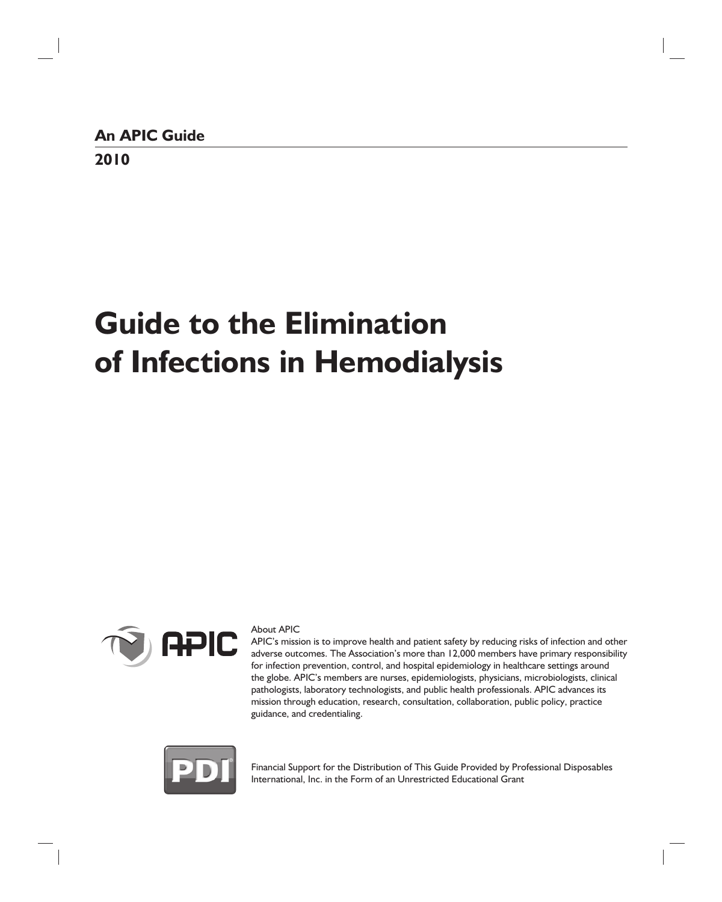# **Guide to the Elimination of Infections in Hemodialysis**



#### About APIC

APIC's mission is to improve health and patient safety by reducing risks of infection and other adverse outcomes. The Association's more than 12,000 members have primary responsibility for infection prevention, control, and hospital epidemiology in healthcare settings around the globe. APIC's members are nurses, epidemiologists, physicians, microbiologists, clinical pathologists, laboratory technologists, and public health professionals. APIC advances its mission through education, research, consultation, collaboration, public policy, practice guidance, and credentialing.



Financial Support for the Distribution of This Guide Provided by Professional Disposables International, Inc. in the Form of an Unrestricted Educational Grant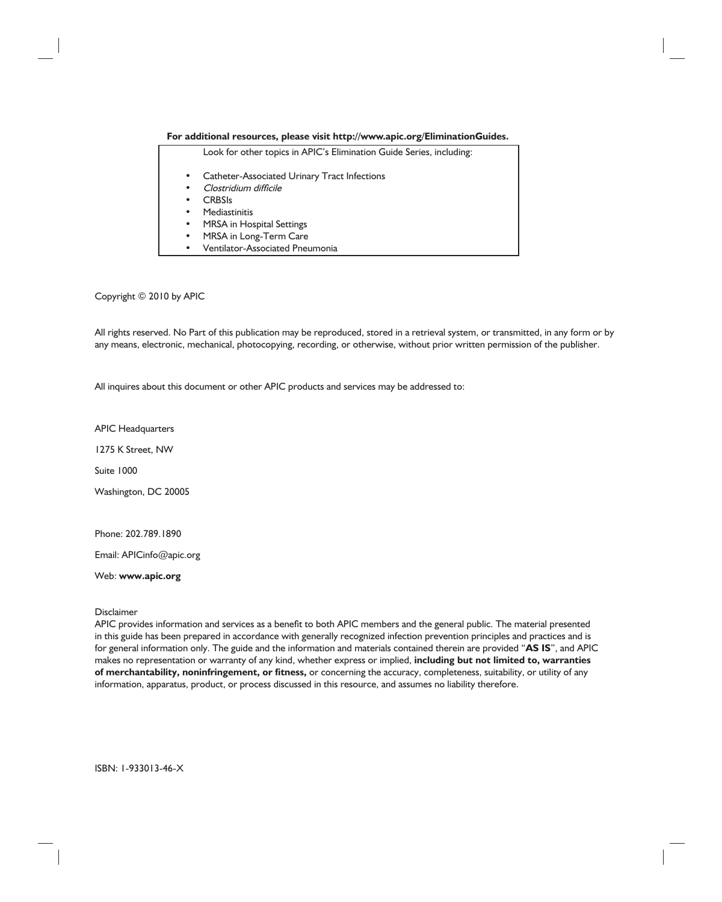#### **For additional resources, please visit http://www.apic.org/EliminationGuides.**

| Look for other topics in APIC's Elimination Guide Series, including: |  |
|----------------------------------------------------------------------|--|
| Catheter-Associated Urinary Tract Infections<br>$\bullet$            |  |
| Clostridium difficile<br>٠                                           |  |
| <b>CRBSIs</b><br>٠                                                   |  |
| <b>Mediastinitis</b><br>٠                                            |  |
| MRSA in Hospital Settings<br>٠                                       |  |
| MRSA in Long-Term Care<br>٠                                          |  |
| Ventilator-Associated Pneumonia<br>$\bullet$                         |  |

#### Copyright © 2010 by APIC

All rights reserved. No Part of this publication may be reproduced, stored in a retrieval system, or transmitted, in any form or by any means, electronic, mechanical, photocopying, recording, or otherwise, without prior written permission of the publisher.

All inquires about this document or other APIC products and services may be addressed to:

APIC Headquarters

1275 K Street, NW

Suite 1000

Washington, DC 20005

Phone: 202.789.1890

Email: APICinfo@apic.org

Web: **www.apic.org**

**Disclaimer** 

APIC provides information and services as a benefit to both APIC members and the general public. The material presented in this guide has been prepared in accordance with generally recognized infection prevention principles and practices and is for general information only. The guide and the information and materials contained therein are provided "**AS IS**", and APIC makes no representation or warranty of any kind, whether express or implied, **including but not limited to, warranties**  of merchantability, noninfringement, or fitness, or concerning the accuracy, completeness, suitability, or utility of any information, apparatus, product, or process discussed in this resource, and assumes no liability therefore.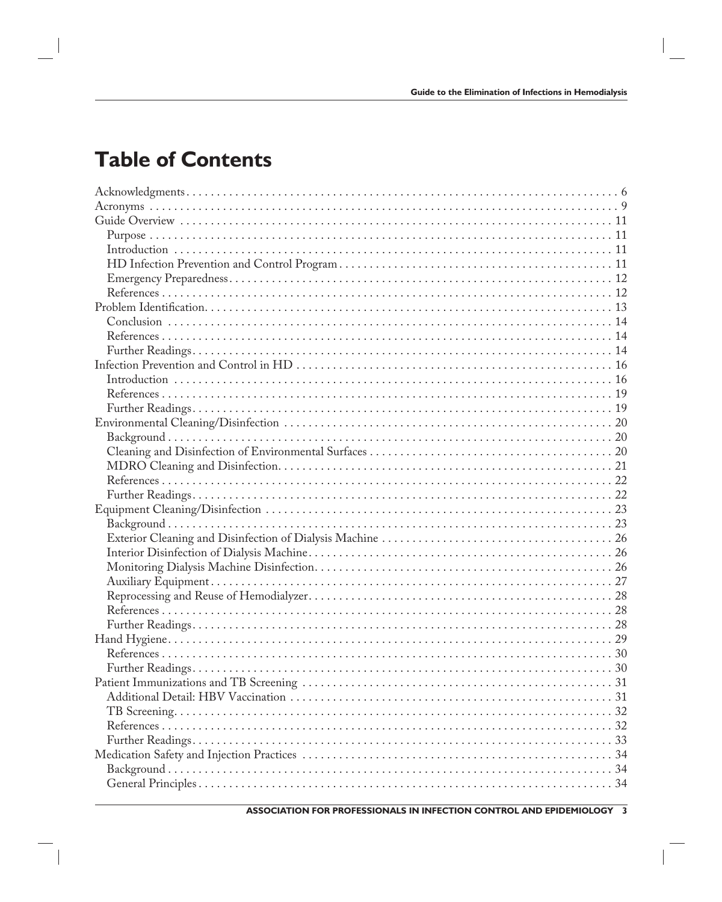# **Table of Contents**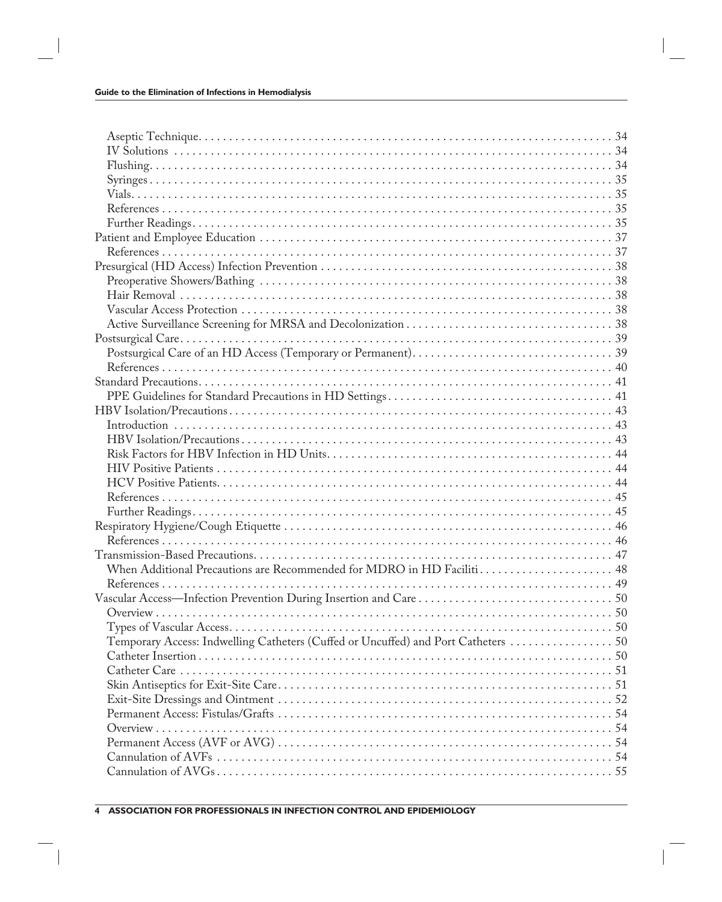| When Additional Precautions are Recommended for MDRO in HD Faciliti 48             |  |
|------------------------------------------------------------------------------------|--|
|                                                                                    |  |
|                                                                                    |  |
|                                                                                    |  |
|                                                                                    |  |
| Temporary Access: Indwelling Catheters (Cuffed or Uncuffed) and Port Catheters  50 |  |
|                                                                                    |  |
|                                                                                    |  |
|                                                                                    |  |
|                                                                                    |  |
|                                                                                    |  |
|                                                                                    |  |
|                                                                                    |  |
|                                                                                    |  |
|                                                                                    |  |
|                                                                                    |  |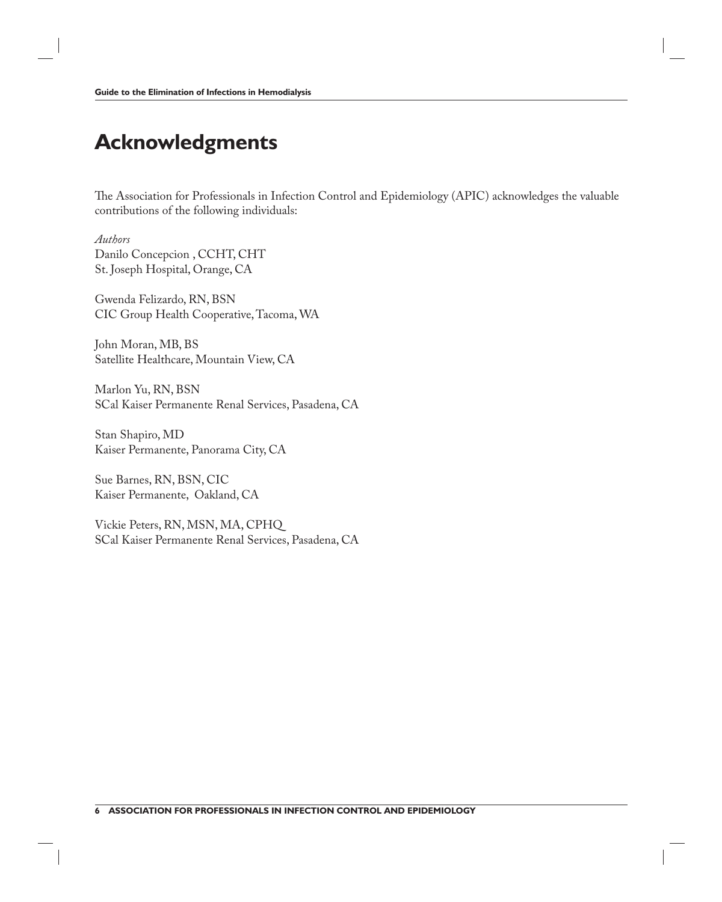### **Acknowledgments**

The Association for Professionals in Infection Control and Epidemiology (APIC) acknowledges the valuable contributions of the following individuals:

*Authors* Danilo Concepcion , CCHT, CHT St. Joseph Hospital, Orange, CA

Gwenda Felizardo, RN, BSN CIC Group Health Cooperative, Tacoma, WA

John Moran, MB, BS Satellite Healthcare, Mountain View, CA

Marlon Yu, RN, BSN SCal Kaiser Permanente Renal Services, Pasadena, CA

Stan Shapiro, MD Kaiser Permanente, Panorama City, CA

Sue Barnes, RN, BSN, CIC Kaiser Permanente, Oakland, CA

Vickie Peters, RN, MSN, MA, CPHQ SCal Kaiser Permanente Renal Services, Pasadena, CA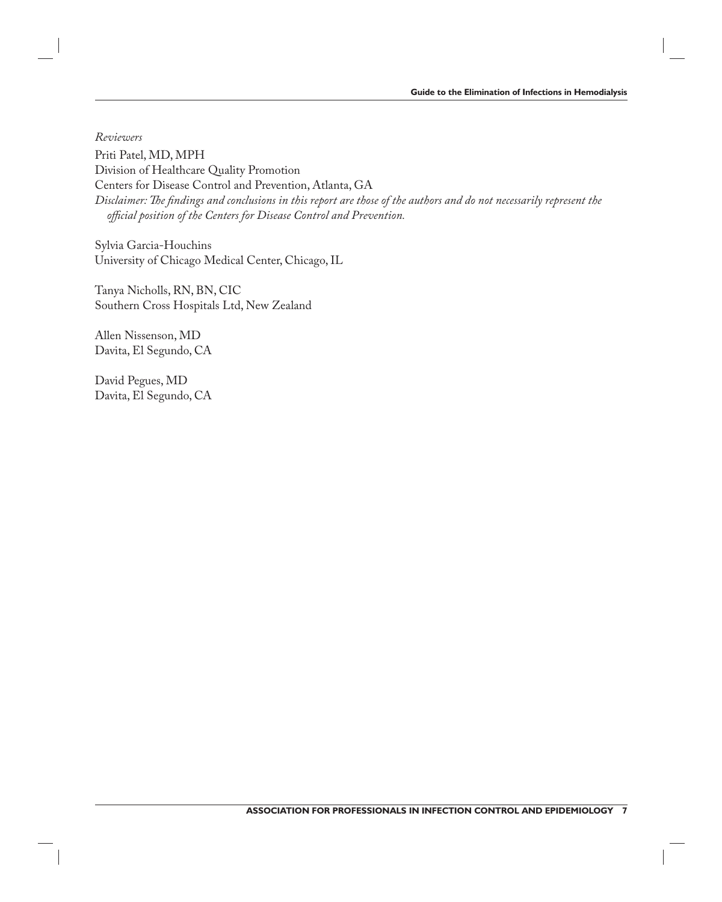*Reviewers*

Priti Patel, MD, MPH Division of Healthcare Quality Promotion Centers for Disease Control and Prevention, Atlanta, GA Disclaimer: The findings and conclusions in this report are those of the authors and do not necessarily represent the *offi cial position of the Centers for Disease Control and Prevention.*

Sylvia Garcia-Houchins University of Chicago Medical Center, Chicago, IL

Tanya Nicholls, RN, BN, CIC Southern Cross Hospitals Ltd, New Zealand

Allen Nissenson, MD Davita, El Segundo, CA

David Pegues, MD Davita, El Segundo, CA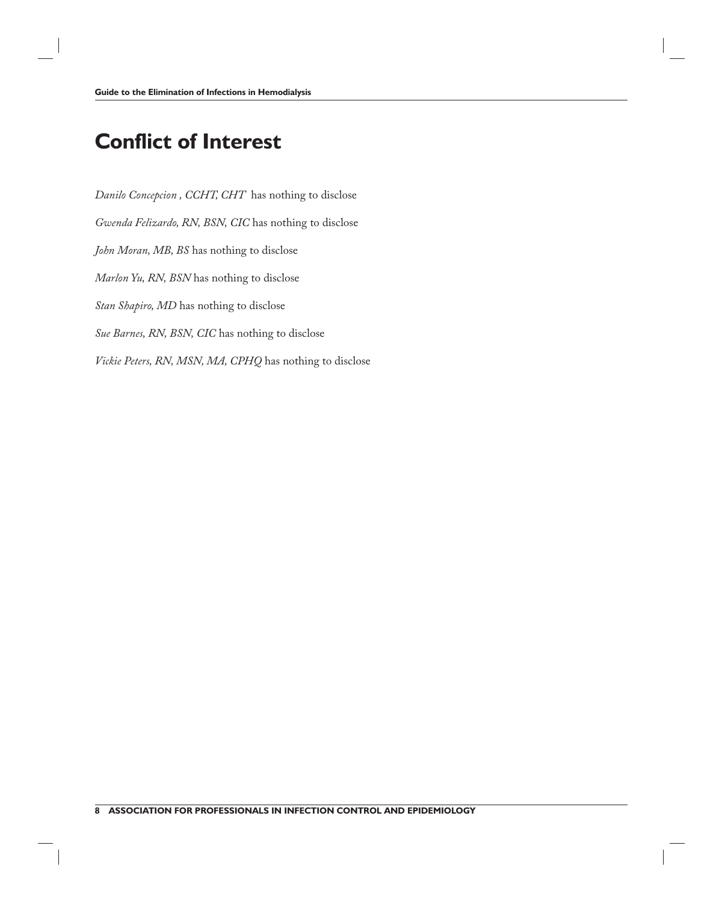# **Conflict of Interest**

*Danilo Concepcion , CCHT, CHT* has nothing to disclose *Gwenda Felizardo, RN, BSN, CIC* has nothing to disclose *John Moran, MB, BS* has nothing to disclose *Marlon Yu, RN, BSN* has nothing to disclose *Stan Shapiro, MD* has nothing to disclose *Sue Barnes, RN, BSN, CIC* has nothing to disclose *Vickie Peters, RN, MSN, MA, CPHQ* has nothing to disclose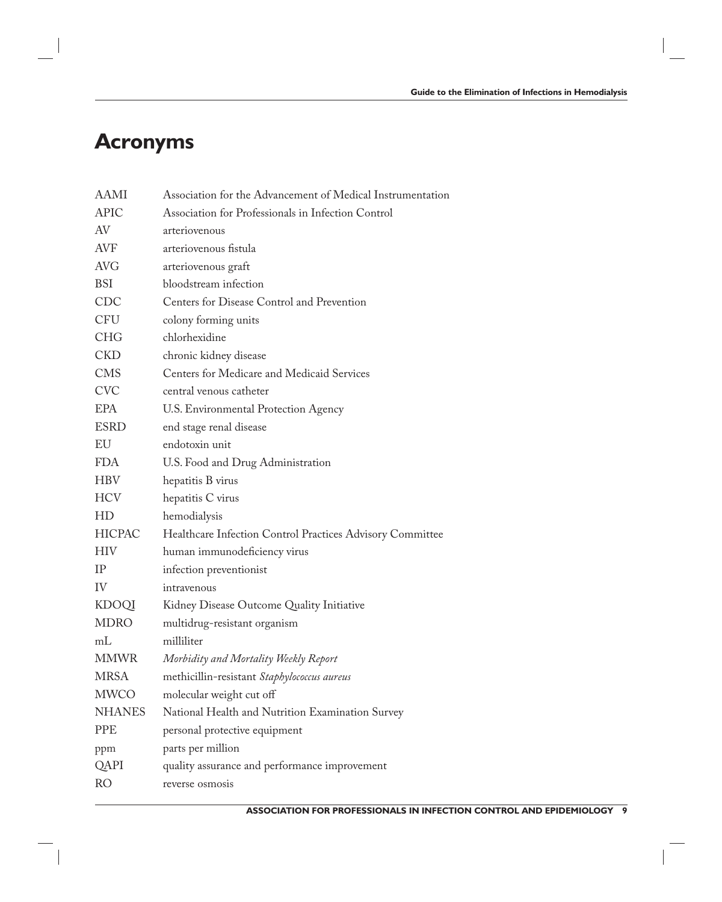### **Acronyms**

| <b>AAMI</b>   | Association for the Advancement of Medical Instrumentation |  |  |  |  |  |
|---------------|------------------------------------------------------------|--|--|--|--|--|
| <b>APIC</b>   | Association for Professionals in Infection Control         |  |  |  |  |  |
| AV            | arteriovenous                                              |  |  |  |  |  |
| <b>AVF</b>    | arteriovenous fistula                                      |  |  |  |  |  |
| <b>AVG</b>    | arteriovenous graft                                        |  |  |  |  |  |
| <b>BSI</b>    | bloodstream infection                                      |  |  |  |  |  |
| <b>CDC</b>    | Centers for Disease Control and Prevention                 |  |  |  |  |  |
| <b>CFU</b>    | colony forming units                                       |  |  |  |  |  |
| <b>CHG</b>    | chlorhexidine                                              |  |  |  |  |  |
| <b>CKD</b>    | chronic kidney disease                                     |  |  |  |  |  |
| <b>CMS</b>    | Centers for Medicare and Medicaid Services                 |  |  |  |  |  |
| <b>CVC</b>    | central venous catheter                                    |  |  |  |  |  |
| <b>EPA</b>    | U.S. Environmental Protection Agency                       |  |  |  |  |  |
| <b>ESRD</b>   | end stage renal disease                                    |  |  |  |  |  |
| EU            | endotoxin unit                                             |  |  |  |  |  |
| <b>FDA</b>    | U.S. Food and Drug Administration                          |  |  |  |  |  |
| <b>HBV</b>    | hepatitis B virus                                          |  |  |  |  |  |
| <b>HCV</b>    | hepatitis C virus                                          |  |  |  |  |  |
| HD            | hemodialysis                                               |  |  |  |  |  |
| <b>HICPAC</b> | Healthcare Infection Control Practices Advisory Committee  |  |  |  |  |  |
| <b>HIV</b>    | human immunodeficiency virus                               |  |  |  |  |  |
| IP            | infection preventionist                                    |  |  |  |  |  |
| IV            | intravenous                                                |  |  |  |  |  |
| <b>KDOQI</b>  | Kidney Disease Outcome Quality Initiative                  |  |  |  |  |  |
| <b>MDRO</b>   | multidrug-resistant organism                               |  |  |  |  |  |
| mL            | milliliter                                                 |  |  |  |  |  |
| <b>MMWR</b>   | Morbidity and Mortality Weekly Report                      |  |  |  |  |  |
| <b>MRSA</b>   | methicillin-resistant Staphylococcus aureus                |  |  |  |  |  |
| <b>MWCO</b>   | molecular weight cut off                                   |  |  |  |  |  |
| <b>NHANES</b> | National Health and Nutrition Examination Survey           |  |  |  |  |  |
| <b>PPE</b>    | personal protective equipment                              |  |  |  |  |  |
| ppm           | parts per million                                          |  |  |  |  |  |
| QAPI          | quality assurance and performance improvement              |  |  |  |  |  |
| <b>RO</b>     | reverse osmosis                                            |  |  |  |  |  |
|               |                                                            |  |  |  |  |  |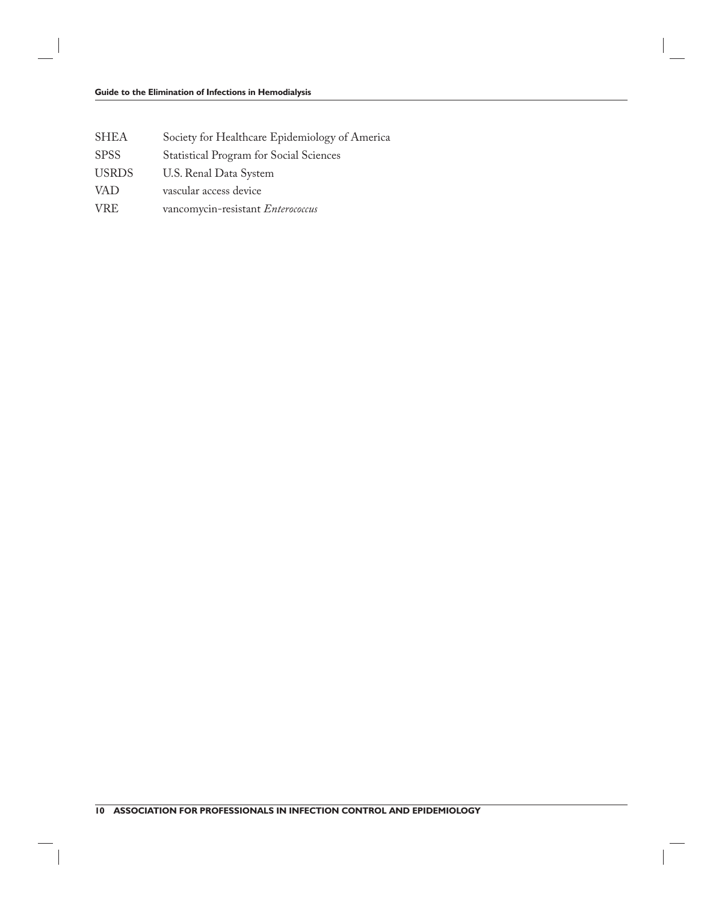- SHEA Society for Healthcare Epidemiology of America
- SPSS Statistical Program for Social Sciences
- USRDS U.S. Renal Data System
- VAD vascular access device
- VRE vancomycin-resistant *Enterococcus*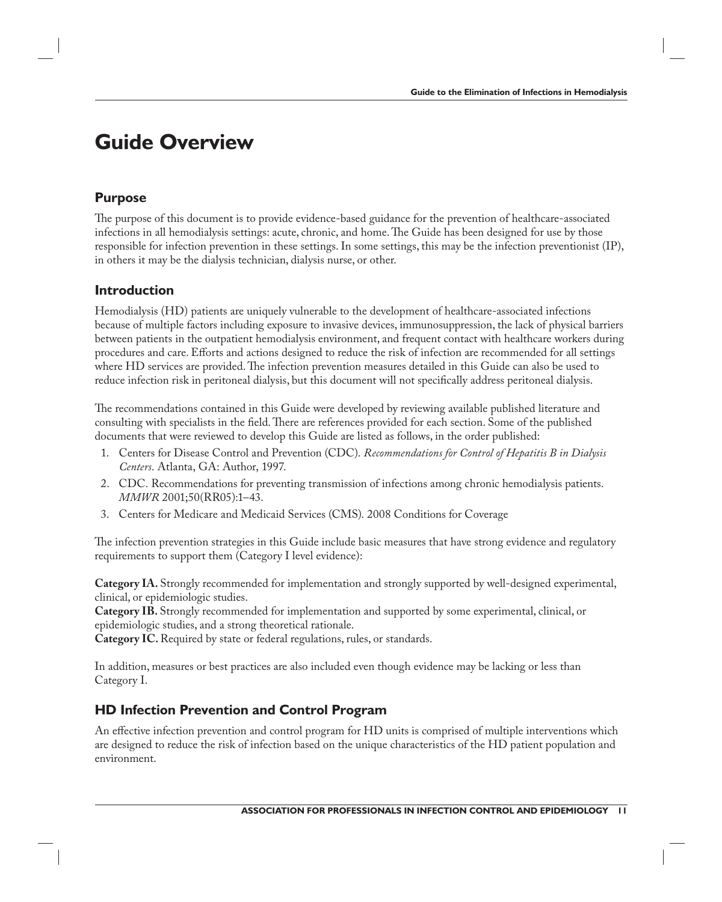### **Guide Overview**

#### **Purpose**

The purpose of this document is to provide evidence-based guidance for the prevention of healthcare-associated infections in all hemodialysis settings: acute, chronic, and home. The Guide has been designed for use by those responsible for infection prevention in these settings. In some settings, this may be the infection preventionist (IP), in others it may be the dialysis technician, dialysis nurse, or other.

#### **Introduction**

Hemodialysis (HD) patients are uniquely vulnerable to the development of healthcare-associated infections because of multiple factors including exposure to invasive devices, immunosuppression, the lack of physical barriers between patients in the outpatient hemodialysis environment, and frequent contact with healthcare workers during procedures and care. Efforts and actions designed to reduce the risk of infection are recommended for all settings where HD services are provided. The infection prevention measures detailed in this Guide can also be used to reduce infection risk in peritoneal dialysis, but this document will not specifically address peritoneal dialysis.

The recommendations contained in this Guide were developed by reviewing available published literature and consulting with specialists in the field. There are references provided for each section. Some of the published documents that were reviewed to develop this Guide are listed as follows, in the order published:

- 1. Centers for Disease Control and Prevention (CDC). *Recommendations for Control of Hepatitis B in Dialysis Centers*. Atlanta, GA: Author, 1997.
- 2. CDC. Recommendations for preventing transmission of infections among chronic hemodialysis patients. *MMWR* 2001;50(RR05):1–43.
- 3. Centers for Medicare and Medicaid Services (CMS). 2008 Conditions for Coverage

The infection prevention strategies in this Guide include basic measures that have strong evidence and regulatory requirements to support them (Category I level evidence):

**Category IA.** Strongly recommended for implementation and strongly supported by well-designed experimental, clinical, or epidemiologic studies.

**Category IB.** Strongly recommended for implementation and supported by some experimental, clinical, or epidemiologic studies, and a strong theoretical rationale.

**Category IC.** Required by state or federal regulations, rules, or standards.

In addition, measures or best practices are also included even though evidence may be lacking or less than Category I.

#### **HD Infection Prevention and Control Program**

An effective infection prevention and control program for HD units is comprised of multiple interventions which are designed to reduce the risk of infection based on the unique characteristics of the HD patient population and environment.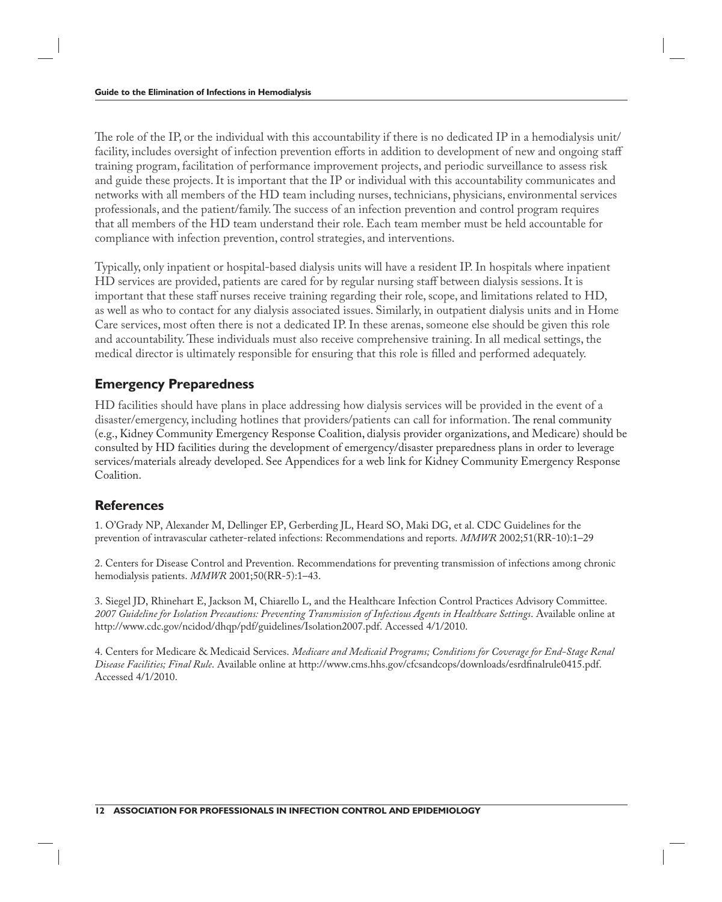The role of the IP, or the individual with this accountability if there is no dedicated IP in a hemodialysis unit/ facility, includes oversight of infection prevention efforts in addition to development of new and ongoing staff training program, facilitation of performance improvement projects, and periodic surveillance to assess risk and guide these projects. It is important that the IP or individual with this accountability communicates and networks with all members of the HD team including nurses, technicians, physicians, environmental services professionals, and the patient/family. The success of an infection prevention and control program requires that all members of the HD team understand their role. Each team member must be held accountable for compliance with infection prevention, control strategies, and interventions.

Typically, only inpatient or hospital-based dialysis units will have a resident IP. In hospitals where inpatient HD services are provided, patients are cared for by regular nursing staff between dialysis sessions. It is important that these staff nurses receive training regarding their role, scope, and limitations related to HD, as well as who to contact for any dialysis associated issues. Similarly, in outpatient dialysis units and in Home Care services, most often there is not a dedicated IP. In these arenas, someone else should be given this role and accountability. These individuals must also receive comprehensive training. In all medical settings, the medical director is ultimately responsible for ensuring that this role is filled and performed adequately.

#### **Emergency Preparedness**

HD facilities should have plans in place addressing how dialysis services will be provided in the event of a disaster/emergency, including hotlines that providers/patients can call for information. The renal community (e.g., Kidney Community Emergency Response Coalition, dialysis provider organizations, and Medicare) should be consulted by HD facilities during the development of emergency/disaster preparedness plans in order to leverage services/materials already developed. See Appendices for a web link for Kidney Community Emergency Response Coalition.

#### **References**

1. O'Grady NP, Alexander M, Dellinger EP, Gerberding JL, Heard SO, Maki DG, et al. CDC Guidelines for the prevention of intravascular catheter-related infections: Recommendations and reports. *MMWR* 2002;51(RR-10):1–29

2. Centers for Disease Control and Prevention. Recommendations for preventing transmission of infections among chronic hemodialysis patients. *MMWR* 2001;50(RR-5):1–43.

3. Siegel JD, Rhinehart E, Jackson M, Chiarello L, and the Healthcare Infection Control Practices Advisory Committee. *2007 Guideline for Isolation Precautions: Preventing Transmission of Infectious Agents in Healthcare Settings*. Available online at http://www.cdc.gov/ncidod/dhqp/pdf/guidelines/Isolation2007.pdf. Accessed 4/1/2010.

4. Centers for Medicare & Medicaid Services. *Medicare and Medicaid Programs; Conditions for Coverage for End-Stage Renal*  Disease Facilities; Final Rule. Available online at http://www.cms.hhs.gov/cfcsandcops/downloads/esrdfinalrule0415.pdf. Accessed 4/1/2010.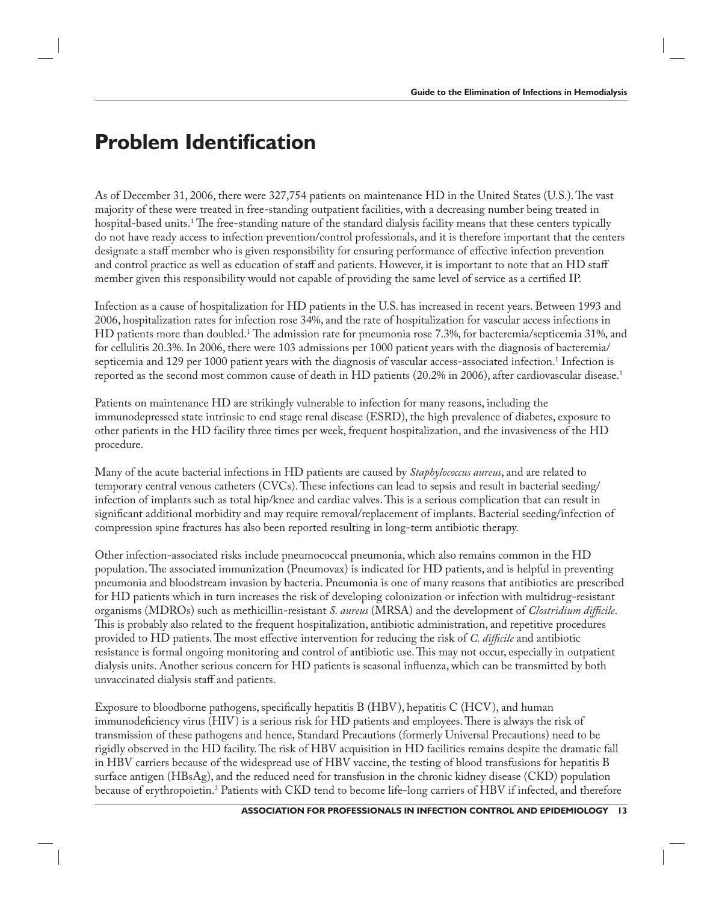### **Problem Identification**

As of December 31, 2006, there were 327,754 patients on maintenance HD in the United States (U.S.). The vast majority of these were treated in free-standing outpatient facilities, with a decreasing number being treated in hospital-based units.<sup>1</sup> The free-standing nature of the standard dialysis facility means that these centers typically do not have ready access to infection prevention/control professionals, and it is therefore important that the centers designate a staff member who is given responsibility for ensuring performance of effective infection prevention and control practice as well as education of staff and patients. However, it is important to note that an HD staff member given this responsibility would not capable of providing the same level of service as a certified IP.

Infection as a cause of hospitalization for HD patients in the U.S. has increased in recent years. Between 1993 and 2006, hospitalization rates for infection rose 34%, and the rate of hospitalization for vascular access infections in HD patients more than doubled.<sup>1</sup> The admission rate for pneumonia rose 7.3%, for bacteremia/septicemia 31%, and for cellulitis 20.3%. In 2006, there were 103 admissions per 1000 patient years with the diagnosis of bacteremia/ septicemia and 129 per 1000 patient years with the diagnosis of vascular access-associated infection.<sup>1</sup> Infection is reported as the second most common cause of death in HD patients (20.2% in 2006), after cardiovascular disease.<sup>1</sup>

Patients on maintenance HD are strikingly vulnerable to infection for many reasons, including the immunodepressed state intrinsic to end stage renal disease (ESRD), the high prevalence of diabetes, exposure to other patients in the HD facility three times per week, frequent hospitalization, and the invasiveness of the HD procedure.

Many of the acute bacterial infections in HD patients are caused by *Staphylococcus aureus*, and are related to temporary central venous catheters (CVCs). These infections can lead to sepsis and result in bacterial seeding/ infection of implants such as total hip/knee and cardiac valves. This is a serious complication that can result in significant additional morbidity and may require removal/replacement of implants. Bacterial seeding/infection of compression spine fractures has also been reported resulting in long-term antibiotic therapy.

Other infection-associated risks include pneumococcal pneumonia, which also remains common in the HD population. The associated immunization (Pneumovax) is indicated for HD patients, and is helpful in preventing pneumonia and bloodstream invasion by bacteria. Pneumonia is one of many reasons that antibiotics are prescribed for HD patients which in turn increases the risk of developing colonization or infection with multidrug-resistant organisms (MDROs) such as methicillin-resistant *S. aureus* (MRSA) and the development of *Clostridium difficile*. This is probably also related to the frequent hospitalization, antibiotic administration, and repetitive procedures provided to HD patients. The most effective intervention for reducing the risk of *C. difficile* and antibiotic resistance is formal ongoing monitoring and control of antibiotic use. This may not occur, especially in outpatient dialysis units. Another serious concern for HD patients is seasonal influenza, which can be transmitted by both unvaccinated dialysis staff and patients.

Exposure to bloodborne pathogens, specifically hepatitis B (HBV), hepatitis C (HCV), and human immunodeficiency virus (HIV) is a serious risk for HD patients and employees. There is always the risk of transmission of these pathogens and hence, Standard Precautions (formerly Universal Precautions) need to be rigidly observed in the HD facility. The risk of HBV acquisition in HD facilities remains despite the dramatic fall in HBV carriers because of the widespread use of HBV vaccine, the testing of blood transfusions for hepatitis B surface antigen (HBsAg), and the reduced need for transfusion in the chronic kidney disease (CKD) population because of erythropoietin.2 Patients with CKD tend to become life-long carriers of HBV if infected, and therefore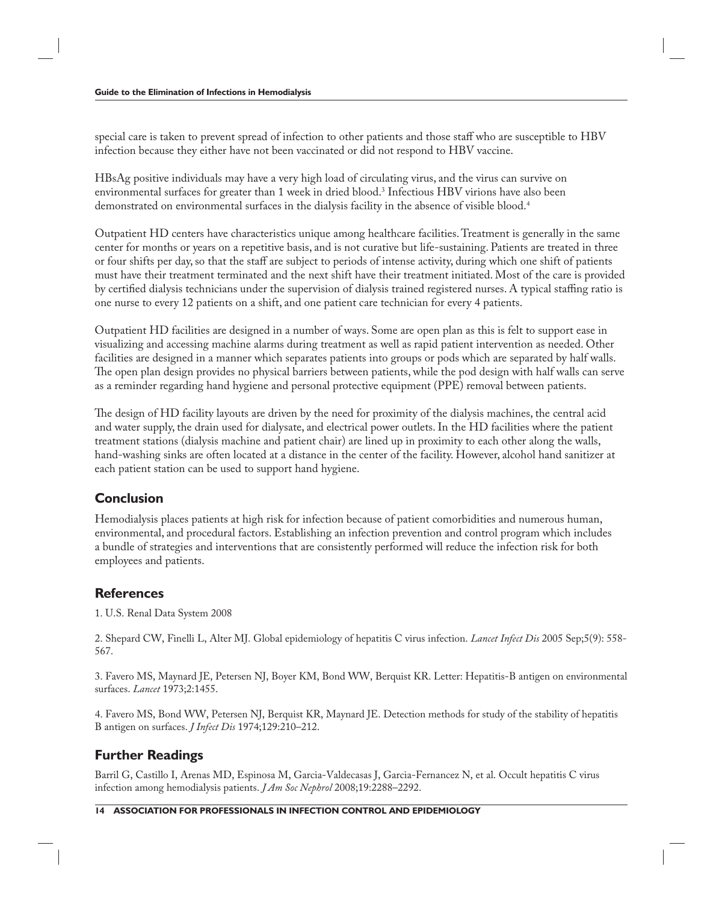special care is taken to prevent spread of infection to other patients and those staff who are susceptible to HBV infection because they either have not been vaccinated or did not respond to HBV vaccine.

HBsAg positive individuals may have a very high load of circulating virus, and the virus can survive on environmental surfaces for greater than 1 week in dried blood. $^3$  Infectious HBV virions have also been demonstrated on environmental surfaces in the dialysis facility in the absence of visible blood.<sup>4</sup>

Outpatient HD centers have characteristics unique among healthcare facilities. Treatment is generally in the same center for months or years on a repetitive basis, and is not curative but life-sustaining. Patients are treated in three or four shifts per day, so that the staff are subject to periods of intense activity, during which one shift of patients must have their treatment terminated and the next shift have their treatment initiated. Most of the care is provided by certified dialysis technicians under the supervision of dialysis trained registered nurses. A typical staffing ratio is one nurse to every 12 patients on a shift, and one patient care technician for every 4 patients.

Outpatient HD facilities are designed in a number of ways. Some are open plan as this is felt to support ease in visualizing and accessing machine alarms during treatment as well as rapid patient intervention as needed. Other facilities are designed in a manner which separates patients into groups or pods which are separated by half walls. The open plan design provides no physical barriers between patients, while the pod design with half walls can serve as a reminder regarding hand hygiene and personal protective equipment (PPE) removal between patients.

The design of HD facility layouts are driven by the need for proximity of the dialysis machines, the central acid and water supply, the drain used for dialysate, and electrical power outlets. In the HD facilities where the patient treatment stations (dialysis machine and patient chair) are lined up in proximity to each other along the walls, hand-washing sinks are often located at a distance in the center of the facility. However, alcohol hand sanitizer at each patient station can be used to support hand hygiene.

### **Conclusion**

Hemodialysis places patients at high risk for infection because of patient comorbidities and numerous human, environmental, and procedural factors. Establishing an infection prevention and control program which includes a bundle of strategies and interventions that are consistently performed will reduce the infection risk for both employees and patients.

#### **References**

1. U.S. Renal Data System 2008

2. Shepard CW, Finelli L, Alter MJ. Global epidemiology of hepatitis C virus infection. *Lancet Infect Dis* 2005 Sep;5(9): 558- 567.

3. Favero MS, Maynard JE, Petersen NJ, Boyer KM, Bond WW, Berquist KR. Letter: Hepatitis-B antigen on environmental surfaces. *Lancet* 1973;2:1455.

4. Favero MS, Bond WW, Petersen NJ, Berquist KR, Maynard JE. Detection methods for study of the stability of hepatitis B antigen on surfaces. *J Infect Dis* 1974;129:210–212.

### **Further Readings**

Barril G, Castillo I, Arenas MD, Espinosa M, Garcia-Valdecasas J, Garcia-Fernancez N, et al. Occult hepatitis C virus infection among hemodialysis patients. *J Am Soc Nephrol* 2008;19:2288–2292.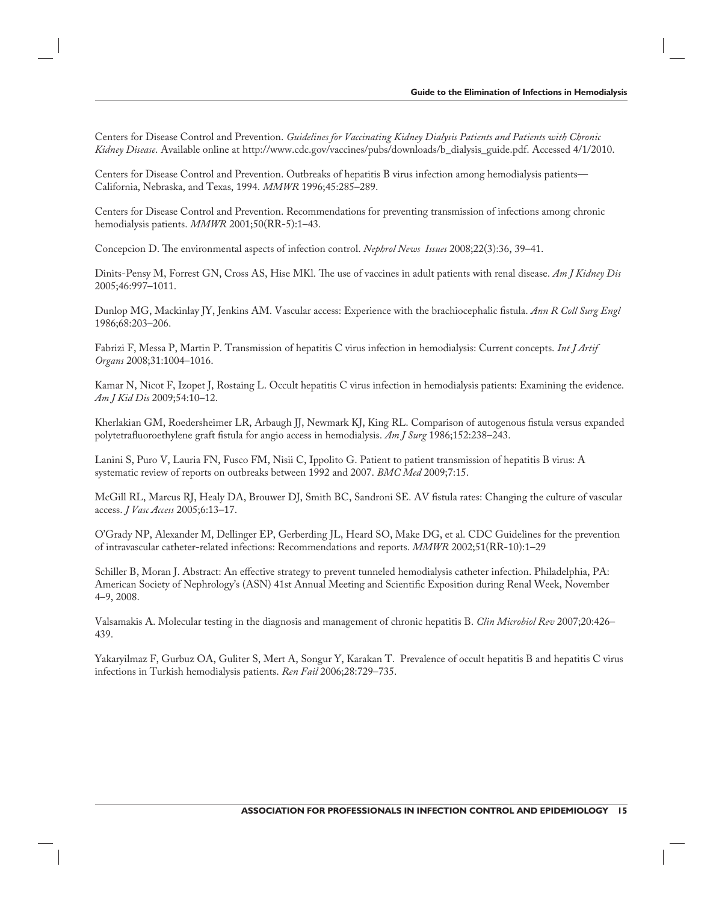Centers for Disease Control and Prevention. *Guidelines for Vaccinating Kidney Dialysis Patients and Patients with Chronic Kidney Disease*. Available online at http://www.cdc.gov/vaccines/pubs/downloads/b\_dialysis\_guide.pdf. Accessed 4/1/2010.

Centers for Disease Control and Prevention. Outbreaks of hepatitis B virus infection among hemodialysis patients— California, Nebraska, and Texas, 1994. *MMWR* 1996;45:285–289.

Centers for Disease Control and Prevention. Recommendations for preventing transmission of infections among chronic hemodialysis patients. *MMWR* 2001;50(RR-5):1–43.

Concepcion D. The environmental aspects of infection control. *Nephrol News Issues* 2008;22(3):36, 39–41.

Dinits-Pensy M, Forrest GN, Cross AS, Hise MKl. The use of vaccines in adult patients with renal disease. *Am J Kidney Dis* 2005;46:997–1011.

Dunlop MG, Mackinlay JY, Jenkins AM. Vascular access: Experience with the brachiocephalic fistula. *Ann R Coll Surg Engl* 1986;68:203–206.

Fabrizi F, Messa P, Martin P. Transmission of hepatitis C virus infection in hemodialysis: Current concepts. *Int J Artif Organs* 2008;31:1004–1016.

Kamar N, Nicot F, Izopet J, Rostaing L. Occult hepatitis C virus infection in hemodialysis patients: Examining the evidence. *Am J Kid Dis* 2009;54:10–12.

Kherlakian GM, Roedersheimer LR, Arbaugh JJ, Newmark KJ, King RL. Comparison of autogenous fistula versus expanded polytetrafluoroethylene graft fistula for angio access in hemodialysis. *Am J Surg* 1986;152:238–243.

Lanini S, Puro V, Lauria FN, Fusco FM, Nisii C, Ippolito G. Patient to patient transmission of hepatitis B virus: A systematic review of reports on outbreaks between 1992 and 2007. *BMC Med* 2009;7:15.

McGill RL, Marcus RJ, Healy DA, Brouwer DJ, Smith BC, Sandroni SE. AV fistula rates: Changing the culture of vascular access. *J Vasc Access* 2005;6:13–17.

O'Grady NP, Alexander M, Dellinger EP, Gerberding JL, Heard SO, Make DG, et al. CDC Guidelines for the prevention of intravascular catheter-related infections: Recommendations and reports. *MMWR* 2002;51(RR-10):1–29

Schiller B, Moran J. Abstract: An effective strategy to prevent tunneled hemodialysis catheter infection. Philadelphia, PA: American Society of Nephrology's (ASN) 41st Annual Meeting and Scientific Exposition during Renal Week, November 4–9, 2008.

Valsamakis A. Molecular testing in the diagnosis and management of chronic hepatitis B. *Clin Microbiol Rev* 2007;20:426– 439.

Yakaryilmaz F, Gurbuz OA, Guliter S, Mert A, Songur Y, Karakan T. Prevalence of occult hepatitis B and hepatitis C virus infections in Turkish hemodialysis patients. *Ren Fail* 2006;28:729–735.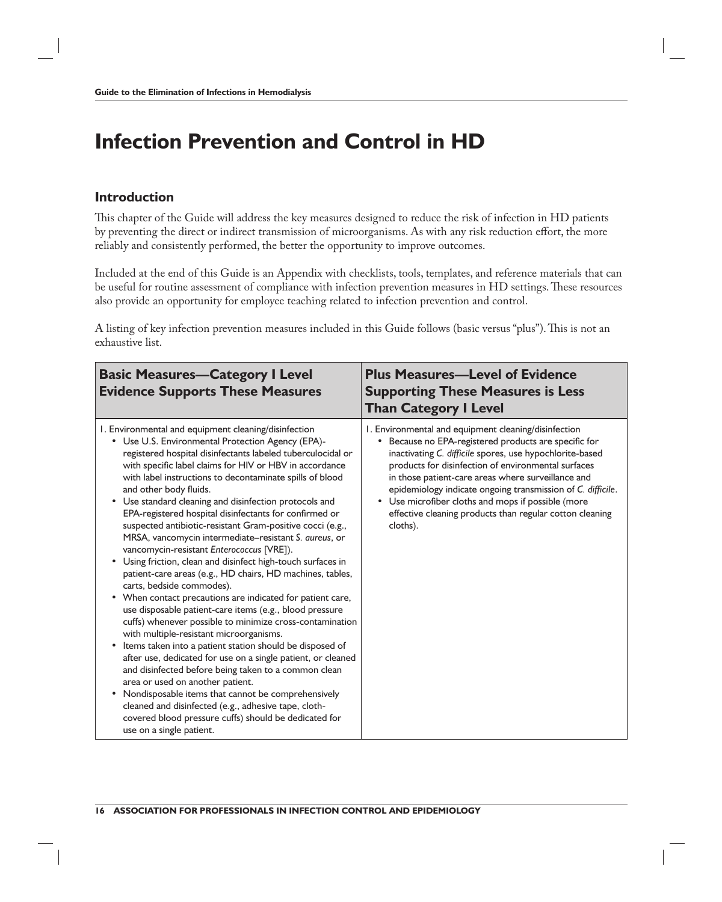### **Infection Prevention and Control in HD**

#### **Introduction**

This chapter of the Guide will address the key measures designed to reduce the risk of infection in HD patients by preventing the direct or indirect transmission of microorganisms. As with any risk reduction effort, the more reliably and consistently performed, the better the opportunity to improve outcomes.

Included at the end of this Guide is an Appendix with checklists, tools, templates, and reference materials that can be useful for routine assessment of compliance with infection prevention measures in HD settings. These resources also provide an opportunity for employee teaching related to infection prevention and control.

A listing of key infection prevention measures included in this Guide follows (basic versus "plus"). This is not an exhaustive list.

| <b>Basic Measures-Category I Level</b><br><b>Evidence Supports These Measures</b>                                                                                                                                                                                                                                                                                                                                                                                                                                                                                                                                                                                                                                                                                                                                                                                                                                                                                                                                                                                                                                                                                                                                                                                                                                                                                                                                               | <b>Plus Measures-Level of Evidence</b><br><b>Supporting These Measures is Less</b><br><b>Than Category I Level</b>                                                                                                                                                                                                                                                                                                                                                                  |
|---------------------------------------------------------------------------------------------------------------------------------------------------------------------------------------------------------------------------------------------------------------------------------------------------------------------------------------------------------------------------------------------------------------------------------------------------------------------------------------------------------------------------------------------------------------------------------------------------------------------------------------------------------------------------------------------------------------------------------------------------------------------------------------------------------------------------------------------------------------------------------------------------------------------------------------------------------------------------------------------------------------------------------------------------------------------------------------------------------------------------------------------------------------------------------------------------------------------------------------------------------------------------------------------------------------------------------------------------------------------------------------------------------------------------------|-------------------------------------------------------------------------------------------------------------------------------------------------------------------------------------------------------------------------------------------------------------------------------------------------------------------------------------------------------------------------------------------------------------------------------------------------------------------------------------|
| I. Environmental and equipment cleaning/disinfection<br>• Use U.S. Environmental Protection Agency (EPA)-<br>registered hospital disinfectants labeled tuberculocidal or<br>with specific label claims for HIV or HBV in accordance<br>with label instructions to decontaminate spills of blood<br>and other body fluids.<br>Use standard cleaning and disinfection protocols and<br>EPA-registered hospital disinfectants for confirmed or<br>suspected antibiotic-resistant Gram-positive cocci (e.g.,<br>MRSA, vancomycin intermediate-resistant S. aureus, or<br>vancomycin-resistant Enterococcus [VRE]).<br>Using friction, clean and disinfect high-touch surfaces in<br>patient-care areas (e.g., HD chairs, HD machines, tables,<br>carts, bedside commodes).<br>When contact precautions are indicated for patient care,<br>use disposable patient-care items (e.g., blood pressure<br>cuffs) whenever possible to minimize cross-contamination<br>with multiple-resistant microorganisms.<br>Items taken into a patient station should be disposed of<br>after use, dedicated for use on a single patient, or cleaned<br>and disinfected before being taken to a common clean<br>area or used on another patient.<br>Nondisposable items that cannot be comprehensively<br>cleaned and disinfected (e.g., adhesive tape, cloth-<br>covered blood pressure cuffs) should be dedicated for<br>use on a single patient. | I. Environmental and equipment cleaning/disinfection<br>• Because no EPA-registered products are specific for<br>inactivating C. difficile spores, use hypochlorite-based<br>products for disinfection of environmental surfaces<br>in those patient-care areas where surveillance and<br>epidemiology indicate ongoing transmission of C. difficile.<br>• Use microfiber cloths and mops if possible (more<br>effective cleaning products than regular cotton cleaning<br>cloths). |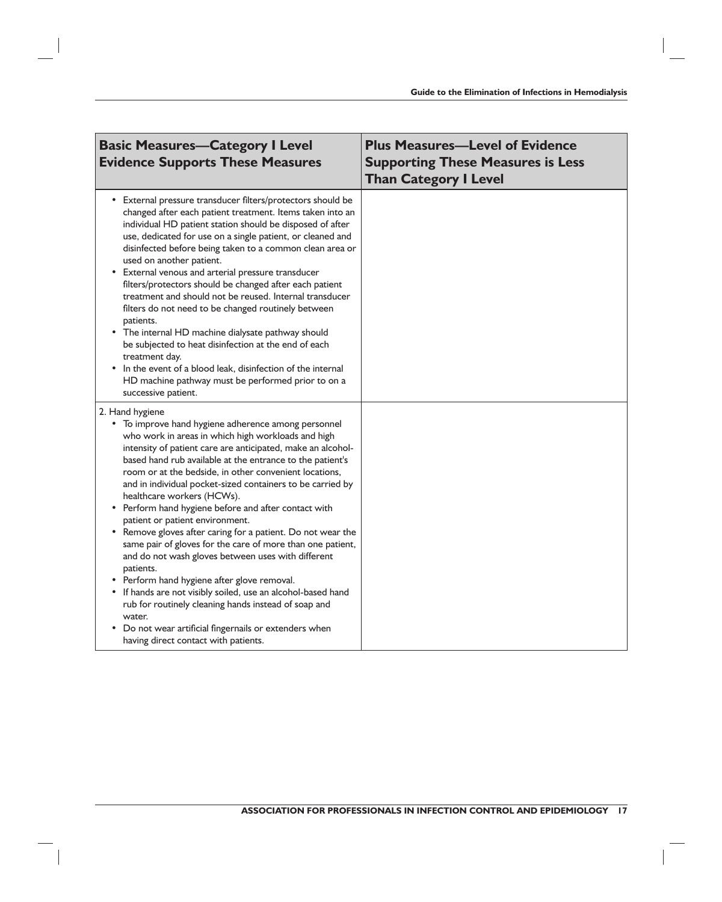| <b>Basic Measures-Category I Level</b><br><b>Evidence Supports These Measures</b>                                                                                                                                                                                                                                                                                                                                                                                                                                                                                                                                                                                                                                                                                                                                                                                                                                                                                                      | <b>Plus Measures-Level of Evidence</b><br><b>Supporting These Measures is Less</b><br><b>Than Category I Level</b> |
|----------------------------------------------------------------------------------------------------------------------------------------------------------------------------------------------------------------------------------------------------------------------------------------------------------------------------------------------------------------------------------------------------------------------------------------------------------------------------------------------------------------------------------------------------------------------------------------------------------------------------------------------------------------------------------------------------------------------------------------------------------------------------------------------------------------------------------------------------------------------------------------------------------------------------------------------------------------------------------------|--------------------------------------------------------------------------------------------------------------------|
| External pressure transducer filters/protectors should be<br>$\bullet$<br>changed after each patient treatment. Items taken into an<br>individual HD patient station should be disposed of after<br>use, dedicated for use on a single patient, or cleaned and<br>disinfected before being taken to a common clean area or<br>used on another patient.<br>External venous and arterial pressure transducer<br>٠<br>filters/protectors should be changed after each patient<br>treatment and should not be reused. Internal transducer<br>filters do not need to be changed routinely between<br>patients.<br>• The internal HD machine dialysate pathway should<br>be subjected to heat disinfection at the end of each<br>treatment day.<br>In the event of a blood leak, disinfection of the internal<br>HD machine pathway must be performed prior to on a<br>successive patient.                                                                                                   |                                                                                                                    |
| 2. Hand hygiene<br>• To improve hand hygiene adherence among personnel<br>who work in areas in which high workloads and high<br>intensity of patient care are anticipated, make an alcohol-<br>based hand rub available at the entrance to the patient's<br>room or at the bedside, in other convenient locations,<br>and in individual pocket-sized containers to be carried by<br>healthcare workers (HCWs).<br>• Perform hand hygiene before and after contact with<br>patient or patient environment.<br>Remove gloves after caring for a patient. Do not wear the<br>same pair of gloves for the care of more than one patient,<br>and do not wash gloves between uses with different<br>patients.<br>Perform hand hygiene after glove removal.<br>• If hands are not visibly soiled, use an alcohol-based hand<br>rub for routinely cleaning hands instead of soap and<br>water.<br>Do not wear artificial fingernails or extenders when<br>having direct contact with patients. |                                                                                                                    |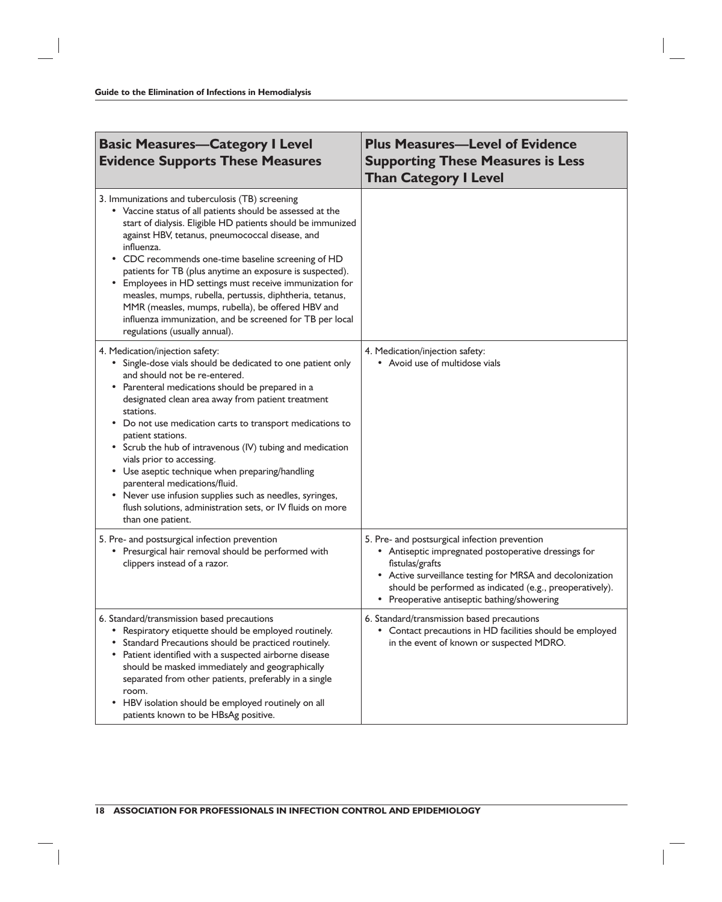| <b>Basic Measures-Category I Level</b><br><b>Evidence Supports These Measures</b>                                                                                                                                                                                                                                                                                                                                                                                                                                                                                                                                                                            | <b>Plus Measures-Level of Evidence</b><br><b>Supporting These Measures is Less</b><br><b>Than Category I Level</b>                                                                                                                                                                               |
|--------------------------------------------------------------------------------------------------------------------------------------------------------------------------------------------------------------------------------------------------------------------------------------------------------------------------------------------------------------------------------------------------------------------------------------------------------------------------------------------------------------------------------------------------------------------------------------------------------------------------------------------------------------|--------------------------------------------------------------------------------------------------------------------------------------------------------------------------------------------------------------------------------------------------------------------------------------------------|
| 3. Immunizations and tuberculosis (TB) screening<br>• Vaccine status of all patients should be assessed at the<br>start of dialysis. Eligible HD patients should be immunized<br>against HBV, tetanus, pneumococcal disease, and<br>influenza.<br>CDC recommends one-time baseline screening of HD<br>patients for TB (plus anytime an exposure is suspected).<br>Employees in HD settings must receive immunization for<br>$\bullet$<br>measles, mumps, rubella, pertussis, diphtheria, tetanus,<br>MMR (measles, mumps, rubella), be offered HBV and<br>influenza immunization, and be screened for TB per local<br>regulations (usually annual).          |                                                                                                                                                                                                                                                                                                  |
| 4. Medication/injection safety:<br>• Single-dose vials should be dedicated to one patient only<br>and should not be re-entered.<br>Parenteral medications should be prepared in a<br>designated clean area away from patient treatment<br>stations.<br>Do not use medication carts to transport medications to<br>patient stations.<br>Scrub the hub of intravenous (IV) tubing and medication<br>vials prior to accessing.<br>• Use aseptic technique when preparing/handling<br>parenteral medications/fluid.<br>Never use infusion supplies such as needles, syringes,<br>flush solutions, administration sets, or IV fluids on more<br>than one patient. | 4. Medication/injection safety:<br>• Avoid use of multidose vials                                                                                                                                                                                                                                |
| 5. Pre- and postsurgical infection prevention<br>• Presurgical hair removal should be performed with<br>clippers instead of a razor.                                                                                                                                                                                                                                                                                                                                                                                                                                                                                                                         | 5. Pre- and postsurgical infection prevention<br>• Antiseptic impregnated postoperative dressings for<br>fistulas/grafts<br>• Active surveillance testing for MRSA and decolonization<br>should be performed as indicated (e.g., preoperatively).<br>• Preoperative antiseptic bathing/showering |
| 6. Standard/transmission based precautions<br>Respiratory etiquette should be employed routinely.<br>Standard Precautions should be practiced routinely.<br>Patient identified with a suspected airborne disease<br>should be masked immediately and geographically<br>separated from other patients, preferably in a single<br>room.<br>HBV isolation should be employed routinely on all<br>patients known to be HBsAg positive.                                                                                                                                                                                                                           | 6. Standard/transmission based precautions<br>• Contact precautions in HD facilities should be employed<br>in the event of known or suspected MDRO.                                                                                                                                              |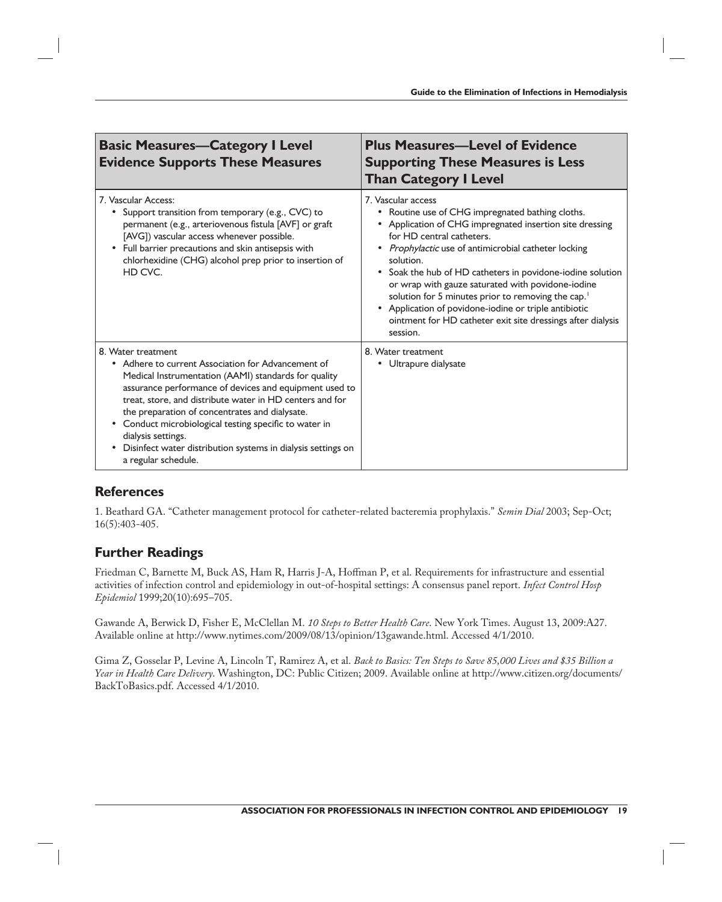| <b>Basic Measures-Category I Level</b><br><b>Evidence Supports These Measures</b>                                                                                                                                                                                                                                                                                                                                                                                                            | <b>Plus Measures-Level of Evidence</b><br><b>Supporting These Measures is Less</b><br><b>Than Category I Level</b>                                                                                                                                                                                                                                                                                                                                                                                                                                            |
|----------------------------------------------------------------------------------------------------------------------------------------------------------------------------------------------------------------------------------------------------------------------------------------------------------------------------------------------------------------------------------------------------------------------------------------------------------------------------------------------|---------------------------------------------------------------------------------------------------------------------------------------------------------------------------------------------------------------------------------------------------------------------------------------------------------------------------------------------------------------------------------------------------------------------------------------------------------------------------------------------------------------------------------------------------------------|
| 7. Vascular Access:<br>Support transition from temporary (e.g., CVC) to<br>permanent (e.g., arteriovenous fistula [AVF] or graft<br>[AVG]) vascular access whenever possible.<br>Full barrier precautions and skin antisepsis with<br>chlorhexidine (CHG) alcohol prep prior to insertion of<br>HD CVC.                                                                                                                                                                                      | 7. Vascular access<br>• Routine use of CHG impregnated bathing cloths.<br>• Application of CHG impregnated insertion site dressing<br>for HD central catheters.<br>• Prophylactic use of antimicrobial catheter locking<br>solution.<br>• Soak the hub of HD catheters in povidone-iodine solution<br>or wrap with gauze saturated with povidone-iodine<br>solution for 5 minutes prior to removing the cap. <sup>1</sup><br>• Application of povidone-iodine or triple antibiotic<br>ointment for HD catheter exit site dressings after dialysis<br>session. |
| 8. Water treatment<br>• Adhere to current Association for Advancement of<br>Medical Instrumentation (AAMI) standards for quality<br>assurance performance of devices and equipment used to<br>treat, store, and distribute water in HD centers and for<br>the preparation of concentrates and dialysate.<br>• Conduct microbiological testing specific to water in<br>dialysis settings.<br>Disinfect water distribution systems in dialysis settings on<br>$\bullet$<br>a regular schedule. | 8. Water treatment<br>• Ultrapure dialysate                                                                                                                                                                                                                                                                                                                                                                                                                                                                                                                   |

#### **References**

1. Beathard GA. "Catheter management protocol for catheter-related bacteremia prophylaxis." *Semin Dial* 2003; Sep-Oct; 16(5):403-405.

### **Further Readings**

Friedman C, Barnette M, Buck AS, Ham R, Harris J-A, Hoffman P, et al. Requirements for infrastructure and essential activities of infection control and epidemiology in out-of-hospital settings: A consensus panel report. *Infect Control Hosp Epidemiol* 1999;20(10):695–705.

Gawande A, Berwick D, Fisher E, McClellan M. *10 Steps to Better Health Care*. New York Times. August 13, 2009:A27. Available online at http://www.nytimes.com/2009/08/13/opinion/13gawande.html. Accessed 4/1/2010.

Gima Z, Gosselar P, Levine A, Lincoln T, Ramirez A, et al. *Back to Basics: Ten Steps to Save 85,000 Lives and \$35 Billion a Year in Health Care Delivery*. Washington, DC: Public Citizen; 2009. Available online at http://www.citizen.org/documents/ BackToBasics.pdf. Accessed 4/1/2010.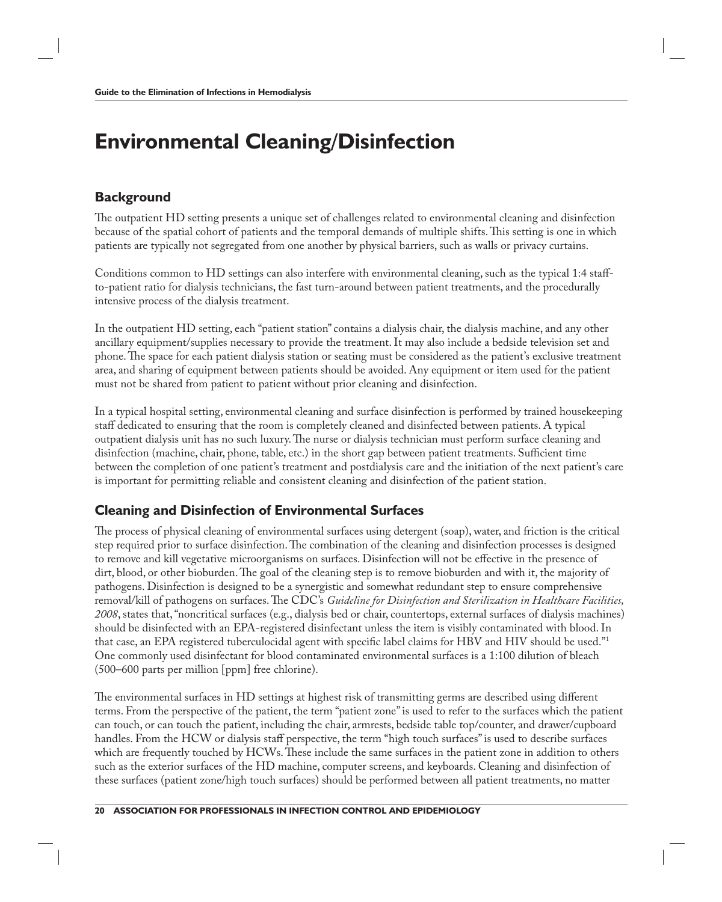### **Environmental Cleaning/Disinfection**

#### **Background**

The outpatient HD setting presents a unique set of challenges related to environmental cleaning and disinfection because of the spatial cohort of patients and the temporal demands of multiple shifts. This setting is one in which patients are typically not segregated from one another by physical barriers, such as walls or privacy curtains.

Conditions common to HD settings can also interfere with environmental cleaning, such as the typical 1:4 staffto-patient ratio for dialysis technicians, the fast turn-around between patient treatments, and the procedurally intensive process of the dialysis treatment.

In the outpatient HD setting, each "patient station" contains a dialysis chair, the dialysis machine, and any other ancillary equipment/supplies necessary to provide the treatment. It may also include a bedside television set and phone. The space for each patient dialysis station or seating must be considered as the patient's exclusive treatment area, and sharing of equipment between patients should be avoided. Any equipment or item used for the patient must not be shared from patient to patient without prior cleaning and disinfection.

In a typical hospital setting, environmental cleaning and surface disinfection is performed by trained housekeeping staff dedicated to ensuring that the room is completely cleaned and disinfected between patients. A typical outpatient dialysis unit has no such luxury. The nurse or dialysis technician must perform surface cleaning and disinfection (machine, chair, phone, table, etc.) in the short gap between patient treatments. Sufficient time between the completion of one patient's treatment and postdialysis care and the initiation of the next patient's care is important for permitting reliable and consistent cleaning and disinfection of the patient station.

### **Cleaning and Disinfection of Environmental Surfaces**

The process of physical cleaning of environmental surfaces using detergent (soap), water, and friction is the critical step required prior to surface disinfection. The combination of the cleaning and disinfection processes is designed to remove and kill vegetative microorganisms on surfaces. Disinfection will not be effective in the presence of dirt, blood, or other bioburden. The goal of the cleaning step is to remove bioburden and with it, the majority of pathogens. Disinfection is designed to be a synergistic and somewhat redundant step to ensure comprehensive removal/kill of pathogens on surfaces. The CDC's *Guideline for Disinfection and Sterilization in Healthcare Facilities*, *2008*, states that, "noncritical surfaces (e.g., dialysis bed or chair, countertops, external surfaces of dialysis machines) should be disinfected with an EPA-registered disinfectant unless the item is visibly contaminated with blood. In that case, an EPA registered tuberculocidal agent with specific label claims for HBV and HIV should be used."<sup>1</sup> One commonly used disinfectant for blood contaminated environmental surfaces is a 1:100 dilution of bleach (500–600 parts per million [ppm] free chlorine).

The environmental surfaces in HD settings at highest risk of transmitting germs are described using different terms. From the perspective of the patient, the term "patient zone" is used to refer to the surfaces which the patient can touch, or can touch the patient, including the chair, armrests, bedside table top/counter, and drawer/cupboard handles. From the HCW or dialysis staff perspective, the term "high touch surfaces" is used to describe surfaces which are frequently touched by HCWs. These include the same surfaces in the patient zone in addition to others such as the exterior surfaces of the HD machine, computer screens, and keyboards. Cleaning and disinfection of these surfaces (patient zone/high touch surfaces) should be performed between all patient treatments, no matter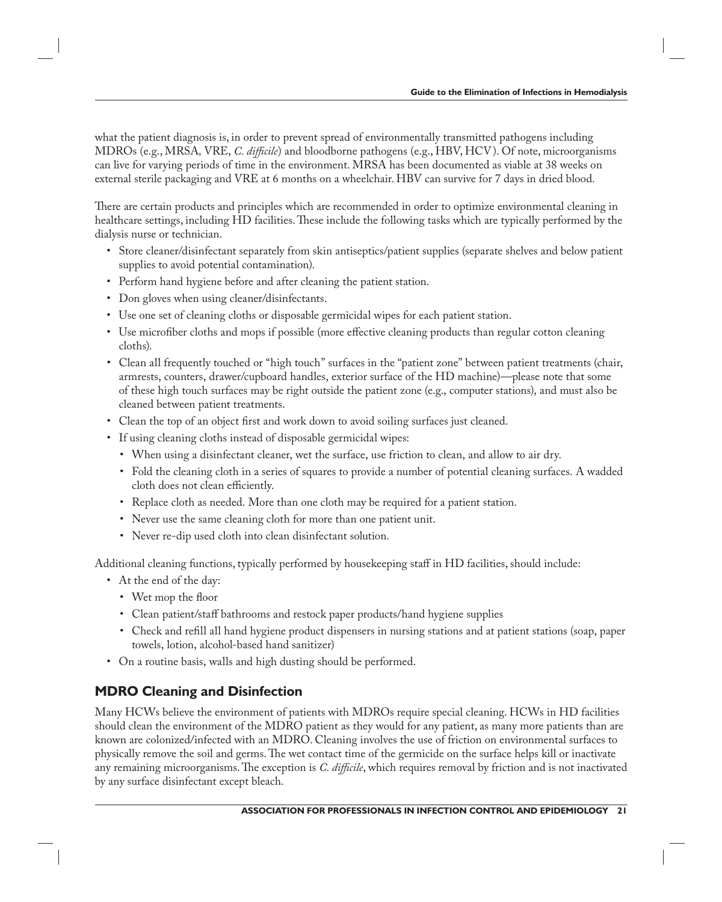what the patient diagnosis is, in order to prevent spread of environmentally transmitted pathogens including MDROs (e.g., MRSA, VRE, *C. difficile*) and bloodborne pathogens (e.g., HBV, HCV). Of note, microorganisms can live for varying periods of time in the environment. MRSA has been documented as viable at 38 weeks on external sterile packaging and VRE at 6 months on a wheelchair. HBV can survive for 7 days in dried blood.

There are certain products and principles which are recommended in order to optimize environmental cleaning in healthcare settings, including HD facilities. These include the following tasks which are typically performed by the dialysis nurse or technician.

- Store cleaner/disinfectant separately from skin antiseptics/patient supplies (separate shelves and below patient supplies to avoid potential contamination).
- Perform hand hygiene before and after cleaning the patient station.
- Don gloves when using cleaner/disinfectants.
- Use one set of cleaning cloths or disposable germicidal wipes for each patient station.
- Use microfiber cloths and mops if possible (more effective cleaning products than regular cotton cleaning cloths).
- Clean all frequently touched or "high touch" surfaces in the "patient zone" between patient treatments (chair, armrests, counters, drawer/cupboard handles, exterior surface of the HD machine)—please note that some of these high touch surfaces may be right outside the patient zone (e.g., computer stations), and must also be cleaned between patient treatments.
- Clean the top of an object first and work down to avoid soiling surfaces just cleaned.
- If using cleaning cloths instead of disposable germicidal wipes:
	- When using a disinfectant cleaner, wet the surface, use friction to clean, and allow to air dry.
	- Fold the cleaning cloth in a series of squares to provide a number of potential cleaning surfaces. A wadded cloth does not clean efficiently.
	- Replace cloth as needed. More than one cloth may be required for a patient station.
	- Never use the same cleaning cloth for more than one patient unit.
	- Never re-dip used cloth into clean disinfectant solution.

Additional cleaning functions, typically performed by housekeeping staff in HD facilities, should include:

- At the end of the day:
	- Wet mop the floor
	- Clean patient/staff bathrooms and restock paper products/hand hygiene supplies
	- Check and refill all hand hygiene product dispensers in nursing stations and at patient stations (soap, paper towels, lotion, alcohol-based hand sanitizer)
- On a routine basis, walls and high dusting should be performed.

### **MDRO Cleaning and Disinfection**

Many HCWs believe the environment of patients with MDROs require special cleaning. HCWs in HD facilities should clean the environment of the MDRO patient as they would for any patient, as many more patients than are known are colonized/infected with an MDRO. Cleaning involves the use of friction on environmental surfaces to physically remove the soil and germs. The wet contact time of the germicide on the surface helps kill or inactivate any remaining microorganisms. The exception is *C. difficile*, which requires removal by friction and is not inactivated by any surface disinfectant except bleach.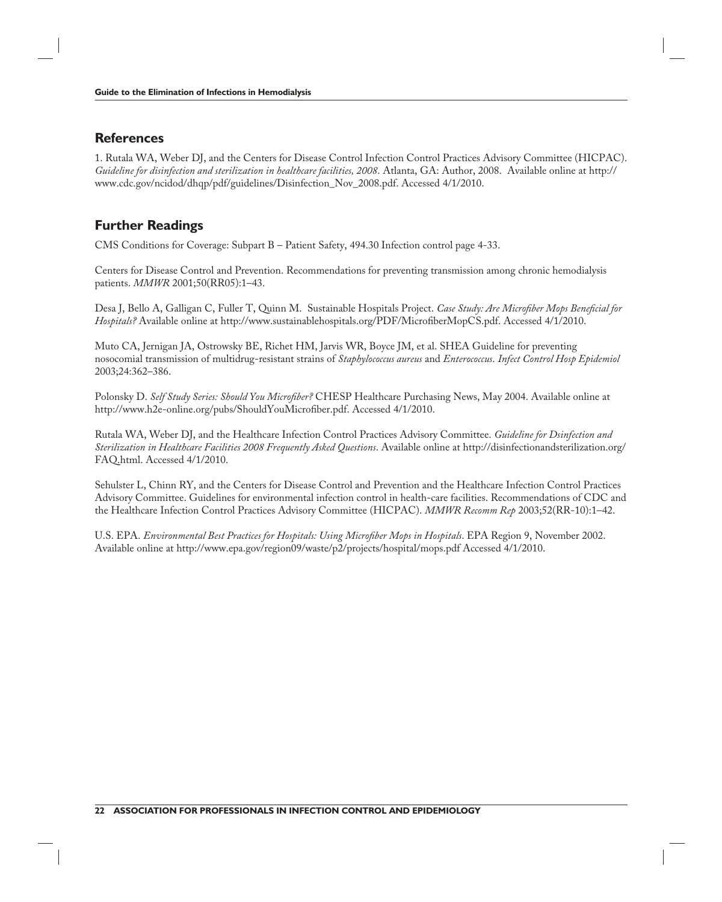#### **References**

1. Rutala WA, Weber DJ, and the Centers for Disease Control Infection Control Practices Advisory Committee (HICPAC). *Guideline for disinfection and sterilization in healthcare facilities, 2008*. Atlanta, GA: Author, 2008. Available online at http:// www.cdc.gov/ncidod/dhqp/pdf/guidelines/Disinfection\_Nov\_2008.pdf. Accessed 4/1/2010.

#### **Further Readings**

CMS Conditions for Coverage: Subpart B – Patient Safety, 494.30 Infection control page 4-33.

Centers for Disease Control and Prevention. Recommendations for preventing transmission among chronic hemodialysis patients. *MMWR* 2001;50(RR05):1–43.

Desa J, Bello A, Galligan C, Fuller T, Quinn M. Sustainable Hospitals Project. *Case Study: Are Microfiber Mops Beneficial for Hospitals?* Available online at http://www.sustainablehospitals.org/PDF/MicrofiberMopCS.pdf. Accessed 4/1/2010.

Muto CA, Jernigan JA, Ostrowsky BE, Richet HM, Jarvis WR, Boyce JM, et al. SHEA Guideline for preventing nosocomial transmission of multidrug-resistant strains of *Staphylococcus aureus* and *Enterococcus*. *Infect Control Hosp Epidemiol*  2003;24:362–386.

Polonsky D. *Self Study Series: Should You Microfi ber?* CHESP Healthcare Purchasing News, May 2004. Available online at http://www.h2e-online.org/pubs/ShouldYouMicrofiber.pdf. Accessed 4/1/2010.

Rutala WA, Weber DJ, and the Healthcare Infection Control Practices Advisory Committee. *Guideline for Dsinfection and Sterilization in Healthcare Facilities 2008 Frequently Asked Questions*. Available online at http://disinfectionandsterilization.org/ FAQ.html. Accessed 4/1/2010.

Sehulster L, Chinn RY, and the Centers for Disease Control and Prevention and the Healthcare Infection Control Practices Advisory Committee. Guidelines for environmental infection control in health-care facilities. Recommendations of CDC and the Healthcare Infection Control Practices Advisory Committee (HICPAC). *MMWR Recomm Rep* 2003;52(RR-10):1–42.

U.S. EPA. *Environmental Best Practices for Hospitals: Using Microfiber Mops in Hospitals*. EPA Region 9, November 2002. Available online at http://www.epa.gov/region09/waste/p2/projects/hospital/mops.pdf Accessed 4/1/2010.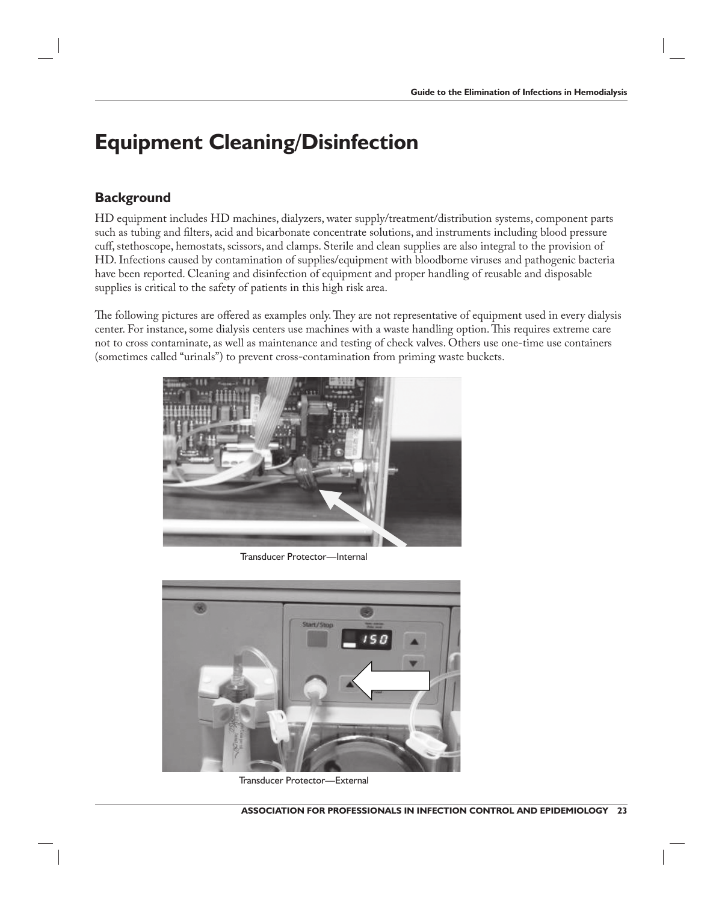### **Equipment Cleaning/Disinfection**

#### **Background**

HD equipment includes HD machines, dialyzers, water supply/treatment/distribution systems, component parts such as tubing and filters, acid and bicarbonate concentrate solutions, and instruments including blood pressure cuff, stethoscope, hemostats, scissors, and clamps. Sterile and clean supplies are also integral to the provision of HD. Infections caused by contamination of supplies/equipment with bloodborne viruses and pathogenic bacteria have been reported. Cleaning and disinfection of equipment and proper handling of reusable and disposable supplies is critical to the safety of patients in this high risk area.

The following pictures are offered as examples only. They are not representative of equipment used in every dialysis center. For instance, some dialysis centers use machines with a waste handling option. This requires extreme care not to cross contaminate, as well as maintenance and testing of check valves. Others use one-time use containers (sometimes called "urinals") to prevent cross-contamination from priming waste buckets.



Transducer Protector—Internal



Transducer Protector—External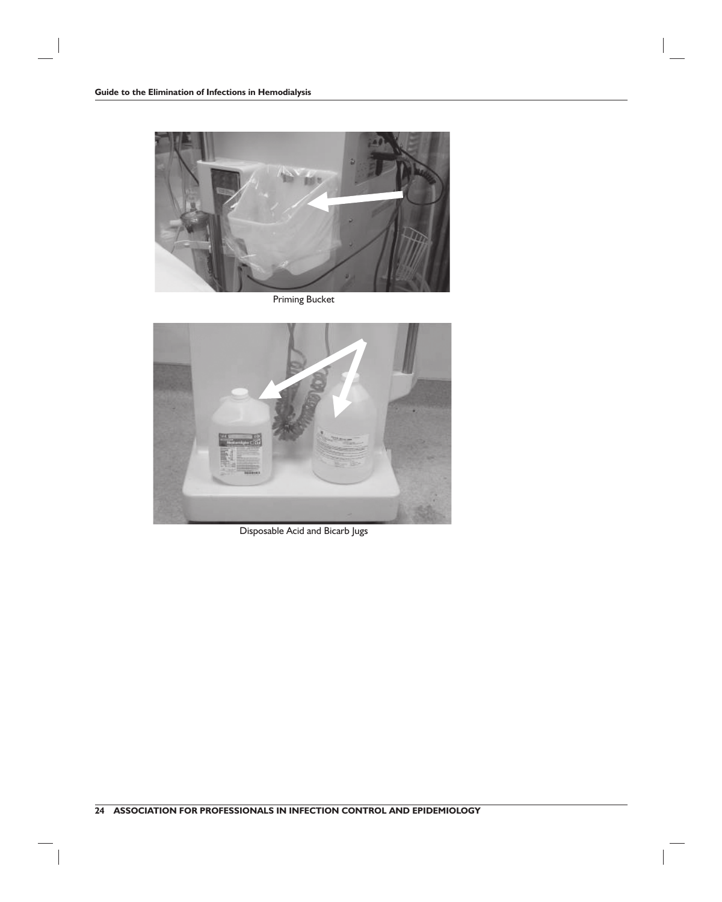

Priming Bucket



Disposable Acid and Bicarb Jugs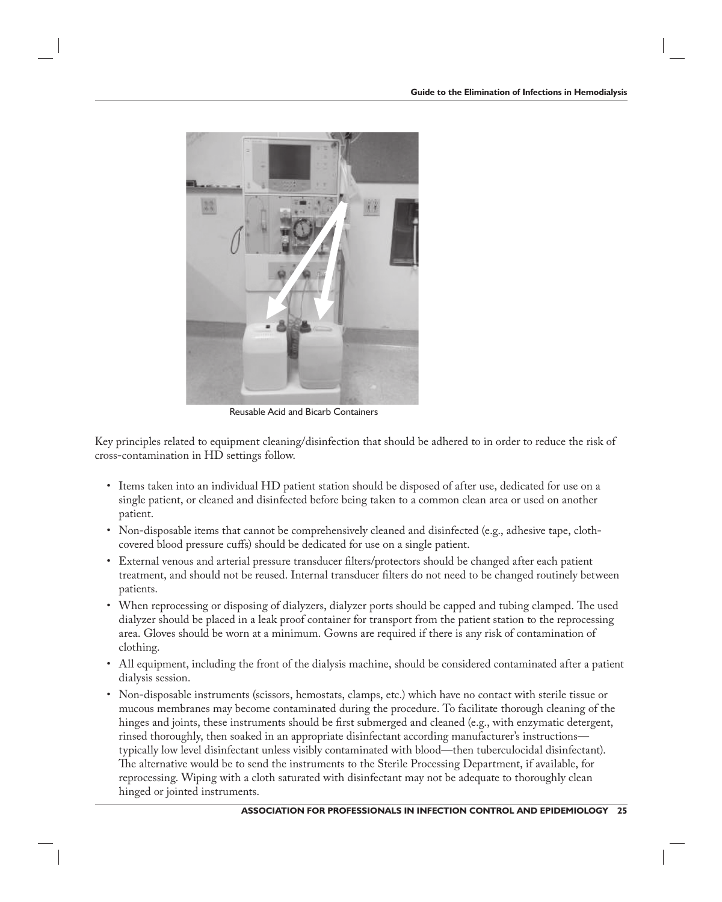

Reusable Acid and Bicarb Containers

Key principles related to equipment cleaning/disinfection that should be adhered to in order to reduce the risk of cross-contamination in HD settings follow.

- Items taken into an individual HD patient station should be disposed of after use, dedicated for use on a single patient, or cleaned and disinfected before being taken to a common clean area or used on another patient.
- Non-disposable items that cannot be comprehensively cleaned and disinfected (e.g., adhesive tape, clothcovered blood pressure cuffs) should be dedicated for use on a single patient.
- External venous and arterial pressure transducer filters/protectors should be changed after each patient treatment, and should not be reused. Internal transducer filters do not need to be changed routinely between patients.
- When reprocessing or disposing of dialyzers, dialyzer ports should be capped and tubing clamped. The used dialyzer should be placed in a leak proof container for transport from the patient station to the reprocessing area. Gloves should be worn at a minimum. Gowns are required if there is any risk of contamination of clothing.
- All equipment, including the front of the dialysis machine, should be considered contaminated after a patient dialysis session.
- Non-disposable instruments (scissors, hemostats, clamps, etc.) which have no contact with sterile tissue or mucous membranes may become contaminated during the procedure. To facilitate thorough cleaning of the hinges and joints, these instruments should be first submerged and cleaned (e.g., with enzymatic detergent, rinsed thoroughly, then soaked in an appropriate disinfectant according manufacturer's instructions typically low level disinfectant unless visibly contaminated with blood—then tuberculocidal disinfectant). The alternative would be to send the instruments to the Sterile Processing Department, if available, for reprocessing. Wiping with a cloth saturated with disinfectant may not be adequate to thoroughly clean hinged or jointed instruments.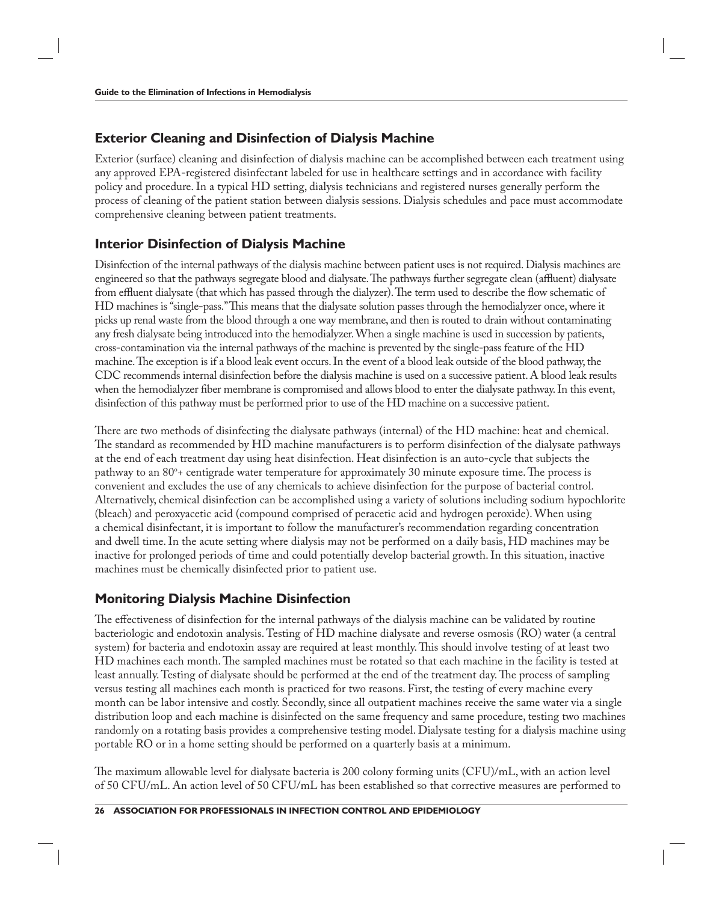#### **Exterior Cleaning and Disinfection of Dialysis Machine**

Exterior (surface) cleaning and disinfection of dialysis machine can be accomplished between each treatment using any approved EPA-registered disinfectant labeled for use in healthcare settings and in accordance with facility policy and procedure. In a typical HD setting, dialysis technicians and registered nurses generally perform the process of cleaning of the patient station between dialysis sessions. Dialysis schedules and pace must accommodate comprehensive cleaning between patient treatments.

#### **Interior Disinfection of Dialysis Machine**

Disinfection of the internal pathways of the dialysis machine between patient uses is not required. Dialysis machines are engineered so that the pathways segregate blood and dialysate. The pathways further segregate clean (affluent) dialysate from effluent dialysate (that which has passed through the dialyzer). The term used to describe the flow schematic of HD machines is "single-pass." This means that the dialysate solution passes through the hemodialyzer once, where it picks up renal waste from the blood through a one way membrane, and then is routed to drain without contaminating any fresh dialysate being introduced into the hemodialyzer. When a single machine is used in succession by patients, cross-contamination via the internal pathways of the machine is prevented by the single-pass feature of the HD machine. The exception is if a blood leak event occurs. In the event of a blood leak outside of the blood pathway, the CDC recommends internal disinfection before the dialysis machine is used on a successive patient. A blood leak results when the hemodialyzer fiber membrane is compromised and allows blood to enter the dialysate pathway. In this event, disinfection of this pathway must be performed prior to use of the HD machine on a successive patient.

There are two methods of disinfecting the dialysate pathways (internal) of the HD machine: heat and chemical. The standard as recommended by HD machine manufacturers is to perform disinfection of the dialysate pathways at the end of each treatment day using heat disinfection. Heat disinfection is an auto-cycle that subjects the pathway to an  $80^\circ$ + centigrade water temperature for approximately 30 minute exposure time. The process is convenient and excludes the use of any chemicals to achieve disinfection for the purpose of bacterial control. Alternatively, chemical disinfection can be accomplished using a variety of solutions including sodium hypochlorite (bleach) and peroxyacetic acid (compound comprised of peracetic acid and hydrogen peroxide). When using a chemical disinfectant, it is important to follow the manufacturer's recommendation regarding concentration and dwell time. In the acute setting where dialysis may not be performed on a daily basis, HD machines may be inactive for prolonged periods of time and could potentially develop bacterial growth. In this situation, inactive machines must be chemically disinfected prior to patient use.

### **Monitoring Dialysis Machine Disinfection**

The effectiveness of disinfection for the internal pathways of the dialysis machine can be validated by routine bacteriologic and endotoxin analysis. Testing of HD machine dialysate and reverse osmosis (RO) water (a central system) for bacteria and endotoxin assay are required at least monthly. This should involve testing of at least two HD machines each month. The sampled machines must be rotated so that each machine in the facility is tested at least annually. Testing of dialysate should be performed at the end of the treatment day. The process of sampling versus testing all machines each month is practiced for two reasons. First, the testing of every machine every month can be labor intensive and costly. Secondly, since all outpatient machines receive the same water via a single distribution loop and each machine is disinfected on the same frequency and same procedure, testing two machines randomly on a rotating basis provides a comprehensive testing model. Dialysate testing for a dialysis machine using portable RO or in a home setting should be performed on a quarterly basis at a minimum.

The maximum allowable level for dialysate bacteria is 200 colony forming units  $(CFU)/mL$ , with an action level of 50 CFU/mL. An action level of 50 CFU/mL has been established so that corrective measures are performed to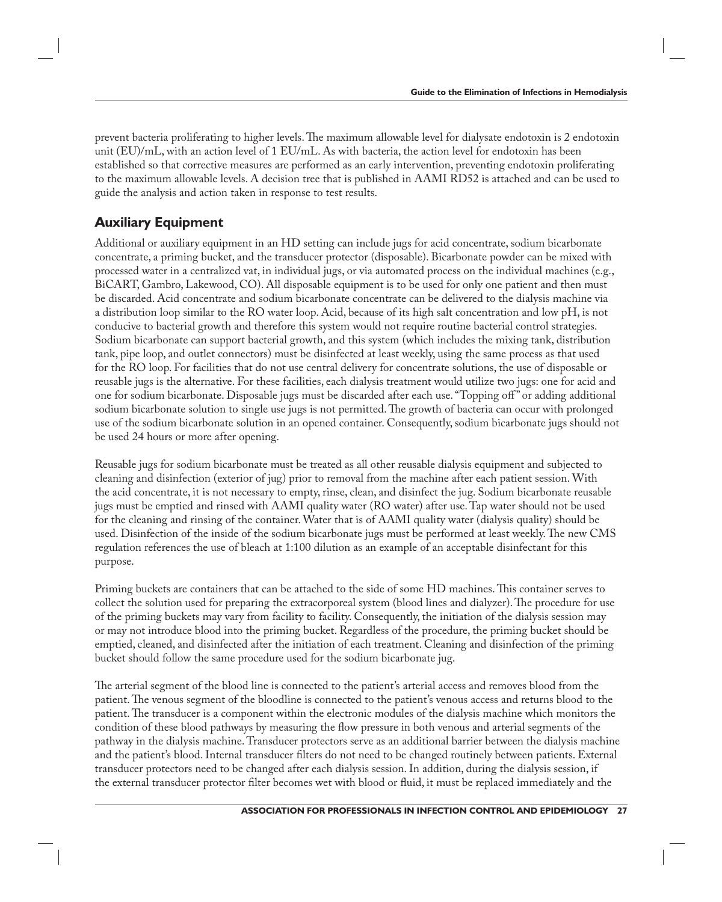prevent bacteria proliferating to higher levels. The maximum allowable level for dialysate endotoxin is 2 endotoxin unit (EU)/mL, with an action level of 1 EU/mL. As with bacteria, the action level for endotoxin has been established so that corrective measures are performed as an early intervention, preventing endotoxin proliferating to the maximum allowable levels. A decision tree that is published in AAMI RD52 is attached and can be used to guide the analysis and action taken in response to test results.

#### **Auxiliary Equipment**

Additional or auxiliary equipment in an HD setting can include jugs for acid concentrate, sodium bicarbonate concentrate, a priming bucket, and the transducer protector (disposable). Bicarbonate powder can be mixed with processed water in a centralized vat, in individual jugs, or via automated process on the individual machines (e.g., BiCART, Gambro, Lakewood, CO). All disposable equipment is to be used for only one patient and then must be discarded. Acid concentrate and sodium bicarbonate concentrate can be delivered to the dialysis machine via a distribution loop similar to the RO water loop. Acid, because of its high salt concentration and low pH, is not conducive to bacterial growth and therefore this system would not require routine bacterial control strategies. Sodium bicarbonate can support bacterial growth, and this system (which includes the mixing tank, distribution tank, pipe loop, and outlet connectors) must be disinfected at least weekly, using the same process as that used for the RO loop. For facilities that do not use central delivery for concentrate solutions, the use of disposable or reusable jugs is the alternative. For these facilities, each dialysis treatment would utilize two jugs: one for acid and one for sodium bicarbonate. Disposable jugs must be discarded after each use. "Topping off " or adding additional sodium bicarbonate solution to single use jugs is not permitted. The growth of bacteria can occur with prolonged use of the sodium bicarbonate solution in an opened container. Consequently, sodium bicarbonate jugs should not be used 24 hours or more after opening.

Reusable jugs for sodium bicarbonate must be treated as all other reusable dialysis equipment and subjected to cleaning and disinfection (exterior of jug) prior to removal from the machine after each patient session. With the acid concentrate, it is not necessary to empty, rinse, clean, and disinfect the jug. Sodium bicarbonate reusable jugs must be emptied and rinsed with AAMI quality water (RO water) after use. Tap water should not be used for the cleaning and rinsing of the container. Water that is of AAMI quality water (dialysis quality) should be used. Disinfection of the inside of the sodium bicarbonate jugs must be performed at least weekly. The new CMS regulation references the use of bleach at 1:100 dilution as an example of an acceptable disinfectant for this purpose.

Priming buckets are containers that can be attached to the side of some HD machines. This container serves to collect the solution used for preparing the extracorporeal system (blood lines and dialyzer). The procedure for use of the priming buckets may vary from facility to facility. Consequently, the initiation of the dialysis session may or may not introduce blood into the priming bucket. Regardless of the procedure, the priming bucket should be emptied, cleaned, and disinfected after the initiation of each treatment. Cleaning and disinfection of the priming bucket should follow the same procedure used for the sodium bicarbonate jug.

The arterial segment of the blood line is connected to the patient's arterial access and removes blood from the patient. The venous segment of the bloodline is connected to the patient's venous access and returns blood to the patient. The transducer is a component within the electronic modules of the dialysis machine which monitors the condition of these blood pathways by measuring the flow pressure in both venous and arterial segments of the pathway in the dialysis machine. Transducer protectors serve as an additional barrier between the dialysis machine and the patient's blood. Internal transducer filters do not need to be changed routinely between patients. External transducer protectors need to be changed after each dialysis session. In addition, during the dialysis session, if the external transducer protector filter becomes wet with blood or fluid, it must be replaced immediately and the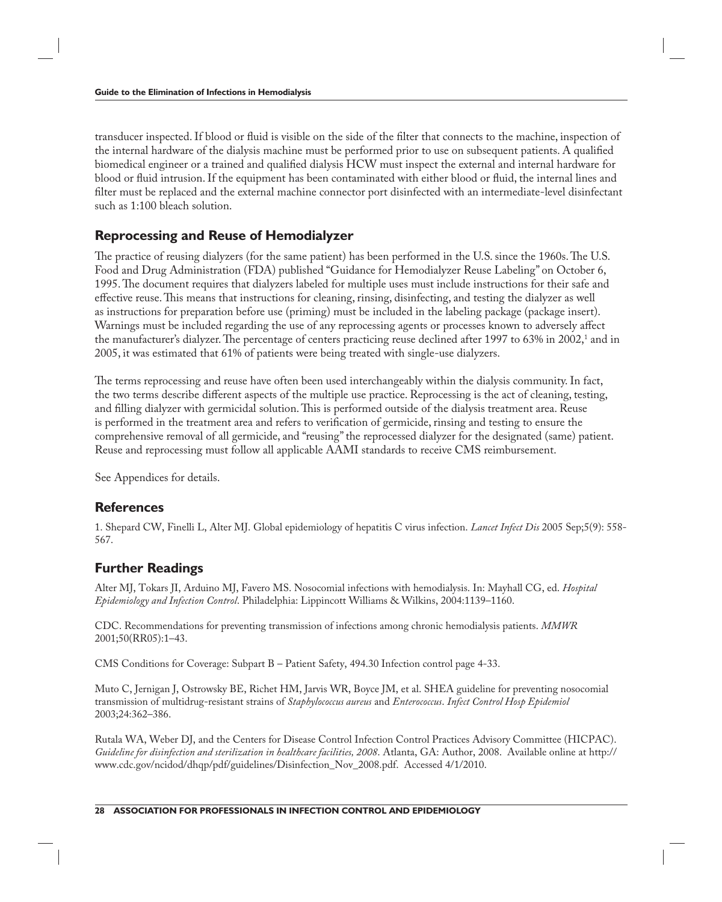transducer inspected. If blood or fluid is visible on the side of the filter that connects to the machine, inspection of the internal hardware of the dialysis machine must be performed prior to use on subsequent patients. A qualified biomedical engineer or a trained and qualified dialysis HCW must inspect the external and internal hardware for blood or fluid intrusion. If the equipment has been contaminated with either blood or fluid, the internal lines and filter must be replaced and the external machine connector port disinfected with an intermediate-level disinfectant such as 1:100 bleach solution.

#### **Reprocessing and Reuse of Hemodialyzer**

The practice of reusing dialyzers (for the same patient) has been performed in the U.S. since the 1960s. The U.S. Food and Drug Administration (FDA) published "Guidance for Hemodialyzer Reuse Labeling" on October 6, 1995. The document requires that dialyzers labeled for multiple uses must include instructions for their safe and effective reuse. This means that instructions for cleaning, rinsing, disinfecting, and testing the dialyzer as well as instructions for preparation before use (priming) must be included in the labeling package (package insert). Warnings must be included regarding the use of any reprocessing agents or processes known to adversely affect the manufacturer's dialyzer. The percentage of centers practicing reuse declined after 1997 to 63% in 2002,<sup>1</sup> and in 2005, it was estimated that 61% of patients were being treated with single-use dialyzers.

The terms reprocessing and reuse have often been used interchangeably within the dialysis community. In fact, the two terms describe different aspects of the multiple use practice. Reprocessing is the act of cleaning, testing, and filling dialyzer with germicidal solution. This is performed outside of the dialysis treatment area. Reuse is performed in the treatment area and refers to verification of germicide, rinsing and testing to ensure the comprehensive removal of all germicide, and "reusing" the reprocessed dialyzer for the designated (same) patient. Reuse and reprocessing must follow all applicable AAMI standards to receive CMS reimbursement.

See Appendices for details.

#### **References**

1. Shepard CW, Finelli L, Alter MJ. Global epidemiology of hepatitis C virus infection. *Lancet Infect Dis* 2005 Sep;5(9): 558- 567.

#### **Further Readings**

Alter MJ, Tokars JI, Arduino MJ, Favero MS. Nosocomial infections with hemodialysis. In: Mayhall CG, ed. *Hospital Epidemiology and Infection Control*. Philadelphia: Lippincott Williams & Wilkins, 2004:1139–1160.

CDC. Recommendations for preventing transmission of infections among chronic hemodialysis patients. *MMWR* 2001;50(RR05):1–43.

CMS Conditions for Coverage: Subpart B – Patient Safety, 494.30 Infection control page 4-33.

Muto C, Jernigan J, Ostrowsky BE, Richet HM, Jarvis WR, Boyce JM, et al. SHEA guideline for preventing nosocomial transmission of multidrug-resistant strains of *Staphylococcus aureus* and *Enterococcus*. *Infect Control Hosp Epidemiol*  2003;24:362–386.

Rutala WA, Weber DJ, and the Centers for Disease Control Infection Control Practices Advisory Committee (HICPAC). *Guideline for disinfection and sterilization in healthcare facilities, 2008*. Atlanta, GA: Author, 2008. Available online at http:// www.cdc.gov/ncidod/dhqp/pdf/guidelines/Disinfection\_Nov\_2008.pdf. Accessed 4/1/2010.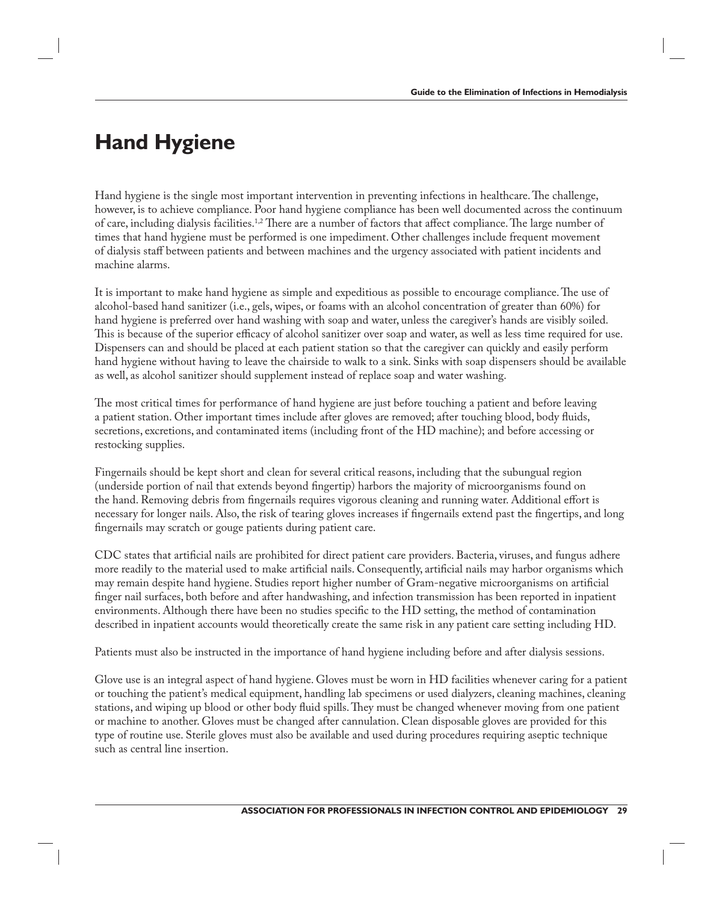### **Hand Hygiene**

Hand hygiene is the single most important intervention in preventing infections in healthcare. The challenge, however, is to achieve compliance. Poor hand hygiene compliance has been well documented across the continuum of care, including dialysis facilities.<sup>1,2</sup> There are a number of factors that affect compliance. The large number of times that hand hygiene must be performed is one impediment. Other challenges include frequent movement of dialysis staff between patients and between machines and the urgency associated with patient incidents and machine alarms.

It is important to make hand hygiene as simple and expeditious as possible to encourage compliance. The use of alcohol-based hand sanitizer (i.e., gels, wipes, or foams with an alcohol concentration of greater than 60%) for hand hygiene is preferred over hand washing with soap and water, unless the caregiver's hands are visibly soiled. This is because of the superior efficacy of alcohol sanitizer over soap and water, as well as less time required for use. Dispensers can and should be placed at each patient station so that the caregiver can quickly and easily perform hand hygiene without having to leave the chairside to walk to a sink. Sinks with soap dispensers should be available as well, as alcohol sanitizer should supplement instead of replace soap and water washing.

The most critical times for performance of hand hygiene are just before touching a patient and before leaving a patient station. Other important times include after gloves are removed; after touching blood, body fluids, secretions, excretions, and contaminated items (including front of the HD machine); and before accessing or restocking supplies.

Fingernails should be kept short and clean for several critical reasons, including that the subungual region (underside portion of nail that extends beyond fingertip) harbors the majority of microorganisms found on the hand. Removing debris from fingernails requires vigorous cleaning and running water. Additional effort is necessary for longer nails. Also, the risk of tearing gloves increases if fingernails extend past the fingertips, and long fingernails may scratch or gouge patients during patient care.

CDC states that artificial nails are prohibited for direct patient care providers. Bacteria, viruses, and fungus adhere more readily to the material used to make artificial nails. Consequently, artificial nails may harbor organisms which may remain despite hand hygiene. Studies report higher number of Gram-negative microorganisms on artificial finger nail surfaces, both before and after handwashing, and infection transmission has been reported in inpatient environments. Although there have been no studies specific to the HD setting, the method of contamination described in inpatient accounts would theoretically create the same risk in any patient care setting including HD.

Patients must also be instructed in the importance of hand hygiene including before and after dialysis sessions.

Glove use is an integral aspect of hand hygiene. Gloves must be worn in HD facilities whenever caring for a patient or touching the patient's medical equipment, handling lab specimens or used dialyzers, cleaning machines, cleaning stations, and wiping up blood or other body fluid spills. They must be changed whenever moving from one patient or machine to another. Gloves must be changed after cannulation. Clean disposable gloves are provided for this type of routine use. Sterile gloves must also be available and used during procedures requiring aseptic technique such as central line insertion.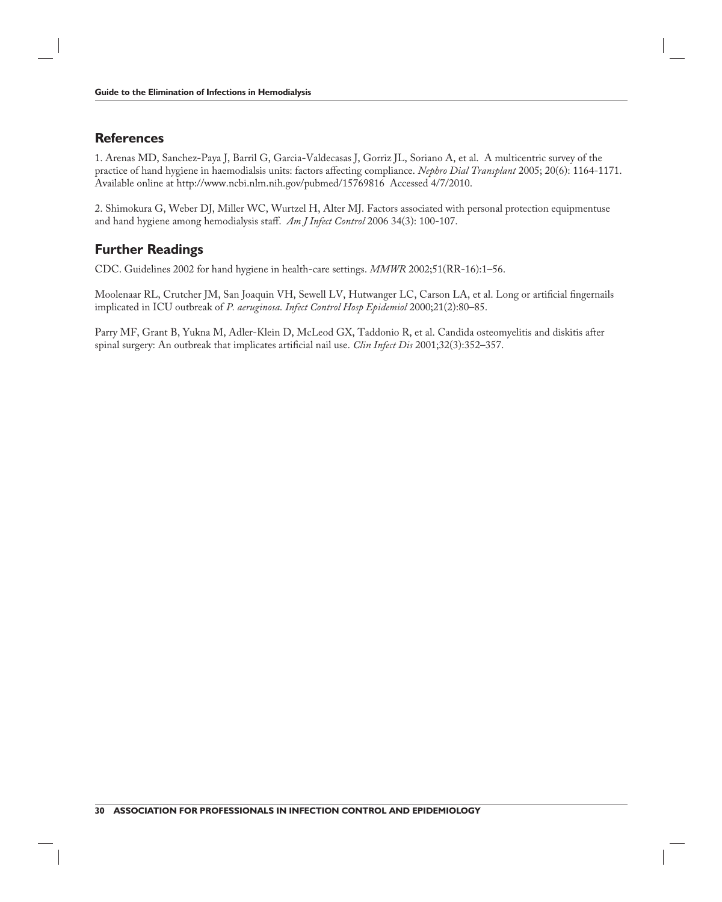#### **References**

1. Arenas MD, Sanchez-Paya J, Barril G, Garcia-Valdecasas J, Gorriz JL, Soriano A, et al. A multicentric survey of the practice of hand hygiene in haemodialsis units: factors affecting compliance. *Nephro Dial Transplant* 2005; 20(6): 1164-1171. Available online at http://www.ncbi.nlm.nih.gov/pubmed/15769816 Accessed 4/7/2010.

2. Shimokura G, Weber DJ, Miller WC, Wurtzel H, Alter MJ. Factors associated with personal protection equipmentuse and hand hygiene among hemodialysis staff . *Am J Infect Control* 2006 34(3): 100-107.

#### **Further Readings**

CDC. Guidelines 2002 for hand hygiene in health-care settings. *MMWR* 2002;51(RR-16):1–56.

Moolenaar RL, Crutcher JM, San Joaquin VH, Sewell LV, Hutwanger LC, Carson LA, et al. Long or artificial fingernails implicated in ICU outbreak of *P. aeruginosa*. *Infect Control Hosp Epidemiol* 2000;21(2):80–85.

Parry MF, Grant B, Yukna M, Adler-Klein D, McLeod GX, Taddonio R, et al. Candida osteomyelitis and diskitis after spinal surgery: An outbreak that implicates artificial nail use. *Clin Infect Dis* 2001;32(3):352-357.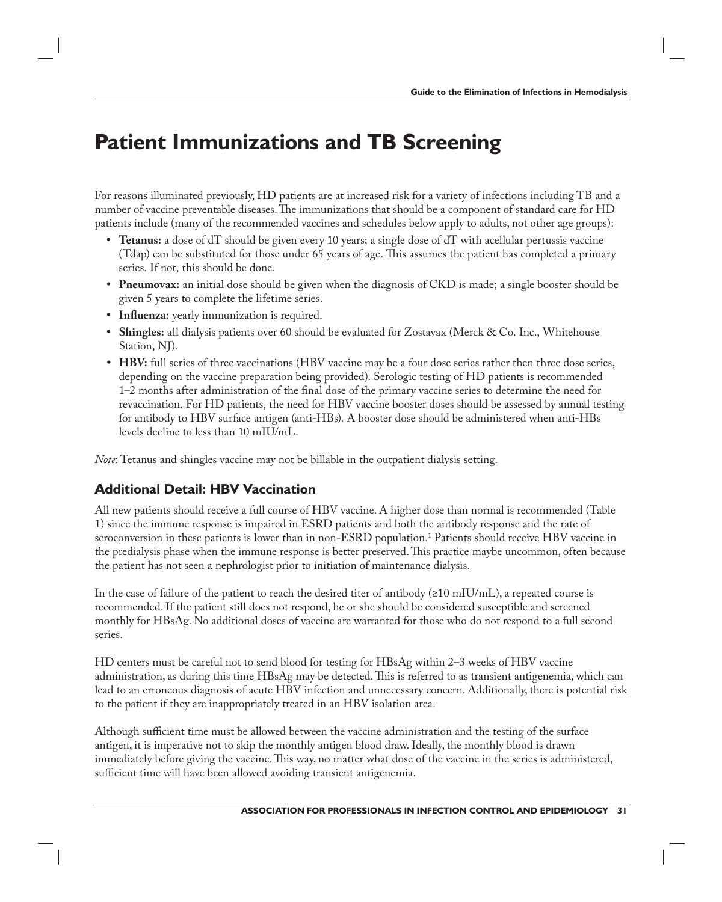### **Patient Immunizations and TB Screening**

For reasons illuminated previously, HD patients are at increased risk for a variety of infections including TB and a number of vaccine preventable diseases. The immunizations that should be a component of standard care for HD patients include (many of the recommended vaccines and schedules below apply to adults, not other age groups):

- **Tetanus:** a dose of dT should be given every 10 years; a single dose of dT with acellular pertussis vaccine (Tdap) can be substituted for those under 65 years of age. This assumes the patient has completed a primary series. If not, this should be done.
- **Pneumovax:** an initial dose should be given when the diagnosis of CKD is made; a single booster should be given 5 years to complete the lifetime series.
- **Influenza:** yearly immunization is required.
- **Shingles:** all dialysis patients over 60 should be evaluated for Zostavax (Merck & Co. Inc., Whitehouse Station, NJ).
- **HBV:** full series of three vaccinations (HBV vaccine may be a four dose series rather then three dose series, depending on the vaccine preparation being provided). Serologic testing of HD patients is recommended 1–2 months after administration of the final dose of the primary vaccine series to determine the need for revaccination. For HD patients, the need for HBV vaccine booster doses should be assessed by annual testing for antibody to HBV surface antigen (anti-HBs). A booster dose should be administered when anti-HBs levels decline to less than 10 mIU/mL.

*Note*: Tetanus and shingles vaccine may not be billable in the outpatient dialysis setting.

### **Additional Detail: HBV Vaccination**

All new patients should receive a full course of HBV vaccine. A higher dose than normal is recommended (Table 1) since the immune response is impaired in ESRD patients and both the antibody response and the rate of seroconversion in these patients is lower than in non-ESRD population.1 Patients should receive HBV vaccine in the predialysis phase when the immune response is better preserved. This practice maybe uncommon, often because the patient has not seen a nephrologist prior to initiation of maintenance dialysis.

In the case of failure of the patient to reach the desired titer of antibody (≥10 mIU/mL), a repeated course is recommended. If the patient still does not respond, he or she should be considered susceptible and screened monthly for HBsAg. No additional doses of vaccine are warranted for those who do not respond to a full second series.

HD centers must be careful not to send blood for testing for HBsAg within 2–3 weeks of HBV vaccine administration, as during this time HBsAg may be detected. This is referred to as transient antigenemia, which can lead to an erroneous diagnosis of acute HBV infection and unnecessary concern. Additionally, there is potential risk to the patient if they are inappropriately treated in an HBV isolation area.

Although sufficient time must be allowed between the vaccine administration and the testing of the surface antigen, it is imperative not to skip the monthly antigen blood draw. Ideally, the monthly blood is drawn immediately before giving the vaccine. This way, no matter what dose of the vaccine in the series is administered, sufficient time will have been allowed avoiding transient antigenemia.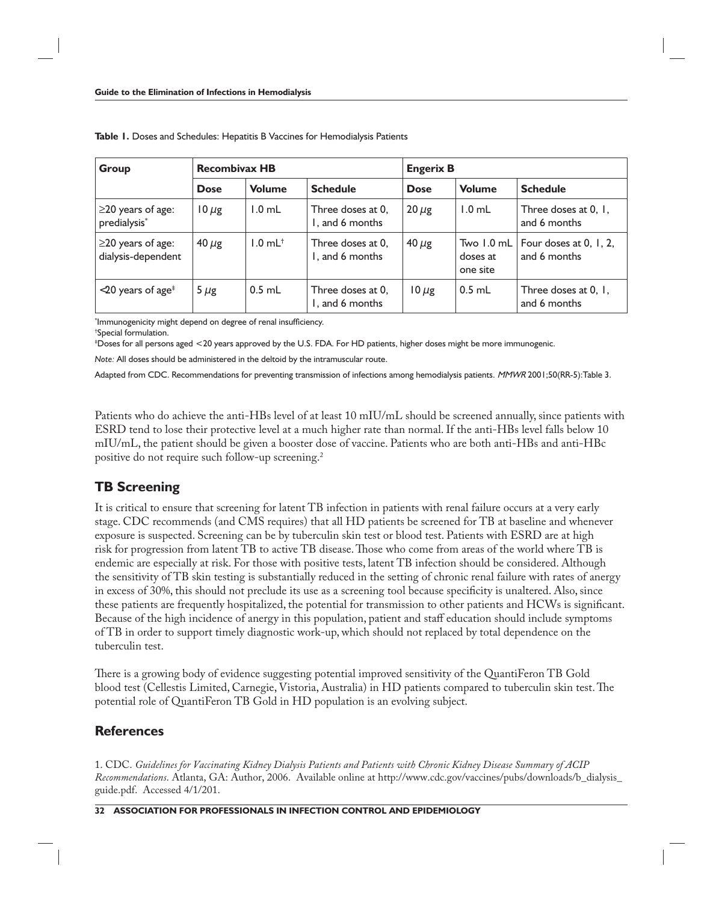| Group                                                              | <b>Recombivax HB</b> |                       |                                      | <b>Engerix B</b> |                                    |                                        |
|--------------------------------------------------------------------|----------------------|-----------------------|--------------------------------------|------------------|------------------------------------|----------------------------------------|
|                                                                    | <b>Dose</b>          | <b>Volume</b>         | <b>Schedule</b>                      | <b>Dose</b>      | <b>Volume</b>                      | <b>Schedule</b>                        |
| $\geq$ 20 years of age:<br>predialysis*                            | $10 \mu$ g           | $1.0$ mL              | Three doses at 0,<br>I, and 6 months | $20 \mu$ g       | $1.0$ mL                           | Three doses at 0, 1,<br>and 6 months   |
| $\geq$ 20 years of age:<br>dialysis-dependent                      | $40 \mu$ g           | $1.0$ mL <sup>+</sup> | Three doses at 0,<br>1, and 6 months | $40 \mu$ g       | Two 1.0 mL<br>doses at<br>one site | Four doses at 0, 1, 2,<br>and 6 months |
| $\langle 20 \rangle$ years of age <sup><math>\ddagger</math></sup> | 5 $\mu$ g            | $0.5$ mL              | Three doses at 0,<br>I, and 6 months | $10 \mu$ g       | $0.5$ mL                           | Three doses at 0, 1,<br>and 6 months   |

**Table 1.** Doses and Schedules: Hepatitis B Vaccines for Hemodialysis Patients

 $\,$ ʻlmmunogenicity might depend on degree of renal insufficiency.

† Special formulation.

‡ Doses for all persons aged <20 years approved by the U.S. FDA. For HD patients, higher doses might be more immunogenic.

*Note:* All doses should be administered in the deltoid by the intramuscular route.

Adapted from CDC. Recommendations for preventing transmission of infections among hemodialysis patients. MMWR 2001;50(RR-5):Table 3.

Patients who do achieve the anti-HBs level of at least 10 mIU/mL should be screened annually, since patients with ESRD tend to lose their protective level at a much higher rate than normal. If the anti-HBs level falls below 10 mIU/mL, the patient should be given a booster dose of vaccine. Patients who are both anti-HBs and anti-HBc positive do not require such follow-up screening.2

#### **TB Screening**

It is critical to ensure that screening for latent TB infection in patients with renal failure occurs at a very early stage. CDC recommends (and CMS requires) that all HD patients be screened for TB at baseline and whenever exposure is suspected. Screening can be by tuberculin skin test or blood test. Patients with ESRD are at high risk for progression from latent TB to active TB disease. Those who come from areas of the world where TB is endemic are especially at risk. For those with positive tests, latent TB infection should be considered. Although the sensitivity of TB skin testing is substantially reduced in the setting of chronic renal failure with rates of anergy in excess of 30%, this should not preclude its use as a screening tool because specificity is unaltered. Also, since these patients are frequently hospitalized, the potential for transmission to other patients and HCWs is significant. Because of the high incidence of anergy in this population, patient and staff education should include symptoms of TB in order to support timely diagnostic work-up, which should not replaced by total dependence on the tuberculin test.

There is a growing body of evidence suggesting potential improved sensitivity of the QuantiFeron TB Gold blood test (Cellestis Limited, Carnegie, Vistoria, Australia) in HD patients compared to tuberculin skin test. The potential role of QuantiFeron TB Gold in HD population is an evolving subject.

#### **References**

1. CDC. *Guidelines for Vaccinating Kidney Dialysis Patients and Patients with Chronic Kidney Disease Summary of ACIP Recommendations*. Atlanta, GA: Author, 2006. Available online at http://www.cdc.gov/vaccines/pubs/downloads/b\_dialysis\_ guide.pdf. Accessed 4/1/201.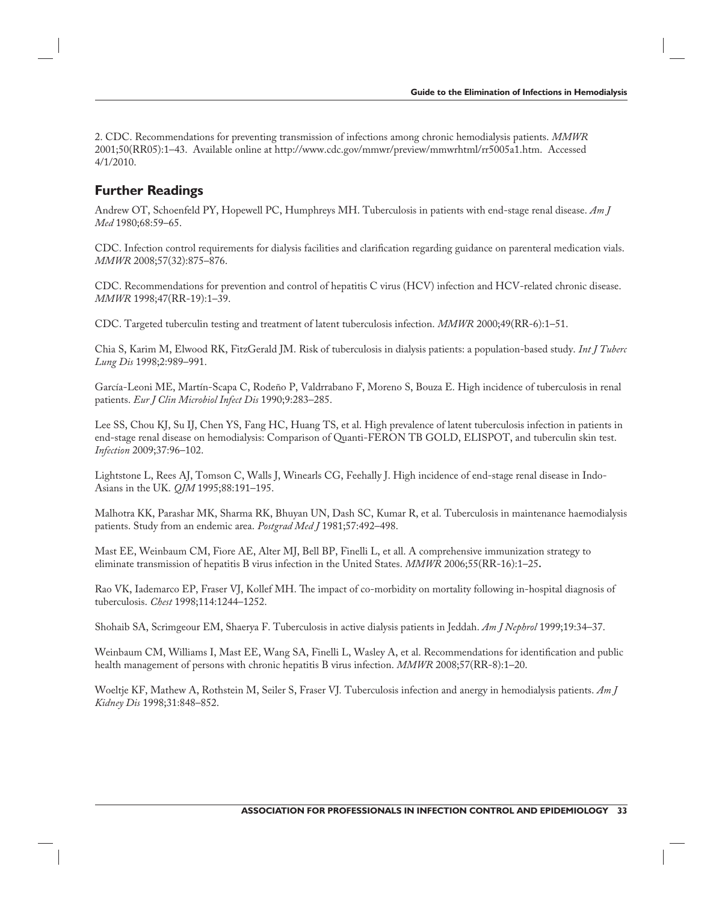2. CDC. Recommendations for preventing transmission of infections among chronic hemodialysis patients. *MMWR* 2001;50(RR05):1–43. Available online at http://www.cdc.gov/mmwr/preview/mmwrhtml/rr5005a1.htm. Accessed 4/1/2010.

#### **Further Readings**

Andrew OT, Schoenfeld PY, Hopewell PC, Humphreys MH. Tuberculosis in patients with end-stage renal disease. *Am J Med* 1980;68:59–65.

CDC. Infection control requirements for dialysis facilities and clarification regarding guidance on parenteral medication vials. *MMWR* 2008;57(32):875–876.

CDC. Recommendations for prevention and control of hepatitis C virus (HCV) infection and HCV-related chronic disease. *MMWR* 1998;47(RR-19):1–39.

CDC. Targeted tuberculin testing and treatment of latent tuberculosis infection. *MMWR* 2000;49(RR-6):1–51.

Chia S, Karim M, Elwood RK, FitzGerald JM. Risk of tuberculosis in dialysis patients: a population-based study. *Int J Tuberc Lung Dis* 1998;2:989–991.

García-Leoni ME, Martín-Scapa C, Rodeño P, Valdrrabano F, Moreno S, Bouza E. High incidence of tuberculosis in renal patients. *Eur J Clin Microbiol Infect Dis* 1990;9:283–285.

Lee SS, Chou KJ, Su IJ, Chen YS, Fang HC, Huang TS, et al. High prevalence of latent tuberculosis infection in patients in end-stage renal disease on hemodialysis: Comparison of Quanti-FERON TB GOLD, ELISPOT, and tuberculin skin test. *Infection* 2009;37:96–102.

Lightstone L, Rees AJ, Tomson C, Walls J, Winearls CG, Feehally J. High incidence of end-stage renal disease in Indo-Asians in the UK. *QJM* 1995;88:191–195.

Malhotra KK, Parashar MK, Sharma RK, Bhuyan UN, Dash SC, Kumar R, et al. Tuberculosis in maintenance haemodialysis patients. Study from an endemic area. *Postgrad Med J* 1981;57:492–498.

Mast EE, Weinbaum CM, Fiore AE, Alter MJ, Bell BP, Finelli L, et all. A comprehensive immunization strategy to eliminate transmission of hepatitis B virus infection in the United States. *MMWR* 2006;55(RR-16):1–25**.**

Rao VK, Iademarco EP, Fraser VJ, Kollef MH. The impact of co-morbidity on mortality following in-hospital diagnosis of tuberculosis. *Chest* 1998;114:1244–1252.

Shohaib SA, Scrimgeour EM, Shaerya F. Tuberculosis in active dialysis patients in Jeddah. *Am J Nephrol* 1999;19:34–37.

Weinbaum CM, Williams I, Mast EE, Wang SA, Finelli L, Wasley A, et al. Recommendations for identification and public health management of persons with chronic hepatitis B virus infection. *MMWR* 2008;57(RR-8):1–20.

Woeltje KF, Mathew A, Rothstein M, Seiler S, Fraser VJ*.* Tuberculosis infection and anergy in hemodialysis patients. *Am J Kidney Dis* 1998;31:848–852.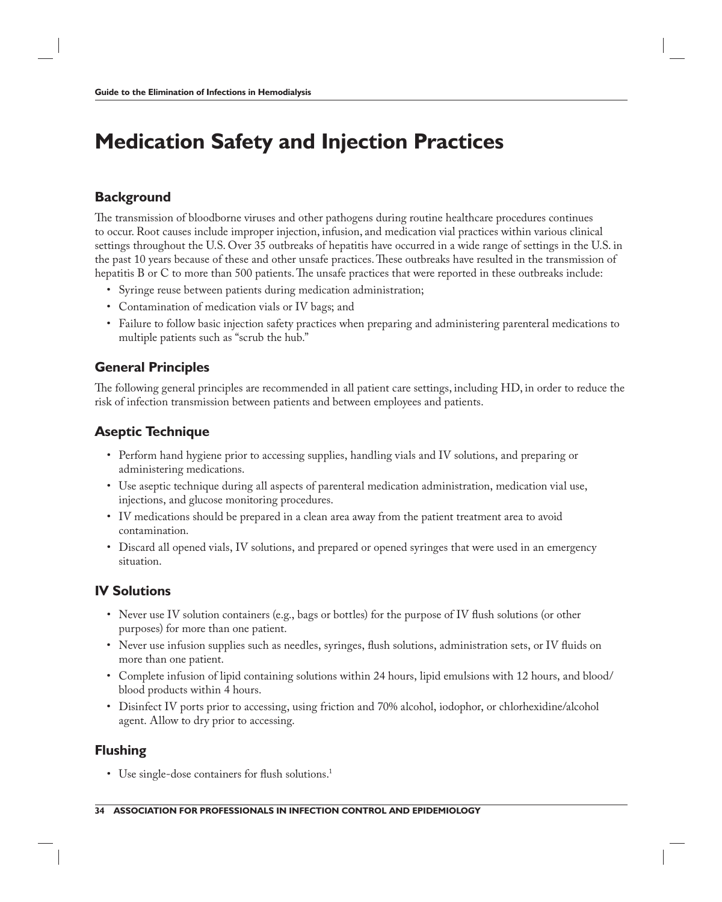# **Medication Safety and Injection Practices**

#### **Background**

The transmission of bloodborne viruses and other pathogens during routine healthcare procedures continues to occur. Root causes include improper injection, infusion, and medication vial practices within various clinical settings throughout the U.S. Over 35 outbreaks of hepatitis have occurred in a wide range of settings in the U.S. in the past 10 years because of these and other unsafe practices. These outbreaks have resulted in the transmission of hepatitis B or C to more than 500 patients. The unsafe practices that were reported in these outbreaks include:

- Syringe reuse between patients during medication administration;
- Contamination of medication vials or IV bags; and
- Failure to follow basic injection safety practices when preparing and administering parenteral medications to multiple patients such as "scrub the hub."

#### **General Principles**

The following general principles are recommended in all patient care settings, including HD, in order to reduce the risk of infection transmission between patients and between employees and patients.

#### **Aseptic Technique**

- Perform hand hygiene prior to accessing supplies, handling vials and IV solutions, and preparing or administering medications.
- Use aseptic technique during all aspects of parenteral medication administration, medication vial use, injections, and glucose monitoring procedures.
- IV medications should be prepared in a clean area away from the patient treatment area to avoid contamination.
- Discard all opened vials, IV solutions, and prepared or opened syringes that were used in an emergency situation.

#### **IV Solutions**

- Never use IV solution containers (e.g., bags or bottles) for the purpose of IV flush solutions (or other purposes) for more than one patient.
- Never use infusion supplies such as needles, syringes, flush solutions, administration sets, or IV fluids on more than one patient.
- Complete infusion of lipid containing solutions within 24 hours, lipid emulsions with 12 hours, and blood/ blood products within 4 hours.
- Disinfect IV ports prior to accessing, using friction and 70% alcohol, iodophor, or chlorhexidine/alcohol agent. Allow to dry prior to accessing.

#### **Flushing**

• Use single-dose containers for flush solutions.<sup>1</sup>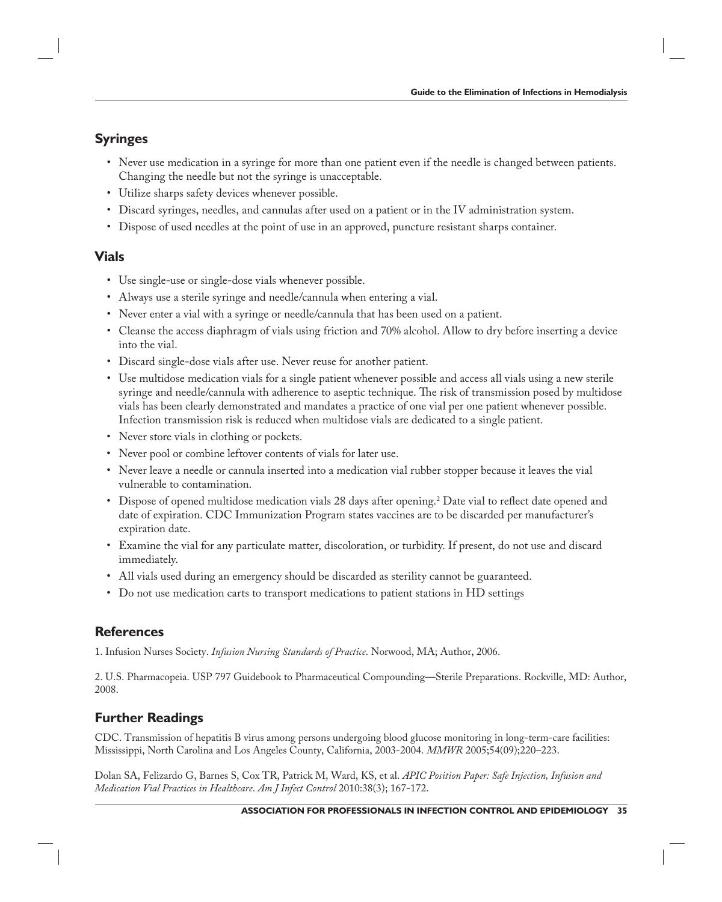### **Syringes**

- Never use medication in a syringe for more than one patient even if the needle is changed between patients. Changing the needle but not the syringe is unacceptable.
- Utilize sharps safety devices whenever possible.
- Discard syringes, needles, and cannulas after used on a patient or in the IV administration system.
- Dispose of used needles at the point of use in an approved, puncture resistant sharps container.

#### **Vials**

- Use single-use or single-dose vials whenever possible.
- Always use a sterile syringe and needle/cannula when entering a vial.
- Never enter a vial with a syringe or needle/cannula that has been used on a patient.
- Cleanse the access diaphragm of vials using friction and 70% alcohol. Allow to dry before inserting a device into the vial.
- Discard single-dose vials after use. Never reuse for another patient.
- Use multidose medication vials for a single patient whenever possible and access all vials using a new sterile syringe and needle/cannula with adherence to aseptic technique. The risk of transmission posed by multidose vials has been clearly demonstrated and mandates a practice of one vial per one patient whenever possible. Infection transmission risk is reduced when multidose vials are dedicated to a single patient.
- Never store vials in clothing or pockets.
- Never pool or combine leftover contents of vials for later use.
- Never leave a needle or cannula inserted into a medication vial rubber stopper because it leaves the vial vulnerable to contamination.
- Dispose of opened multidose medication vials 28 days after opening.<sup>2</sup> Date vial to reflect date opened and date of expiration. CDC Immunization Program states vaccines are to be discarded per manufacturer's expiration date.
- Examine the vial for any particulate matter, discoloration, or turbidity. If present, do not use and discard immediately.
- All vials used during an emergency should be discarded as sterility cannot be guaranteed.
- Do not use medication carts to transport medications to patient stations in HD settings

#### **References**

1. Infusion Nurses Society. *Infusion Nursing Standards of Practice*. Norwood, MA; Author, 2006.

2. U.S. Pharmacopeia. USP 797 Guidebook to Pharmaceutical Compounding—Sterile Preparations. Rockville, MD: Author, 2008.

### **Further Readings**

CDC. Transmission of hepatitis B virus among persons undergoing blood glucose monitoring in long-term-care facilities: Mississippi, North Carolina and Los Angeles County, California, 2003-2004. *MMWR* 2005;54(09);220–223.

Dolan SA, Felizardo G, Barnes S, Cox TR, Patrick M, Ward, KS, et al. *APIC Position Paper: Safe Injection, Infusion and Medication Vial Practices in Healthcare*. *Am J Infect Control* 2010:38(3); 167-172.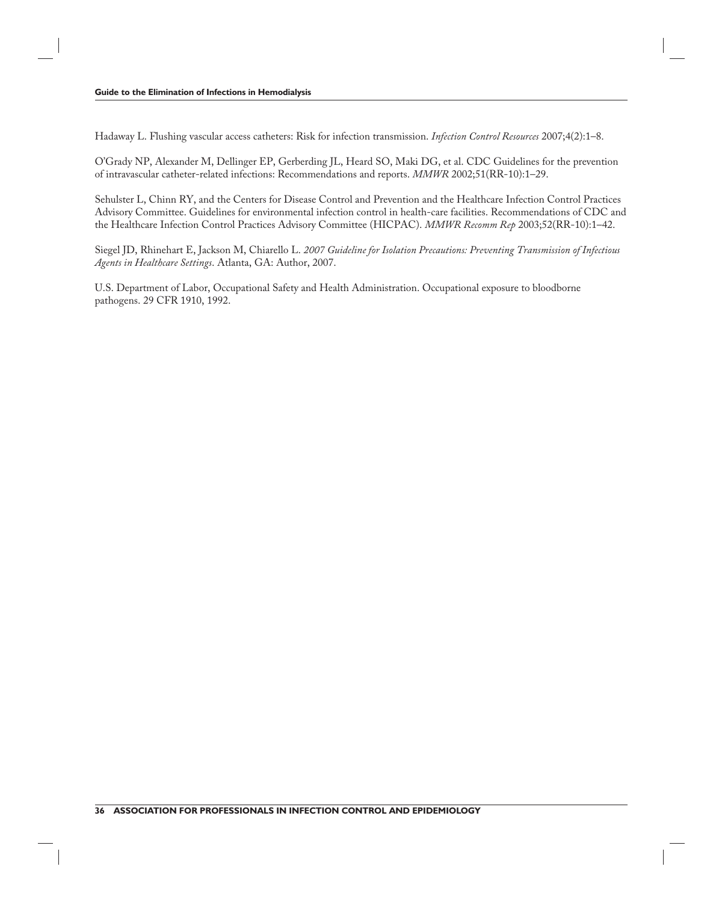Hadaway L. Flushing vascular access catheters: Risk for infection transmission. *Infection Control Resources* 2007;4(2):1–8.

O'Grady NP, Alexander M, Dellinger EP, Gerberding JL, Heard SO, Maki DG, et al. CDC Guidelines for the prevention of intravascular catheter-related infections: Recommendations and reports. *MMWR* 2002;51(RR-10):1–29.

Sehulster L, Chinn RY, and the Centers for Disease Control and Prevention and the Healthcare Infection Control Practices Advisory Committee. Guidelines for environmental infection control in health-care facilities. Recommendations of CDC and the Healthcare Infection Control Practices Advisory Committee (HICPAC). *MMWR Recomm Rep* 2003;52(RR-10):1–42.

Siegel JD, Rhinehart E, Jackson M, Chiarello L. *2007 Guideline for Isolation Precautions: Preventing Transmission of Infectious Agents in Healthcare Settings*. Atlanta, GA: Author, 2007.

U.S. Department of Labor, Occupational Safety and Health Administration. Occupational exposure to bloodborne pathogens. 29 CFR 1910, 1992.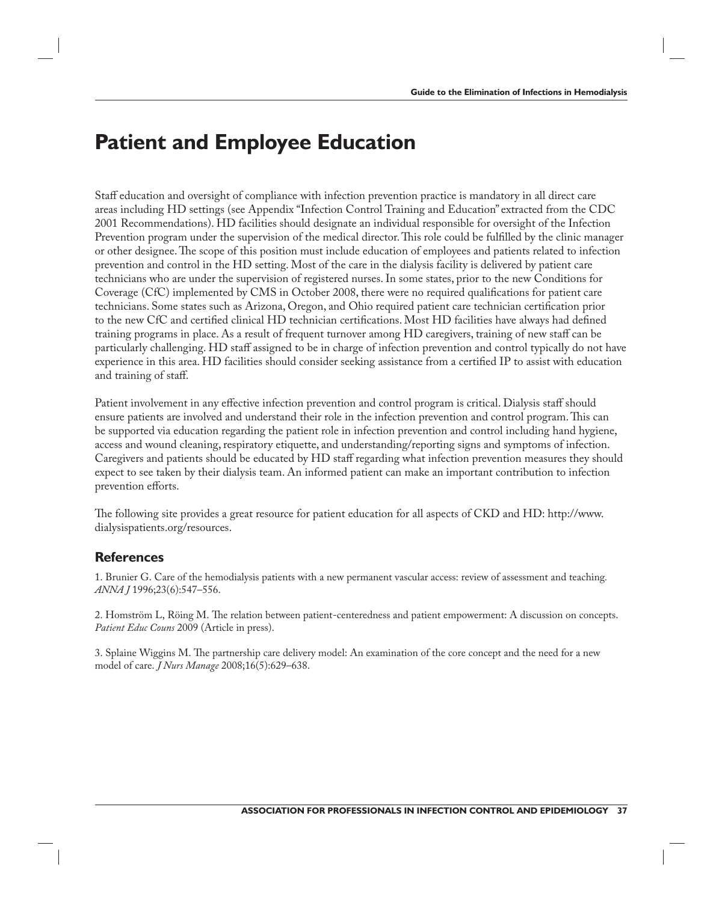## **Patient and Employee Education**

Staff education and oversight of compliance with infection prevention practice is mandatory in all direct care areas including HD settings (see Appendix "Infection Control Training and Education" extracted from the CDC 2001 Recommendations). HD facilities should designate an individual responsible for oversight of the Infection Prevention program under the supervision of the medical director. This role could be fulfilled by the clinic manager or other designee. The scope of this position must include education of employees and patients related to infection prevention and control in the HD setting. Most of the care in the dialysis facility is delivered by patient care technicians who are under the supervision of registered nurses. In some states, prior to the new Conditions for Coverage (CfC) implemented by CMS in October 2008, there were no required qualifications for patient care technicians. Some states such as Arizona, Oregon, and Ohio required patient care technician certification prior to the new CfC and certified clinical HD technician certifications. Most HD facilities have always had defined training programs in place. As a result of frequent turnover among HD caregivers, training of new staff can be particularly challenging. HD staff assigned to be in charge of infection prevention and control typically do not have experience in this area. HD facilities should consider seeking assistance from a certified IP to assist with education and training of staff.

Patient involvement in any effective infection prevention and control program is critical. Dialysis staff should ensure patients are involved and understand their role in the infection prevention and control program. This can be supported via education regarding the patient role in infection prevention and control including hand hygiene, access and wound cleaning, respiratory etiquette, and understanding/reporting signs and symptoms of infection. Caregivers and patients should be educated by HD staff regarding what infection prevention measures they should expect to see taken by their dialysis team. An informed patient can make an important contribution to infection prevention efforts.

The following site provides a great resource for patient education for all aspects of CKD and HD: http://www. dialysispatients.org/resources.

### **References**

1. Brunier G. Care of the hemodialysis patients with a new permanent vascular access: review of assessment and teaching*. ANNA J* 1996;23(6):547–556.

2. Homström L, Röing M. The relation between patient-centeredness and patient empowerment: A discussion on concepts. *Patient Educ Couns* 2009 (Article in press).

3. Splaine Wiggins M. The partnership care delivery model: An examination of the core concept and the need for a new model of care. *J Nurs Manage* 2008;16(5):629–638.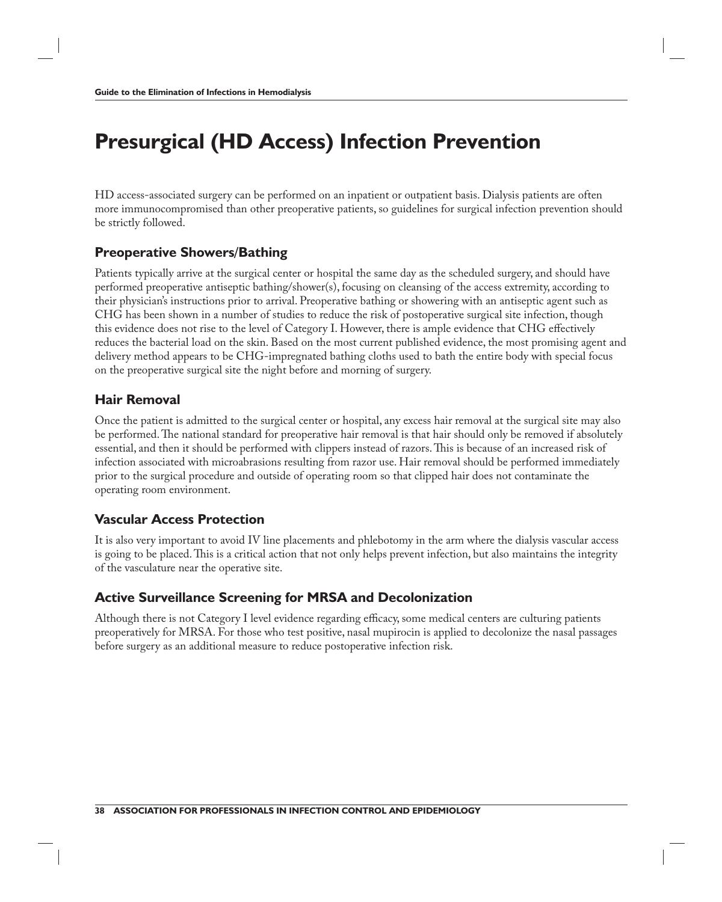# **Presurgical (HD Access) Infection Prevention**

HD access-associated surgery can be performed on an inpatient or outpatient basis. Dialysis patients are often more immunocompromised than other preoperative patients, so guidelines for surgical infection prevention should be strictly followed.

## **Preoperative Showers/Bathing**

Patients typically arrive at the surgical center or hospital the same day as the scheduled surgery, and should have performed preoperative antiseptic bathing/shower(s), focusing on cleansing of the access extremity, according to their physician's instructions prior to arrival. Preoperative bathing or showering with an antiseptic agent such as CHG has been shown in a number of studies to reduce the risk of postoperative surgical site infection, though this evidence does not rise to the level of Category I. However, there is ample evidence that CHG effectively reduces the bacterial load on the skin. Based on the most current published evidence, the most promising agent and delivery method appears to be CHG-impregnated bathing cloths used to bath the entire body with special focus on the preoperative surgical site the night before and morning of surgery.

## **Hair Removal**

Once the patient is admitted to the surgical center or hospital, any excess hair removal at the surgical site may also be performed. The national standard for preoperative hair removal is that hair should only be removed if absolutely essential, and then it should be performed with clippers instead of razors. This is because of an increased risk of infection associated with microabrasions resulting from razor use. Hair removal should be performed immediately prior to the surgical procedure and outside of operating room so that clipped hair does not contaminate the operating room environment.

## **Vascular Access Protection**

It is also very important to avoid IV line placements and phlebotomy in the arm where the dialysis vascular access is going to be placed. This is a critical action that not only helps prevent infection, but also maintains the integrity of the vasculature near the operative site.

### **Active Surveillance Screening for MRSA and Decolonization**

Although there is not Category I level evidence regarding efficacy, some medical centers are culturing patients preoperatively for MRSA. For those who test positive, nasal mupirocin is applied to decolonize the nasal passages before surgery as an additional measure to reduce postoperative infection risk.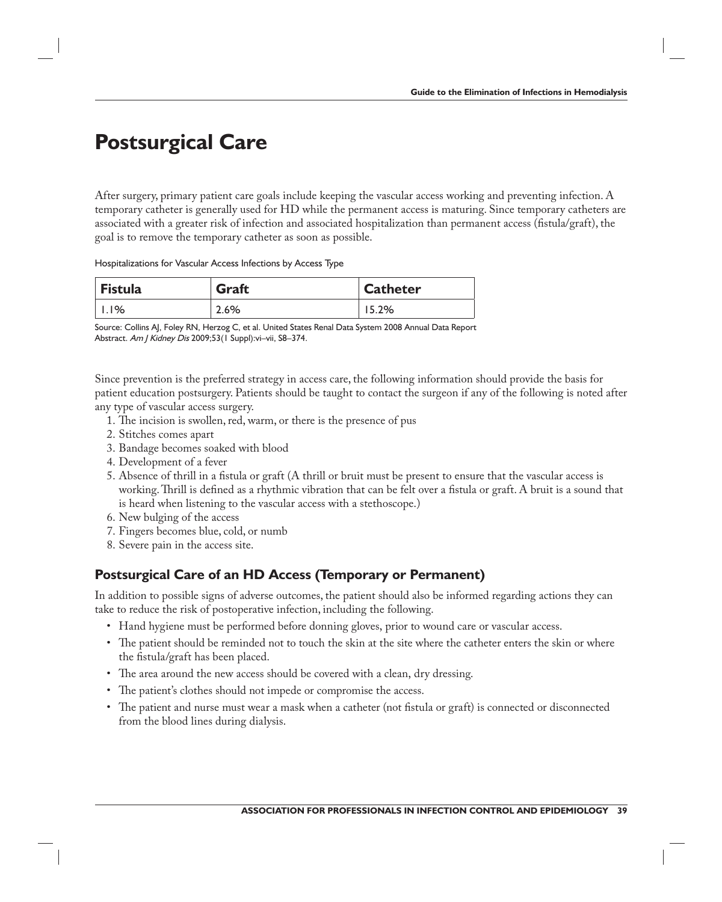# **Postsurgical Care**

After surgery, primary patient care goals include keeping the vascular access working and preventing infection. A temporary catheter is generally used for HD while the permanent access is maturing. Since temporary catheters are associated with a greater risk of infection and associated hospitalization than permanent access (fistula/graft), the goal is to remove the temporary catheter as soon as possible.

Hospitalizations for Vascular Access Infections by Access Type

| Fistula            | Graft | Catheter |
|--------------------|-------|----------|
| $\overline{1.1\%}$ | 2.6%  | 15.2%    |

Source: Collins AJ, Foley RN, Herzog C, et al. United States Renal Data System 2008 Annual Data Report Abstract. Am J Kidney Dis 2009;53(1 Suppl): vi-vii, S8-374.

Since prevention is the preferred strategy in access care, the following information should provide the basis for patient education postsurgery. Patients should be taught to contact the surgeon if any of the following is noted after any type of vascular access surgery.

- 1. The incision is swollen, red, warm, or there is the presence of pus
- 2. Stitches comes apart
- 3. Bandage becomes soaked with blood
- 4. Development of a fever
- 5. Absence of thrill in a fistula or graft (A thrill or bruit must be present to ensure that the vascular access is working. Thrill is defined as a rhythmic vibration that can be felt over a fistula or graft. A bruit is a sound that is heard when listening to the vascular access with a stethoscope.)
- 6. New bulging of the access
- 7. Fingers becomes blue, cold, or numb
- 8. Severe pain in the access site.

#### **Postsurgical Care of an HD Access (Temporary or Permanent)**

In addition to possible signs of adverse outcomes, the patient should also be informed regarding actions they can take to reduce the risk of postoperative infection, including the following.

- Hand hygiene must be performed before donning gloves, prior to wound care or vascular access.
- The patient should be reminded not to touch the skin at the site where the catheter enters the skin or where the fistula/graft has been placed.
- The area around the new access should be covered with a clean, dry dressing.
- The patient's clothes should not impede or compromise the access.
- The patient and nurse must wear a mask when a catheter (not fistula or graft) is connected or disconnected from the blood lines during dialysis.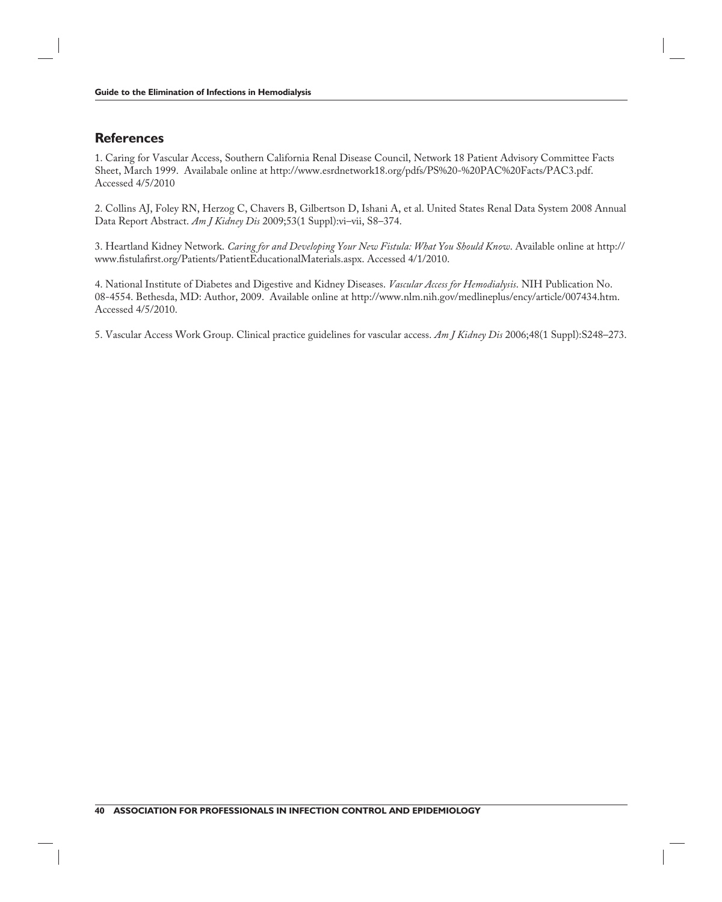#### **References**

1. Caring for Vascular Access, Southern California Renal Disease Council, Network 18 Patient Advisory Committee Facts Sheet, March 1999. Availabale online at http://www.esrdnetwork18.org/pdfs/PS%20-%20PAC%20Facts/PAC3.pdf. Accessed 4/5/2010

2. Collins AJ, Foley RN, Herzog C, Chavers B, Gilbertson D, Ishani A, et al. United States Renal Data System 2008 Annual Data Report Abstract. *Am J Kidney Dis* 2009;53(1 Suppl):vi–vii, S8–374.

3. Heartland Kidney Network. *Caring for and Developing Your New Fistula: What You Should Know*. Available online at http:// www.fistulafirst.org/Patients/PatientEducationalMaterials.aspx. Accessed 4/1/2010.

4. National Institute of Diabetes and Digestive and Kidney Diseases. *Vascular Access for Hemodialysis*. NIH Publication No. 08-4554. Bethesda, MD: Author, 2009. Available online at http://www.nlm.nih.gov/medlineplus/ency/article/007434.htm. Accessed 4/5/2010.

5. Vascular Access Work Group. Clinical practice guidelines for vascular access. *Am J Kidney Dis* 2006;48(1 Suppl):S248–273.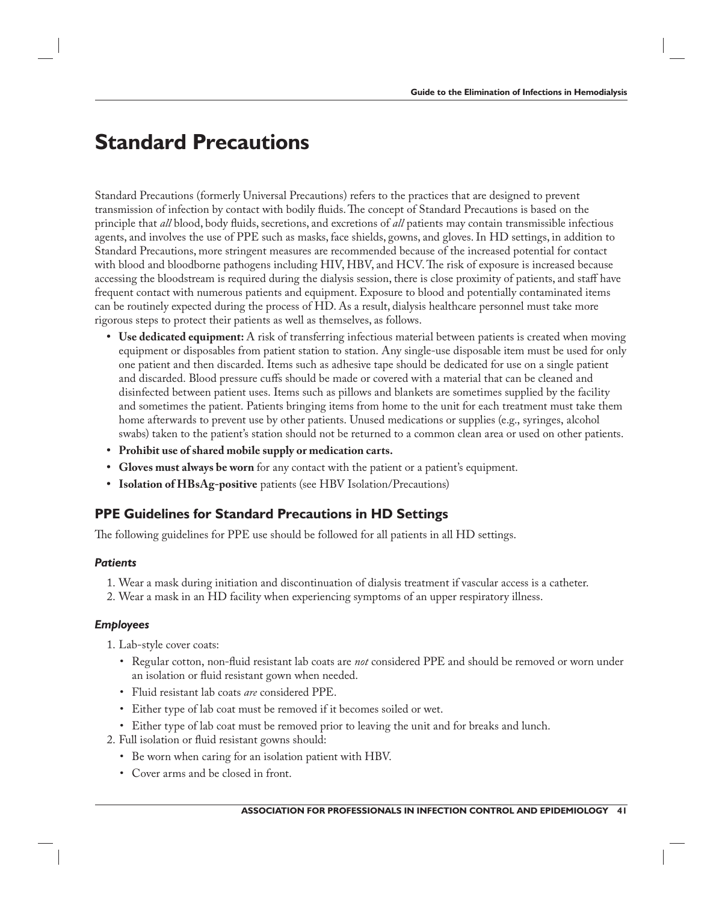## **Standard Precautions**

Standard Precautions (formerly Universal Precautions) refers to the practices that are designed to prevent transmission of infection by contact with bodily fluids. The concept of Standard Precautions is based on the principle that *all* blood, body fluids, secretions, and excretions of *all* patients may contain transmissible infectious agents, and involves the use of PPE such as masks, face shields, gowns, and gloves. In HD settings, in addition to Standard Precautions, more stringent measures are recommended because of the increased potential for contact with blood and bloodborne pathogens including HIV, HBV, and HCV. The risk of exposure is increased because accessing the bloodstream is required during the dialysis session, there is close proximity of patients, and staff have frequent contact with numerous patients and equipment. Exposure to blood and potentially contaminated items can be routinely expected during the process of HD. As a result, dialysis healthcare personnel must take more rigorous steps to protect their patients as well as themselves, as follows.

- **Use dedicated equipment:** A risk of transferring infectious material between patients is created when moving equipment or disposables from patient station to station. Any single-use disposable item must be used for only one patient and then discarded. Items such as adhesive tape should be dedicated for use on a single patient and discarded. Blood pressure cuffs should be made or covered with a material that can be cleaned and disinfected between patient uses. Items such as pillows and blankets are sometimes supplied by the facility and sometimes the patient. Patients bringing items from home to the unit for each treatment must take them home afterwards to prevent use by other patients. Unused medications or supplies (e.g., syringes, alcohol swabs) taken to the patient's station should not be returned to a common clean area or used on other patients.
- **Prohibit use of shared mobile supply or medication carts.**
- **Gloves must always be worn** for any contact with the patient or a patient's equipment.
- **Isolation of HBsAg-positive** patients (see HBV Isolation/Precautions)

## **PPE Guidelines for Standard Precautions in HD Settings**

The following guidelines for PPE use should be followed for all patients in all HD settings.

#### *Patients*

- 1. Wear a mask during initiation and discontinuation of dialysis treatment if vascular access is a catheter.
- 2. Wear a mask in an HD facility when experiencing symptoms of an upper respiratory illness.

#### *Employees*

- 1. Lab-style cover coats:
	- Regular cotton, non-fluid resistant lab coats are *not* considered PPE and should be removed or worn under an isolation or fluid resistant gown when needed.
	- Fluid resistant lab coats *are* considered PPE.
	- Either type of lab coat must be removed if it becomes soiled or wet.
	- Either type of lab coat must be removed prior to leaving the unit and for breaks and lunch.
- 2. Full isolation or fluid resistant gowns should:
	- Be worn when caring for an isolation patient with HBV.
	- Cover arms and be closed in front.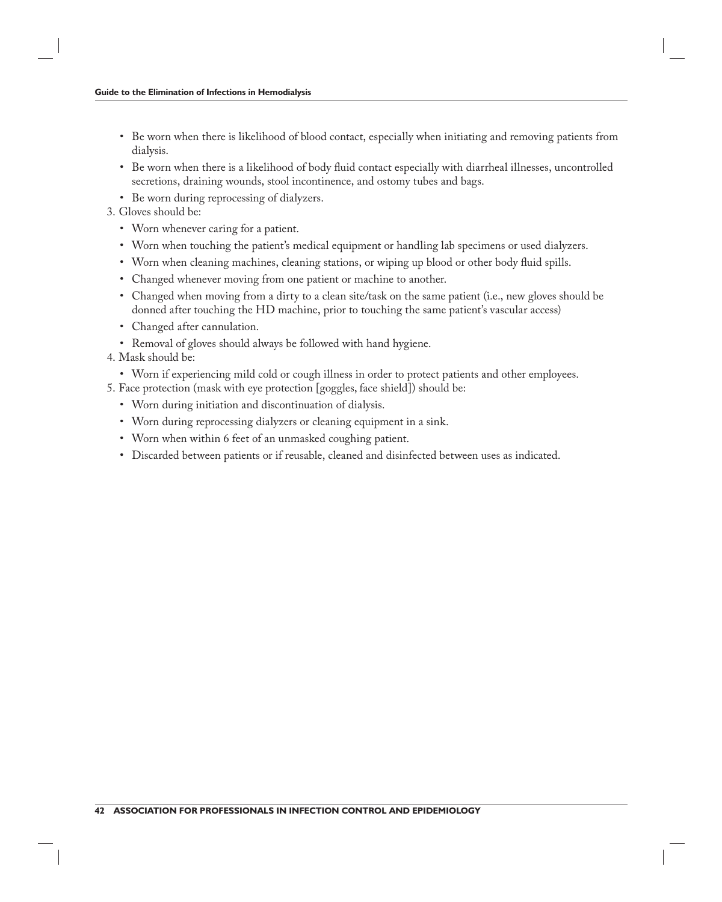- Be worn when there is likelihood of blood contact, especially when initiating and removing patients from dialysis.
- Be worn when there is a likelihood of body fluid contact especially with diarrheal illnesses, uncontrolled secretions, draining wounds, stool incontinence, and ostomy tubes and bags.
- Be worn during reprocessing of dialyzers.
- 3. Gloves should be:
	- Worn whenever caring for a patient.
	- Worn when touching the patient's medical equipment or handling lab specimens or used dialyzers.
	- Worn when cleaning machines, cleaning stations, or wiping up blood or other body fluid spills.
	- Changed whenever moving from one patient or machine to another.
	- Changed when moving from a dirty to a clean site/task on the same patient (i.e., new gloves should be donned after touching the HD machine, prior to touching the same patient's vascular access)
	- Changed after cannulation.
	- Removal of gloves should always be followed with hand hygiene.
- 4. Mask should be:
	- Worn if experiencing mild cold or cough illness in order to protect patients and other employees.
- 5. Face protection (mask with eye protection [goggles, face shield]) should be:
	- Worn during initiation and discontinuation of dialysis.
	- Worn during reprocessing dialyzers or cleaning equipment in a sink.
	- Worn when within 6 feet of an unmasked coughing patient.
	- Discarded between patients or if reusable, cleaned and disinfected between uses as indicated.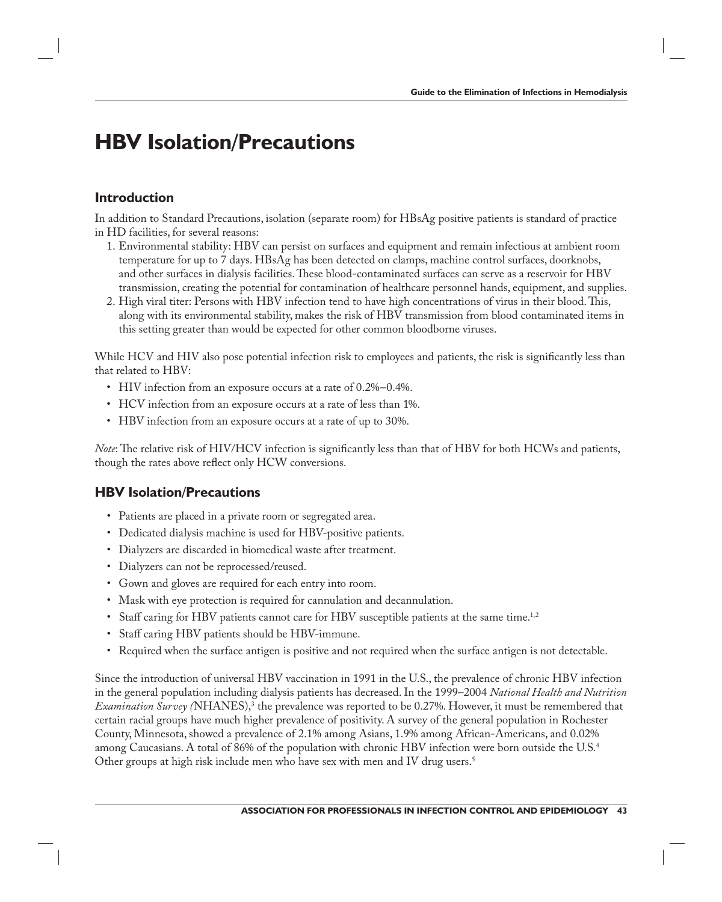# **HBV Isolation/Precautions**

#### **Introduction**

In addition to Standard Precautions, isolation (separate room) for HBsAg positive patients is standard of practice in HD facilities, for several reasons:

- 1. Environmental stability: HBV can persist on surfaces and equipment and remain infectious at ambient room temperature for up to 7 days. HBsAg has been detected on clamps, machine control surfaces, doorknobs, and other surfaces in dialysis facilities. These blood-contaminated surfaces can serve as a reservoir for HBV transmission, creating the potential for contamination of healthcare personnel hands, equipment, and supplies.
- 2. High viral titer: Persons with HBV infection tend to have high concentrations of virus in their blood. This, along with its environmental stability, makes the risk of HBV transmission from blood contaminated items in this setting greater than would be expected for other common bloodborne viruses.

While HCV and HIV also pose potential infection risk to employees and patients, the risk is significantly less than that related to HBV:

- HIV infection from an exposure occurs at a rate of 0.2%–0.4%.
- HCV infection from an exposure occurs at a rate of less than 1%.
- HBV infection from an exposure occurs at a rate of up to 30%.

*Note*: The relative risk of HIV/HCV infection is significantly less than that of HBV for both HCWs and patients, though the rates above reflect only HCW conversions.

#### **HBV Isolation/Precautions**

- Patients are placed in a private room or segregated area.
- Dedicated dialysis machine is used for HBV-positive patients.
- Dialyzers are discarded in biomedical waste after treatment.
- Dialyzers can not be reprocessed/reused.
- Gown and gloves are required for each entry into room.
- Mask with eye protection is required for cannulation and decannulation.
- Staff caring for HBV patients cannot care for HBV susceptible patients at the same time.<sup>1,2</sup>
- Staff caring HBV patients should be HBV-immune.
- Required when the surface antigen is positive and not required when the surface antigen is not detectable.

Since the introduction of universal HBV vaccination in 1991 in the U.S., the prevalence of chronic HBV infection in the general population including dialysis patients has decreased. In the 1999–2004 *National Health and Nutrition Examination Survey (*NHANES),3 the prevalence was reported to be 0.27%. However, it must be remembered that certain racial groups have much higher prevalence of positivity. A survey of the general population in Rochester County, Minnesota, showed a prevalence of 2.1% among Asians, 1.9% among African-Americans, and 0.02% among Caucasians. A total of 86% of the population with chronic HBV infection were born outside the U.S.<sup>4</sup> Other groups at high risk include men who have sex with men and IV drug users.<sup>5</sup>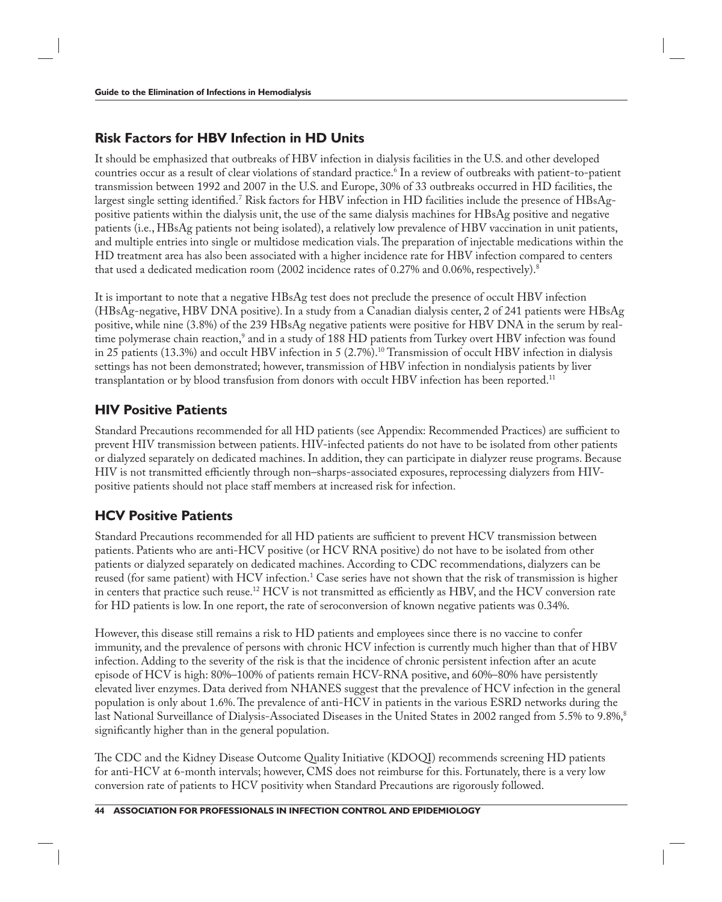## **Risk Factors for HBV Infection in HD Units**

It should be emphasized that outbreaks of HBV infection in dialysis facilities in the U.S. and other developed countries occur as a result of clear violations of standard practice.<sup>6</sup> In a review of outbreaks with patient-to-patient transmission between 1992 and 2007 in the U.S. and Europe, 30% of 33 outbreaks occurred in HD facilities, the largest single setting identified.<sup>7</sup> Risk factors for HBV infection in HD facilities include the presence of HBsAgpositive patients within the dialysis unit, the use of the same dialysis machines for HBsAg positive and negative patients (i.e., HBsAg patients not being isolated), a relatively low prevalence of HBV vaccination in unit patients, and multiple entries into single or multidose medication vials. The preparation of injectable medications within the HD treatment area has also been associated with a higher incidence rate for HBV infection compared to centers that used a dedicated medication room (2002 incidence rates of 0.27% and 0.06%, respectively).<sup>8</sup>

It is important to note that a negative HBsAg test does not preclude the presence of occult HBV infection (HBsAg-negative, HBV DNA positive). In a study from a Canadian dialysis center, 2 of 241 patients were HBsAg positive, while nine (3.8%) of the 239 HBsAg negative patients were positive for HBV DNA in the serum by realtime polymerase chain reaction,<sup>9</sup> and in a study of 188 HD patients from Turkey overt HBV infection was found in 25 patients (13.3%) and occult HBV infection in 5 (2.7%).<sup>10</sup> Transmission of occult HBV infection in dialysis settings has not been demonstrated; however, transmission of HBV infection in nondialysis patients by liver transplantation or by blood transfusion from donors with occult HBV infection has been reported.<sup>11</sup>

### **HIV Positive Patients**

Standard Precautions recommended for all HD patients (see Appendix: Recommended Practices) are sufficient to prevent HIV transmission between patients. HIV-infected patients do not have to be isolated from other patients or dialyzed separately on dedicated machines. In addition, they can participate in dialyzer reuse programs. Because HIV is not transmitted efficiently through non-sharps-associated exposures, reprocessing dialyzers from HIVpositive patients should not place staff members at increased risk for infection.

## **HCV Positive Patients**

Standard Precautions recommended for all HD patients are sufficient to prevent HCV transmission between patients. Patients who are anti-HCV positive (or HCV RNA positive) do not have to be isolated from other patients or dialyzed separately on dedicated machines. According to CDC recommendations, dialyzers can be reused (for same patient) with HCV infection.<sup>1</sup> Case series have not shown that the risk of transmission is higher in centers that practice such reuse.<sup>12</sup> HCV is not transmitted as efficiently as HBV, and the HCV conversion rate for HD patients is low. In one report, the rate of seroconversion of known negative patients was 0.34%.

However, this disease still remains a risk to HD patients and employees since there is no vaccine to confer immunity, and the prevalence of persons with chronic HCV infection is currently much higher than that of HBV infection. Adding to the severity of the risk is that the incidence of chronic persistent infection after an acute episode of HCV is high: 80%–100% of patients remain HCV-RNA positive, and 60%–80% have persistently elevated liver enzymes. Data derived from NHANES suggest that the prevalence of HCV infection in the general population is only about 1.6%. The prevalence of anti-HCV in patients in the various ESRD networks during the last National Surveillance of Dialysis-Associated Diseases in the United States in 2002 ranged from 5.5% to 9.8%,<sup>8</sup> significantly higher than in the general population.

The CDC and the Kidney Disease Outcome Quality Initiative (KDOQI) recommends screening HD patients for anti-HCV at 6-month intervals; however, CMS does not reimburse for this. Fortunately, there is a very low conversion rate of patients to HCV positivity when Standard Precautions are rigorously followed.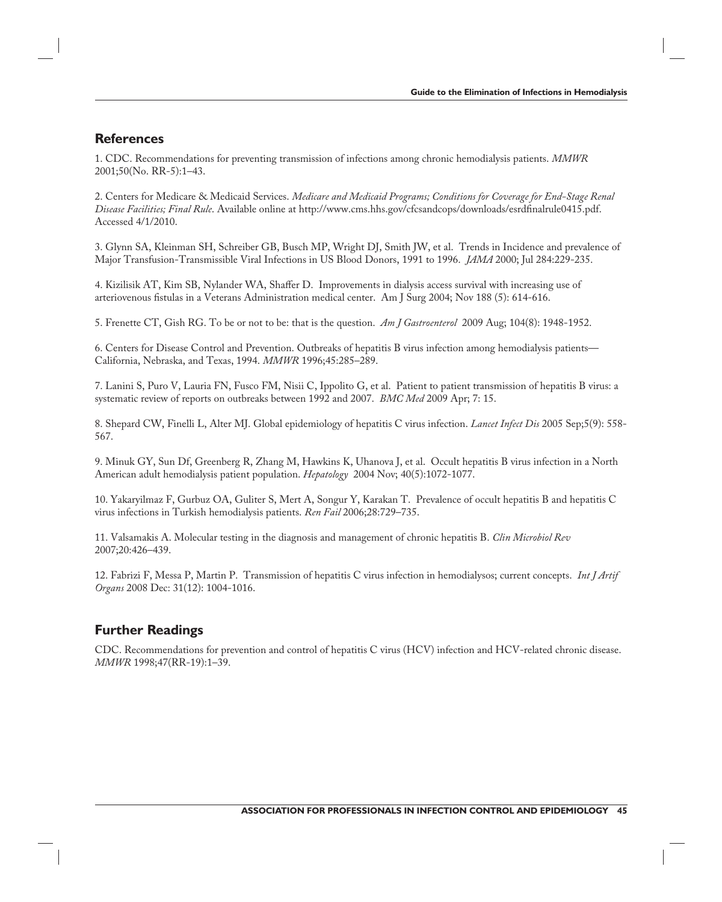#### **References**

1. CDC. Recommendations for preventing transmission of infections among chronic hemodialysis patients. *MMWR* 2001;50(No. RR-5):1–43.

2. Centers for Medicare & Medicaid Services. *Medicare and Medicaid Programs; Conditions for Coverage for End-Stage Renal*  Disease Facilities; Final Rule. Available online at http://www.cms.hhs.gov/cfcsandcops/downloads/esrdfinalrule0415.pdf. Accessed 4/1/2010.

3. Glynn SA, Kleinman SH, Schreiber GB, Busch MP, Wright DJ, Smith JW, et al. Trends in Incidence and prevalence of Major Transfusion-Transmissible Viral Infections in US Blood Donors, 1991 to 1996. *JAMA* 2000; Jul 284:229-235.

4. Kizilisik AT, Kim SB, Nylander WA, Shaffer D. Improvements in dialysis access survival with increasing use of arteriovenous fistulas in a Veterans Administration medical center. Am J Surg 2004; Nov 188 (5): 614-616.

5. Frenette CT, Gish RG. To be or not to be: that is the question. *Am J Gastroenterol* 2009 Aug; 104(8): 1948-1952.

6. Centers for Disease Control and Prevention. Outbreaks of hepatitis B virus infection among hemodialysis patients— California, Nebraska, and Texas, 1994. *MMWR* 1996;45:285–289.

7. Lanini S, Puro V, Lauria FN, Fusco FM, Nisii C, Ippolito G, et al. Patient to patient transmission of hepatitis B virus: a systematic review of reports on outbreaks between 1992 and 2007. *BMC Med* 2009 Apr; 7: 15.

8. Shepard CW, Finelli L, Alter MJ. Global epidemiology of hepatitis C virus infection. *Lancet Infect Dis* 2005 Sep;5(9): 558- 567.

9. Minuk GY, Sun Df, Greenberg R, Zhang M, Hawkins K, Uhanova J, et al. Occult hepatitis B virus infection in a North American adult hemodialysis patient population. *Hepatology* 2004 Nov; 40(5):1072-1077.

10. Yakaryilmaz F, Gurbuz OA, Guliter S, Mert A, Songur Y, Karakan T. Prevalence of occult hepatitis B and hepatitis C virus infections in Turkish hemodialysis patients. *Ren Fail* 2006;28:729–735.

11. Valsamakis A. Molecular testing in the diagnosis and management of chronic hepatitis B. *Clin Microbiol Rev* 2007;20:426–439.

12. Fabrizi F, Messa P, Martin P. Transmission of hepatitis C virus infection in hemodialysos; current concepts. *Int J Artif Organs* 2008 Dec: 31(12): 1004-1016.

#### **Further Readings**

CDC. Recommendations for prevention and control of hepatitis C virus (HCV) infection and HCV-related chronic disease. *MMWR* 1998;47(RR-19):1–39.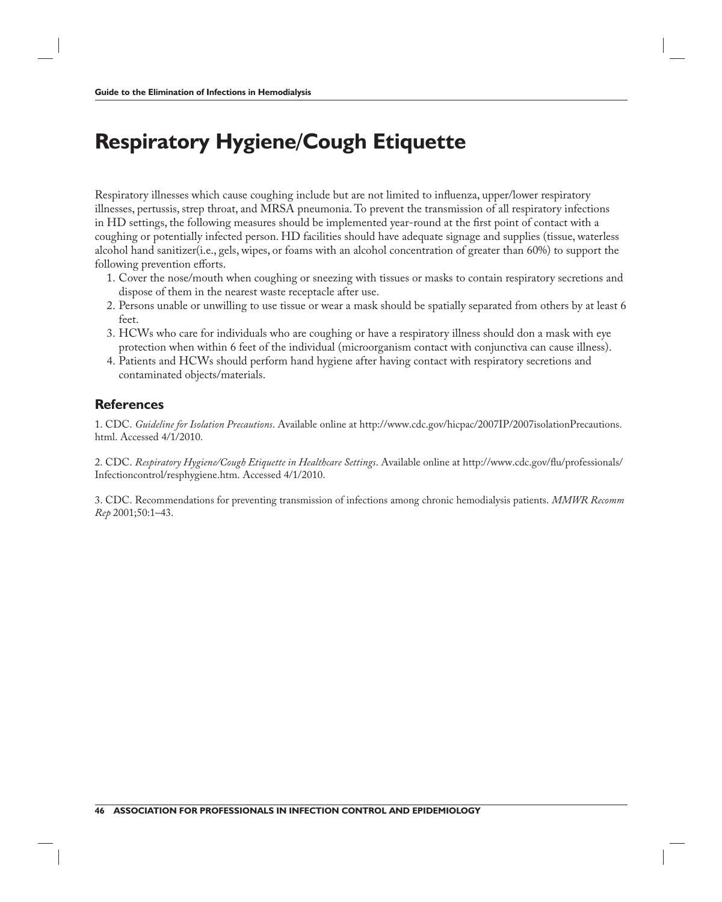# **Respiratory Hygiene/Cough Etiquette**

Respiratory illnesses which cause coughing include but are not limited to influenza, upper/lower respiratory illnesses, pertussis, strep throat, and MRSA pneumonia. To prevent the transmission of all respiratory infections in HD settings, the following measures should be implemented year-round at the first point of contact with a coughing or potentially infected person. HD facilities should have adequate signage and supplies (tissue, waterless alcohol hand sanitizer(i.e., gels, wipes, or foams with an alcohol concentration of greater than 60%) to support the following prevention efforts.

- 1. Cover the nose/mouth when coughing or sneezing with tissues or masks to contain respiratory secretions and dispose of them in the nearest waste receptacle after use.
- 2. Persons unable or unwilling to use tissue or wear a mask should be spatially separated from others by at least 6 feet.
- 3. HCWs who care for individuals who are coughing or have a respiratory illness should don a mask with eye protection when within 6 feet of the individual (microorganism contact with conjunctiva can cause illness).
- 4. Patients and HCWs should perform hand hygiene after having contact with respiratory secretions and contaminated objects/materials.

#### **References**

1. CDC. *Guideline for Isolation Precautions*. Available online at http://www.cdc.gov/hicpac/2007IP/2007isolationPrecautions. html. Accessed 4/1/2010.

2. CDC. *Respiratory Hygiene/Cough Etiquette in Healthcare Settings*. Available online at http://www.cdc.gov/flu/professionals/ Infectioncontrol/resphygiene.htm. Accessed 4/1/2010.

3. CDC. Recommendations for preventing transmission of infections among chronic hemodialysis patients. *MMWR Recomm Rep* 2001;50:1–43.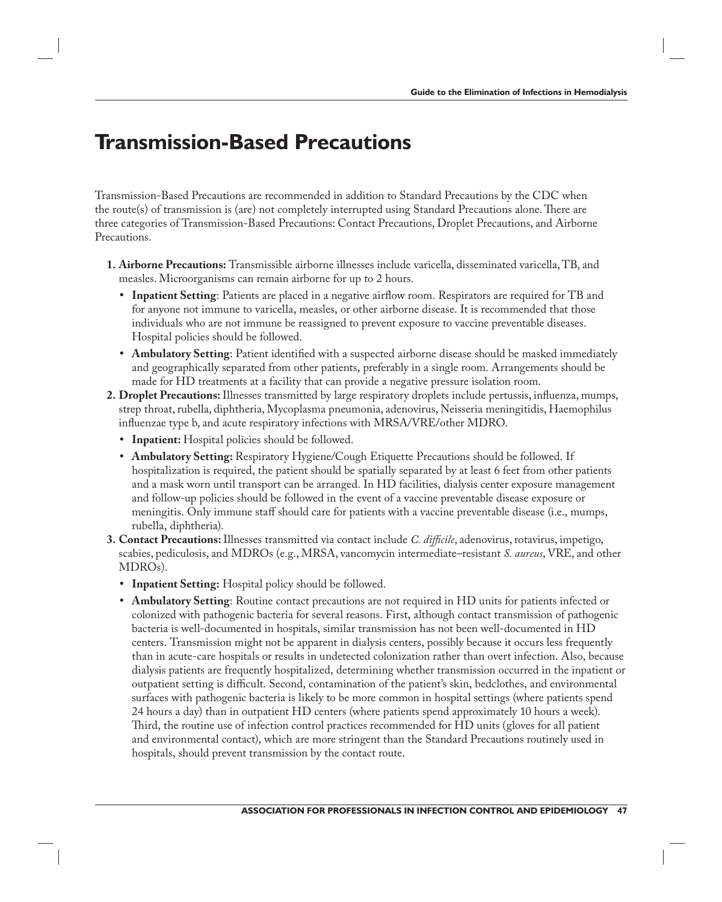## **Transmission-Based Precautions**

Transmission-Based Precautions are recommended in addition to Standard Precautions by the CDC when the route(s) of transmission is (are) not completely interrupted using Standard Precautions alone. There are three categories of Transmission-Based Precautions: Contact Precautions, Droplet Precautions, and Airborne Precautions.

- **1. Airborne Precautions:** Transmissible airborne illnesses include varicella, disseminated varicella, TB, and measles. Microorganisms can remain airborne for up to 2 hours.
	- Inpatient Setting: Patients are placed in a negative airflow room. Respirators are required for TB and for anyone not immune to varicella, measles, or other airborne disease. It is recommended that those individuals who are not immune be reassigned to prevent exposure to vaccine preventable diseases. Hospital policies should be followed.
	- Ambulatory Setting: Patient identified with a suspected airborne disease should be masked immediately and geographically separated from other patients, preferably in a single room. Arrangements should be made for HD treatments at a facility that can provide a negative pressure isolation room.
- 2. Droplet Precautions: Illnesses transmitted by large respiratory droplets include pertussis, influenza, mumps, strep throat, rubella, diphtheria, Mycoplasma pneumonia, adenovirus, Neisseria meningitidis, Haemophilus influenzae type b, and acute respiratory infections with MRSA/VRE/other MDRO.
	- **Inpatient:** Hospital policies should be followed.
	- **Ambulatory Setting:** Respiratory Hygiene/Cough Etiquette Precautions should be followed. If hospitalization is required, the patient should be spatially separated by at least 6 feet from other patients and a mask worn until transport can be arranged. In HD facilities, dialysis center exposure management and follow-up policies should be followed in the event of a vaccine preventable disease exposure or meningitis. Only immune staff should care for patients with a vaccine preventable disease (i.e., mumps, rubella, diphtheria).
- **3. Contact Precautions:** Illnesses transmitted via contact include *C. difficile*, adenovirus, rotavirus, impetigo, scabies, pediculosis, and MDROs (e.g., MRSA, vancomycin intermediate–resistant *S. aureus*, VRE, and other MDROs).
	- **Inpatient Setting:** Hospital policy should be followed.
	- **Ambulatory Setting**: Routine contact precautions are not required in HD units for patients infected or colonized with pathogenic bacteria for several reasons. First, although contact transmission of pathogenic bacteria is well-documented in hospitals, similar transmission has not been well-documented in HD centers. Transmission might not be apparent in dialysis centers, possibly because it occurs less frequently than in acute-care hospitals or results in undetected colonization rather than overt infection. Also, because dialysis patients are frequently hospitalized, determining whether transmission occurred in the inpatient or outpatient setting is difficult. Second, contamination of the patient's skin, bedclothes, and environmental surfaces with pathogenic bacteria is likely to be more common in hospital settings (where patients spend 24 hours a day) than in outpatient HD centers (where patients spend approximately 10 hours a week). Third, the routine use of infection control practices recommended for HD units (gloves for all patient and environmental contact), which are more stringent than the Standard Precautions routinely used in hospitals, should prevent transmission by the contact route.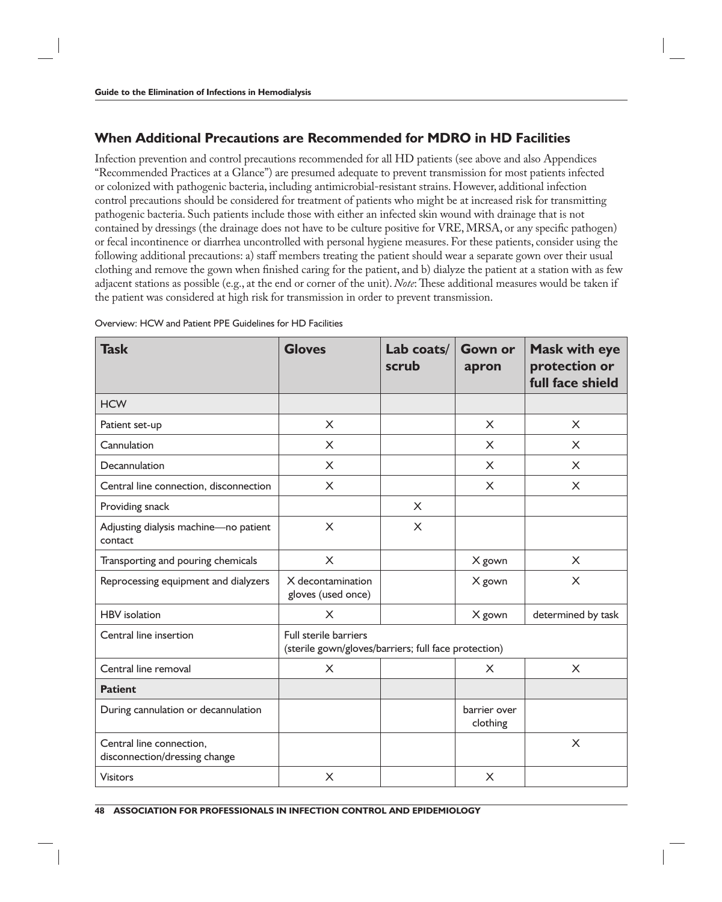### **When Additional Precautions are Recommended for MDRO in HD Facilities**

Infection prevention and control precautions recommended for all HD patients (see above and also Appendices "Recommended Practices at a Glance") are presumed adequate to prevent transmission for most patients infected or colonized with pathogenic bacteria, including antimicrobial-resistant strains. However, additional infection control precautions should be considered for treatment of patients who might be at increased risk for transmitting pathogenic bacteria. Such patients include those with either an infected skin wound with drainage that is not contained by dressings (the drainage does not have to be culture positive for VRE, MRSA, or any specific pathogen) or fecal incontinence or diarrhea uncontrolled with personal hygiene measures. For these patients, consider using the following additional precautions: a) staff members treating the patient should wear a separate gown over their usual clothing and remove the gown when finished caring for the patient, and b) dialyze the patient at a station with as few adjacent stations as possible (e.g., at the end or corner of the unit). *Note*: These additional measures would be taken if the patient was considered at high risk for transmission in order to prevent transmission.

| <b>Task</b>                                               | <b>Gloves</b>                                                                 | Lab coats/<br>scrub | <b>Gown or</b><br>apron  | <b>Mask with eye</b><br>protection or<br>full face shield |
|-----------------------------------------------------------|-------------------------------------------------------------------------------|---------------------|--------------------------|-----------------------------------------------------------|
| <b>HCW</b>                                                |                                                                               |                     |                          |                                                           |
| Patient set-up                                            | $\sf X$                                                                       |                     | X                        | $\sf X$                                                   |
| Cannulation                                               | $\overline{X}$                                                                |                     | X                        | $\sf X$                                                   |
| Decannulation                                             | X                                                                             |                     | X                        | X                                                         |
| Central line connection, disconnection                    | $\sf X$                                                                       |                     | X                        | $\sf X$                                                   |
| Providing snack                                           |                                                                               | $\sf X$             |                          |                                                           |
| Adjusting dialysis machine-no patient<br>contact          | $\sf X$                                                                       | $\times$            |                          |                                                           |
| Transporting and pouring chemicals                        | $\overline{X}$                                                                |                     | X gown                   | $\sf X$                                                   |
| Reprocessing equipment and dialyzers                      | X decontamination<br>gloves (used once)                                       |                     | X gown                   | $\times$                                                  |
| <b>HBV</b> isolation                                      | X                                                                             |                     | X gown                   | determined by task                                        |
| Central line insertion                                    | Full sterile barriers<br>(sterile gown/gloves/barriers; full face protection) |                     |                          |                                                           |
| Central line removal                                      | X                                                                             |                     | $\times$                 | X                                                         |
| <b>Patient</b>                                            |                                                                               |                     |                          |                                                           |
| During cannulation or decannulation                       |                                                                               |                     | barrier over<br>clothing |                                                           |
| Central line connection,<br>disconnection/dressing change |                                                                               |                     |                          | X                                                         |
| <b>Visitors</b>                                           | $\sf X$                                                                       |                     | X                        |                                                           |

Overview: HCW and Patient PPE Guidelines for HD Facilities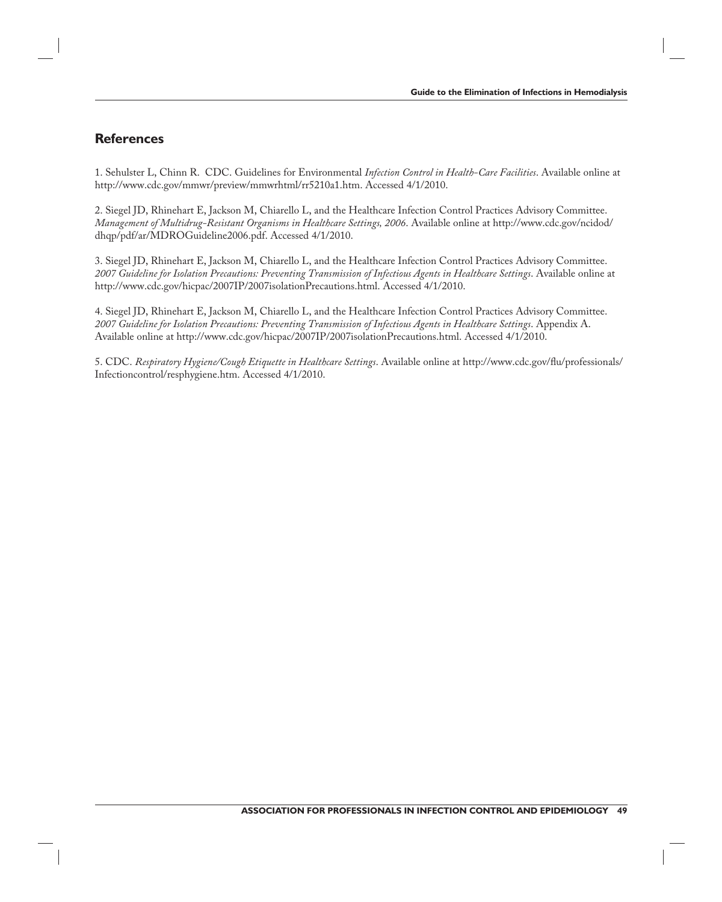#### **References**

1. Sehulster L, Chinn R. CDC. Guidelines for Environmental *Infection Control in Health-Care Facilities*. Available online at http://www.cdc.gov/mmwr/preview/mmwrhtml/rr5210a1.htm. Accessed 4/1/2010.

2. Siegel JD, Rhinehart E, Jackson M, Chiarello L, and the Healthcare Infection Control Practices Advisory Committee. *Management of Multidrug-Resistant Organisms in Healthcare Settings, 2006*. Available online at http://www.cdc.gov/ncidod/ dhqp/pdf/ar/MDROGuideline2006.pdf. Accessed 4/1/2010.

3. Siegel JD, Rhinehart E, Jackson M, Chiarello L, and the Healthcare Infection Control Practices Advisory Committee. *2007 Guideline for Isolation Precautions: Preventing Transmission of Infectious Agents in Healthcare Settings*. Available online at http://www.cdc.gov/hicpac/2007IP/2007isolationPrecautions.html. Accessed 4/1/2010.

4. Siegel JD, Rhinehart E, Jackson M, Chiarello L, and the Healthcare Infection Control Practices Advisory Committee. *2007 Guideline for Isolation Precautions: Preventing Transmission of Infectious Agents in Healthcare Settings*. Appendix A. Available online at http://www.cdc.gov/hicpac/2007IP/2007isolationPrecautions.html. Accessed 4/1/2010.

5. CDC. *Respiratory Hygiene/Cough Etiquette in Healthcare Settings*. Available online at http://www.cdc.gov/flu/professionals/ Infectioncontrol/resphygiene.htm. Accessed 4/1/2010.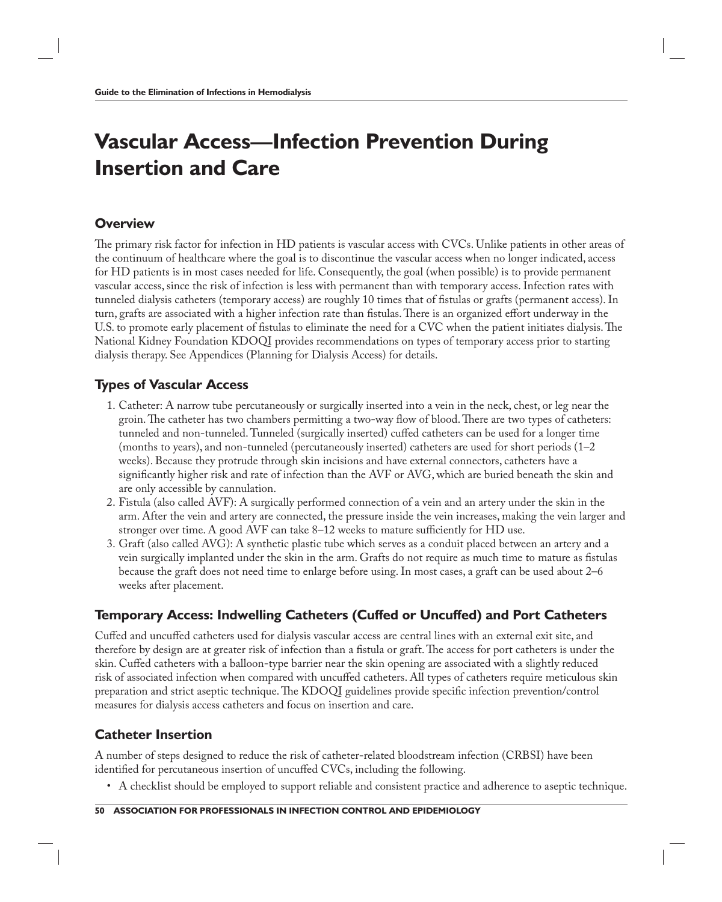# **Vascular Access—Infection Prevention During Insertion and Care**

#### **Overview**

The primary risk factor for infection in HD patients is vascular access with CVCs. Unlike patients in other areas of the continuum of healthcare where the goal is to discontinue the vascular access when no longer indicated, access for HD patients is in most cases needed for life. Consequently, the goal (when possible) is to provide permanent vascular access, since the risk of infection is less with permanent than with temporary access. Infection rates with tunneled dialysis catheters (temporary access) are roughly 10 times that of fistulas or grafts (permanent access). In turn, grafts are associated with a higher infection rate than fistulas. There is an organized effort underway in the U.S. to promote early placement of fistulas to eliminate the need for a CVC when the patient initiates dialysis. The National Kidney Foundation KDOQI provides recommendations on types of temporary access prior to starting dialysis therapy. See Appendices (Planning for Dialysis Access) for details.

## **Types of Vascular Access**

- 1. Catheter: A narrow tube percutaneously or surgically inserted into a vein in the neck, chest, or leg near the groin. The catheter has two chambers permitting a two-way flow of blood. There are two types of catheters: tunneled and non-tunneled. Tunneled (surgically inserted) cuffed catheters can be used for a longer time (months to years), and non-tunneled (percutaneously inserted) catheters are used for short periods (1–2 weeks). Because they protrude through skin incisions and have external connectors, catheters have a significantly higher risk and rate of infection than the AVF or AVG, which are buried beneath the skin and are only accessible by cannulation.
- 2. Fistula (also called AVF): A surgically performed connection of a vein and an artery under the skin in the arm. After the vein and artery are connected, the pressure inside the vein increases, making the vein larger and stronger over time. A good AVF can take  $8-12$  weeks to mature sufficiently for HD use.
- 3. Graft (also called AVG): A synthetic plastic tube which serves as a conduit placed between an artery and a vein surgically implanted under the skin in the arm. Grafts do not require as much time to mature as fistulas because the graft does not need time to enlarge before using. In most cases, a graft can be used about 2–6 weeks after placement.

## **Temporary Access: Indwelling Catheters (Cuffed or Uncuffed) and Port Catheters**

Cuffed and uncuffed catheters used for dialysis vascular access are central lines with an external exit site, and therefore by design are at greater risk of infection than a fistula or graft. The access for port catheters is under the skin. Cuffed catheters with a balloon-type barrier near the skin opening are associated with a slightly reduced risk of associated infection when compared with uncuffed catheters. All types of catheters require meticulous skin preparation and strict aseptic technique. The KDOQI guidelines provide specific infection prevention/control measures for dialysis access catheters and focus on insertion and care.

### **Catheter Insertion**

A number of steps designed to reduce the risk of catheter-related bloodstream infection (CRBSI) have been identified for percutaneous insertion of uncuffed CVCs, including the following.

• A checklist should be employed to support reliable and consistent practice and adherence to aseptic technique.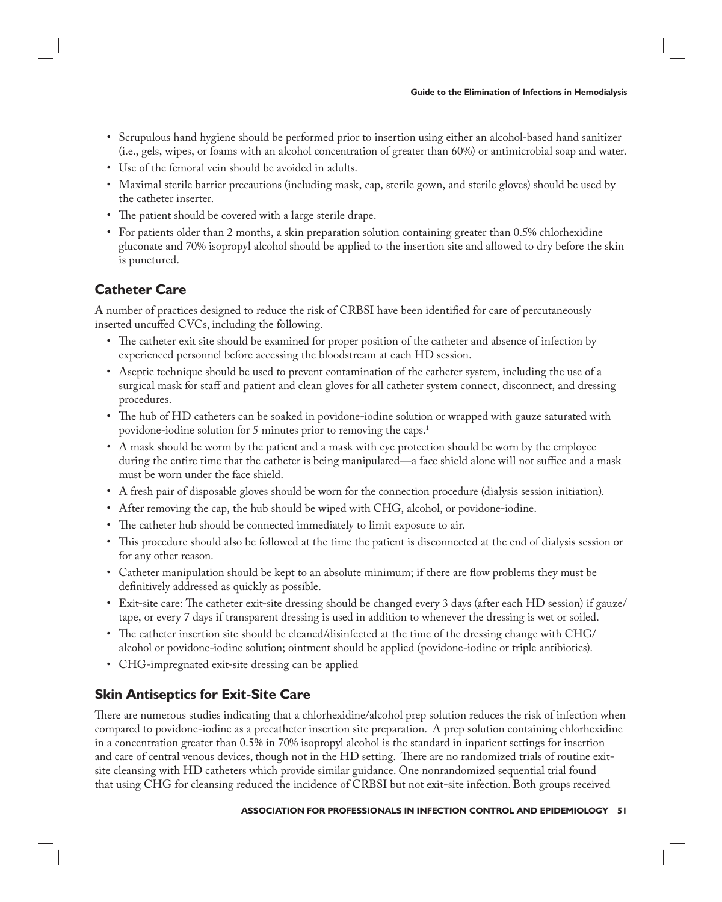- Scrupulous hand hygiene should be performed prior to insertion using either an alcohol-based hand sanitizer (i.e., gels, wipes, or foams with an alcohol concentration of greater than 60%) or antimicrobial soap and water.
- Use of the femoral vein should be avoided in adults.
- Maximal sterile barrier precautions (including mask, cap, sterile gown, and sterile gloves) should be used by the catheter inserter.
- The patient should be covered with a large sterile drape.
- For patients older than 2 months, a skin preparation solution containing greater than 0.5% chlorhexidine gluconate and 70% isopropyl alcohol should be applied to the insertion site and allowed to dry before the skin is punctured.

## **Catheter Care**

A number of practices designed to reduce the risk of CRBSI have been identified for care of percutaneously inserted uncuffed CVCs, including the following.

- The catheter exit site should be examined for proper position of the catheter and absence of infection by experienced personnel before accessing the bloodstream at each HD session.
- Aseptic technique should be used to prevent contamination of the catheter system, including the use of a surgical mask for staff and patient and clean gloves for all catheter system connect, disconnect, and dressing procedures.
- The hub of HD catheters can be soaked in povidone-iodine solution or wrapped with gauze saturated with povidone-iodine solution for 5 minutes prior to removing the caps.<sup>1</sup>
- A mask should be worm by the patient and a mask with eye protection should be worn by the employee during the entire time that the catheter is being manipulated—a face shield alone will not suffice and a mask must be worn under the face shield.
- A fresh pair of disposable gloves should be worn for the connection procedure (dialysis session initiation).
- After removing the cap, the hub should be wiped with CHG, alcohol, or povidone-iodine.
- The catheter hub should be connected immediately to limit exposure to air.
- This procedure should also be followed at the time the patient is disconnected at the end of dialysis session or for any other reason.
- Catheter manipulation should be kept to an absolute minimum; if there are flow problems they must be definitively addressed as quickly as possible.
- Exit-site care: The catheter exit-site dressing should be changed every 3 days (after each HD session) if gauze/ tape, or every 7 days if transparent dressing is used in addition to whenever the dressing is wet or soiled.
- The catheter insertion site should be cleaned/disinfected at the time of the dressing change with CHG/ alcohol or povidone-iodine solution; ointment should be applied (povidone-iodine or triple antibiotics).
- CHG-impregnated exit-site dressing can be applied

## **Skin Antiseptics for Exit-Site Care**

There are numerous studies indicating that a chlorhexidine/alcohol prep solution reduces the risk of infection when compared to povidone-iodine as a precatheter insertion site preparation. A prep solution containing chlorhexidine in a concentration greater than 0.5% in 70% isopropyl alcohol is the standard in inpatient settings for insertion and care of central venous devices, though not in the HD setting. There are no randomized trials of routine exitsite cleansing with HD catheters which provide similar guidance. One nonrandomized sequential trial found that using CHG for cleansing reduced the incidence of CRBSI but not exit-site infection. Both groups received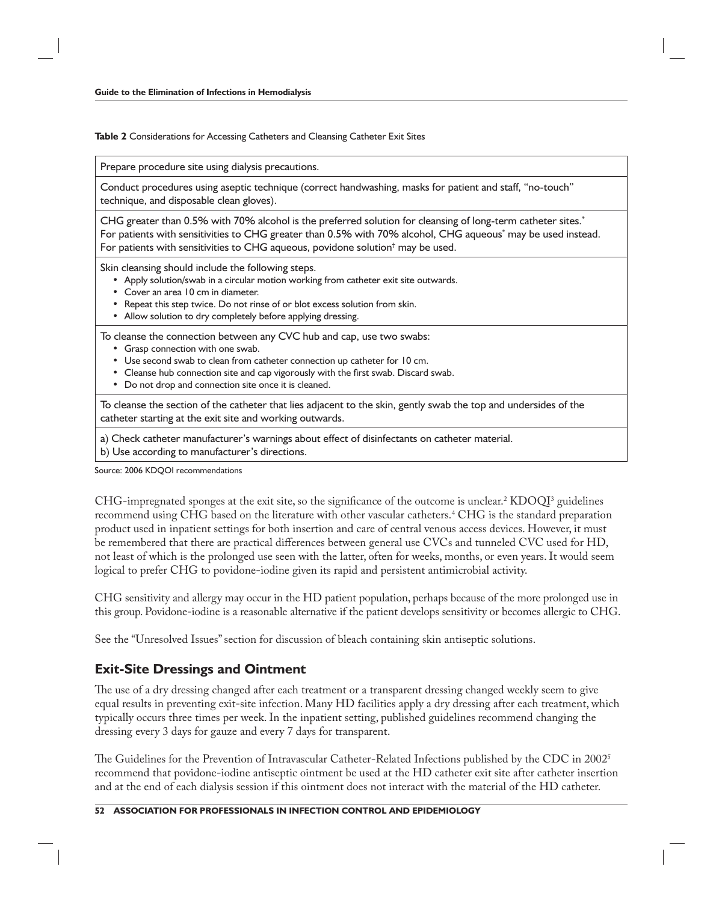**Table 2** Considerations for Accessing Catheters and Cleansing Catheter Exit Sites

Prepare procedure site using dialysis precautions.

Conduct procedures using aseptic technique (correct handwashing, masks for patient and staff, "no-touch" technique, and disposable clean gloves).

CHG greater than 0.5% with 70% alcohol is the preferred solution for cleansing of long-term catheter sites.\* For patients with sensitivities to CHG greater than 0.5% with 70% alcohol, CHG aqueous<sup>\*</sup> may be used instead. For patients with sensitivities to CHG aqueous, povidone solution $^\dagger$  may be used.

Skin cleansing should include the following steps.

- Apply solution/swab in a circular motion working from catheter exit site outwards.
- Cover an area 10 cm in diameter.
- Repeat this step twice. Do not rinse of or blot excess solution from skin.
- Allow solution to dry completely before applying dressing.

To cleanse the connection between any CVC hub and cap, use two swabs:

- Grasp connection with one swab.
- Use second swab to clean from catheter connection up catheter for 10 cm.
- Cleanse hub connection site and cap vigorously with the first swab. Discard swab.
- Do not drop and connection site once it is cleaned.

To cleanse the section of the catheter that lies adjacent to the skin, gently swab the top and undersides of the catheter starting at the exit site and working outwards.

a) Check catheter manufacturer's warnings about effect of disinfectants on catheter material.

b) Use according to manufacturer's directions.

Source: 2006 KDQOI recommendations

CHG-impregnated sponges at the exit site, so the significance of the outcome is unclear.<sup>2</sup> KDOQI<sup>3</sup> guidelines recommend using CHG based on the literature with other vascular catheters.<sup>4</sup> CHG is the standard preparation product used in inpatient settings for both insertion and care of central venous access devices. However, it must be remembered that there are practical differences between general use CVCs and tunneled CVC used for HD, not least of which is the prolonged use seen with the latter, often for weeks, months, or even years. It would seem logical to prefer CHG to povidone-iodine given its rapid and persistent antimicrobial activity.

CHG sensitivity and allergy may occur in the HD patient population, perhaps because of the more prolonged use in this group. Povidone-iodine is a reasonable alternative if the patient develops sensitivity or becomes allergic to CHG.

See the "Unresolved Issues" section for discussion of bleach containing skin antiseptic solutions.

#### **Exit-Site Dressings and Ointment**

The use of a dry dressing changed after each treatment or a transparent dressing changed weekly seem to give equal results in preventing exit-site infection. Many HD facilities apply a dry dressing after each treatment, which typically occurs three times per week. In the inpatient setting, published guidelines recommend changing the dressing every 3 days for gauze and every 7 days for transparent.

The Guidelines for the Prevention of Intravascular Catheter-Related Infections published by the CDC in  $2002^5$ recommend that povidone-iodine antiseptic ointment be used at the HD catheter exit site after catheter insertion and at the end of each dialysis session if this ointment does not interact with the material of the HD catheter.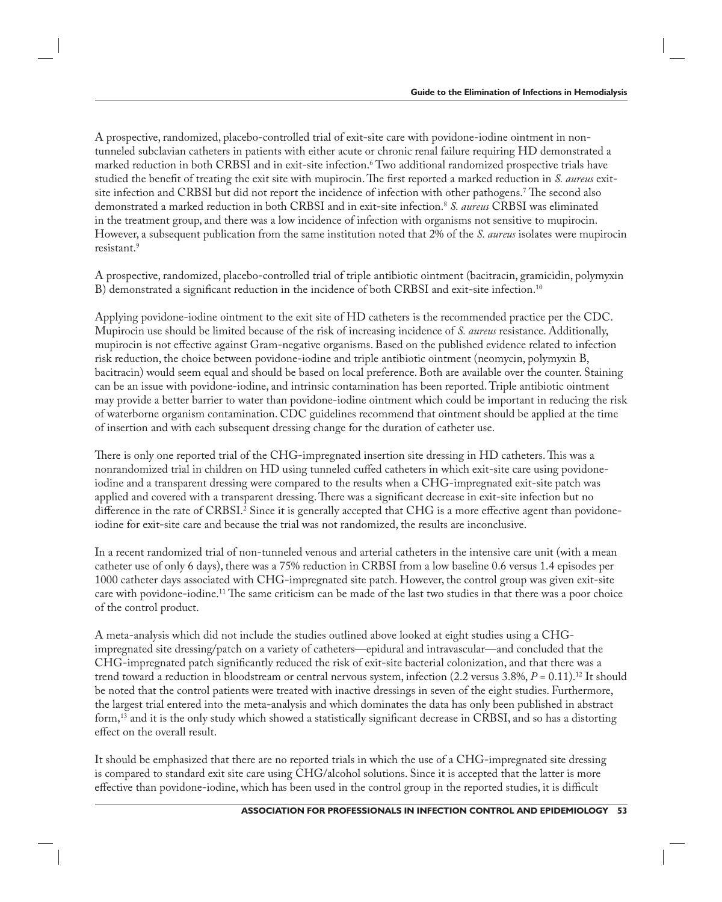A prospective, randomized, placebo-controlled trial of exit-site care with povidone-iodine ointment in nontunneled subclavian catheters in patients with either acute or chronic renal failure requiring HD demonstrated a marked reduction in both CRBSI and in exit-site infection.6 Two additional randomized prospective trials have studied the benefit of treating the exit site with mupirocin. The first reported a marked reduction in *S. aureus* exitsite infection and CRBSI but did not report the incidence of infection with other pathogens.<sup>7</sup> The second also demonstrated a marked reduction in both CRBSI and in exit-site infection.8 *S. aureus* CRBSI was eliminated in the treatment group, and there was a low incidence of infection with organisms not sensitive to mupirocin. However, a subsequent publication from the same institution noted that 2% of the *S. aureus* isolates were mupirocin resistant.9

A prospective, randomized, placebo-controlled trial of triple antibiotic ointment (bacitracin, gramicidin, polymyxin B) demonstrated a significant reduction in the incidence of both CRBSI and exit-site infection.<sup>10</sup>

Applying povidone-iodine ointment to the exit site of HD catheters is the recommended practice per the CDC. Mupirocin use should be limited because of the risk of increasing incidence of *S. aureus* resistance. Additionally, mupirocin is not effective against Gram-negative organisms. Based on the published evidence related to infection risk reduction, the choice between povidone-iodine and triple antibiotic ointment (neomycin, polymyxin B, bacitracin) would seem equal and should be based on local preference. Both are available over the counter. Staining can be an issue with povidone-iodine, and intrinsic contamination has been reported. Triple antibiotic ointment may provide a better barrier to water than povidone-iodine ointment which could be important in reducing the risk of waterborne organism contamination. CDC guidelines recommend that ointment should be applied at the time of insertion and with each subsequent dressing change for the duration of catheter use.

There is only one reported trial of the CHG-impregnated insertion site dressing in HD catheters. This was a nonrandomized trial in children on HD using tunneled cuffed catheters in which exit-site care using povidoneiodine and a transparent dressing were compared to the results when a CHG-impregnated exit-site patch was applied and covered with a transparent dressing. There was a significant decrease in exit-site infection but no difference in the rate of CRBSI.<sup>2</sup> Since it is generally accepted that CHG is a more effective agent than povidoneiodine for exit-site care and because the trial was not randomized, the results are inconclusive.

In a recent randomized trial of non-tunneled venous and arterial catheters in the intensive care unit (with a mean catheter use of only 6 days), there was a 75% reduction in CRBSI from a low baseline 0.6 versus 1.4 episodes per 1000 catheter days associated with CHG-impregnated site patch. However, the control group was given exit-site care with povidone-iodine.<sup>11</sup> The same criticism can be made of the last two studies in that there was a poor choice of the control product.

A meta-analysis which did not include the studies outlined above looked at eight studies using a CHGimpregnated site dressing/patch on a variety of catheters—epidural and intravascular—and concluded that the CHG-impregnated patch significantly reduced the risk of exit-site bacterial colonization, and that there was a trend toward a reduction in bloodstream or central nervous system, infection (2.2 versus 3.8%, *P* = 0.11).12 It should be noted that the control patients were treated with inactive dressings in seven of the eight studies. Furthermore, the largest trial entered into the meta-analysis and which dominates the data has only been published in abstract form,<sup>13</sup> and it is the only study which showed a statistically significant decrease in CRBSI, and so has a distorting effect on the overall result.

It should be emphasized that there are no reported trials in which the use of a CHG-impregnated site dressing is compared to standard exit site care using CHG/alcohol solutions. Since it is accepted that the latter is more effective than povidone-iodine, which has been used in the control group in the reported studies, it is difficult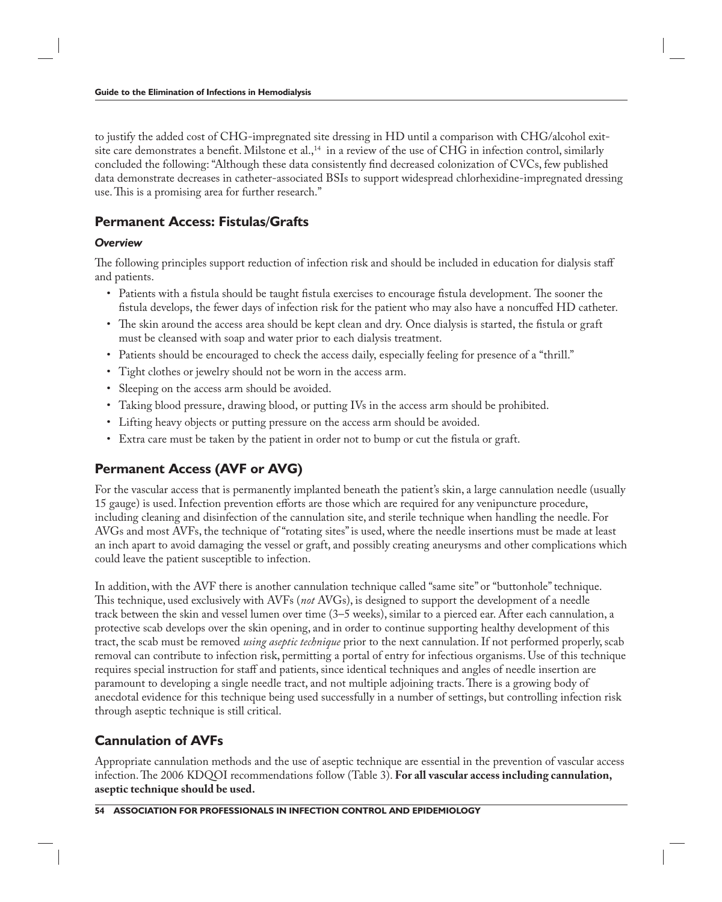to justify the added cost of CHG-impregnated site dressing in HD until a comparison with CHG/alcohol exitsite care demonstrates a benefit. Milstone et al.,<sup>14</sup> in a review of the use of CHG in infection control, similarly concluded the following: "Although these data consistently find decreased colonization of CVCs, few published data demonstrate decreases in catheter-associated BSIs to support widespread chlorhexidine-impregnated dressing use. This is a promising area for further research."

## **Permanent Access: Fistulas/Grafts**

#### *Overview*

The following principles support reduction of infection risk and should be included in education for dialysis staff and patients.

- Patients with a fistula should be taught fistula exercises to encourage fistula development. The sooner the fistula develops, the fewer days of infection risk for the patient who may also have a noncuffed HD catheter.
- The skin around the access area should be kept clean and dry. Once dialysis is started, the fistula or graft must be cleansed with soap and water prior to each dialysis treatment.
- Patients should be encouraged to check the access daily, especially feeling for presence of a "thrill."
- Tight clothes or jewelry should not be worn in the access arm.
- Sleeping on the access arm should be avoided.
- Taking blood pressure, drawing blood, or putting IVs in the access arm should be prohibited.
- Lifting heavy objects or putting pressure on the access arm should be avoided.
- Extra care must be taken by the patient in order not to bump or cut the fistula or graft.

## **Permanent Access (AVF or AVG)**

For the vascular access that is permanently implanted beneath the patient's skin, a large cannulation needle (usually 15 gauge) is used. Infection prevention efforts are those which are required for any venipuncture procedure, including cleaning and disinfection of the cannulation site, and sterile technique when handling the needle. For AVGs and most AVFs, the technique of "rotating sites" is used, where the needle insertions must be made at least an inch apart to avoid damaging the vessel or graft, and possibly creating aneurysms and other complications which could leave the patient susceptible to infection.

In addition, with the AVF there is another cannulation technique called "same site" or "buttonhole" technique. This technique, used exclusively with AVFs (not AVGs), is designed to support the development of a needle track between the skin and vessel lumen over time (3–5 weeks), similar to a pierced ear. After each cannulation, a protective scab develops over the skin opening, and in order to continue supporting healthy development of this tract, the scab must be removed *using aseptic technique* prior to the next cannulation. If not performed properly, scab removal can contribute to infection risk, permitting a portal of entry for infectious organisms. Use of this technique requires special instruction for staff and patients, since identical techniques and angles of needle insertion are paramount to developing a single needle tract, and not multiple adjoining tracts. There is a growing body of anecdotal evidence for this technique being used successfully in a number of settings, but controlling infection risk through aseptic technique is still critical.

## **Cannulation of AVFs**

Appropriate cannulation methods and the use of aseptic technique are essential in the prevention of vascular access infection. The 2006 KDQOI recommendations follow (Table 3). For all vascular access including cannulation, **aseptic technique should be used.**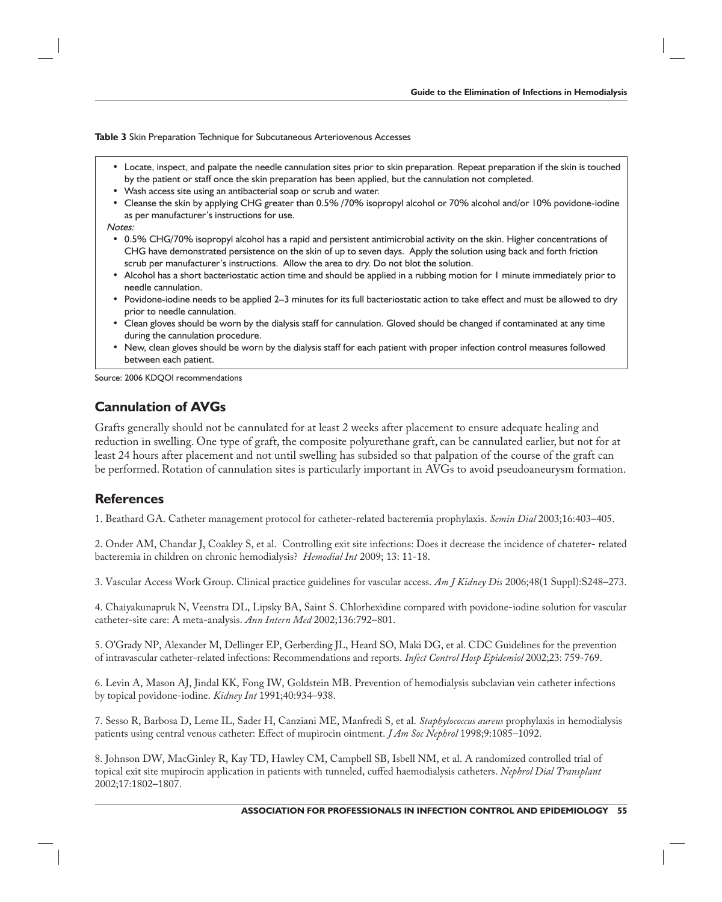**Table 3** Skin Preparation Technique for Subcutaneous Arteriovenous Accesses

- Locate, inspect, and palpate the needle cannulation sites prior to skin preparation. Repeat preparation if the skin is touched by the patient or staff once the skin preparation has been applied, but the cannulation not completed.
- Wash access site using an antibacterial soap or scrub and water.
- Cleanse the skin by applying CHG greater than 0.5% /70% isopropyl alcohol or 70% alcohol and/or 10% povidone-iodine as per manufacturer's instructions for use.

Notes:

- 0.5% CHG/70% isopropyl alcohol has a rapid and persistent antimicrobial activity on the skin. Higher concentrations of CHG have demonstrated persistence on the skin of up to seven days. Apply the solution using back and forth friction scrub per manufacturer's instructions. Allow the area to dry. Do not blot the solution.
- Alcohol has a short bacteriostatic action time and should be applied in a rubbing motion for 1 minute immediately prior to needle cannulation.
- Povidone-iodine needs to be applied 2–3 minutes for its full bacteriostatic action to take effect and must be allowed to dry prior to needle cannulation.
- Clean gloves should be worn by the dialysis staff for cannulation. Gloved should be changed if contaminated at any time during the cannulation procedure.
- New, clean gloves should be worn by the dialysis staff for each patient with proper infection control measures followed between each patient.

Source: 2006 KDQOI recommendations

### **Cannulation of AVGs**

Grafts generally should not be cannulated for at least 2 weeks after placement to ensure adequate healing and reduction in swelling. One type of graft, the composite polyurethane graft, can be cannulated earlier, but not for at least 24 hours after placement and not until swelling has subsided so that palpation of the course of the graft can be performed. Rotation of cannulation sites is particularly important in AVGs to avoid pseudoaneurysm formation.

#### **References**

1. Beathard GA. Catheter management protocol for catheter-related bacteremia prophylaxis. *Semin Dial* 2003;16:403–405.

2. Onder AM, Chandar J, Coakley S, et al. Controlling exit site infections: Does it decrease the incidence of chateter- related bacteremia in children on chronic hemodialysis? *Hemodial Int* 2009; 13: 11-18.

3. Vascular Access Work Group. Clinical practice guidelines for vascular access. *Am J Kidney Dis* 2006;48(1 Suppl):S248–273.

4. Chaiyakunapruk N, Veenstra DL, Lipsky BA, Saint S. Chlorhexidine compared with povidone-iodine solution for vascular catheter-site care: A meta-analysis. *Ann Intern Med* 2002;136:792–801.

5. O'Grady NP, Alexander M, Dellinger EP, Gerberding JL, Heard SO, Maki DG, et al. CDC Guidelines for the prevention of intravascular catheter-related infections: Recommendations and reports. *Infect Control Hosp Epidemiol* 2002;23: 759-769.

6. Levin A, Mason AJ, Jindal KK, Fong IW, Goldstein MB. Prevention of hemodialysis subclavian vein catheter infections by topical povidone-iodine. *Kidney Int* 1991;40:934–938.

7. Sesso R, Barbosa D, Leme IL, Sader H, Canziani ME, Manfredi S, et al. *Staphylococcus aureus* prophylaxis in hemodialysis patients using central venous catheter: Effect of mupirocin ointment. *J Am Soc Nephrol* 1998;9:1085–1092.

8. Johnson DW, MacGinley R, Kay TD, Hawley CM, Campbell SB, Isbell NM, et al. A randomized controlled trial of topical exit site mupirocin application in patients with tunneled, cuffed haemodialysis catheters. *Nephrol Dial Transplant* 2002;17:1802–1807.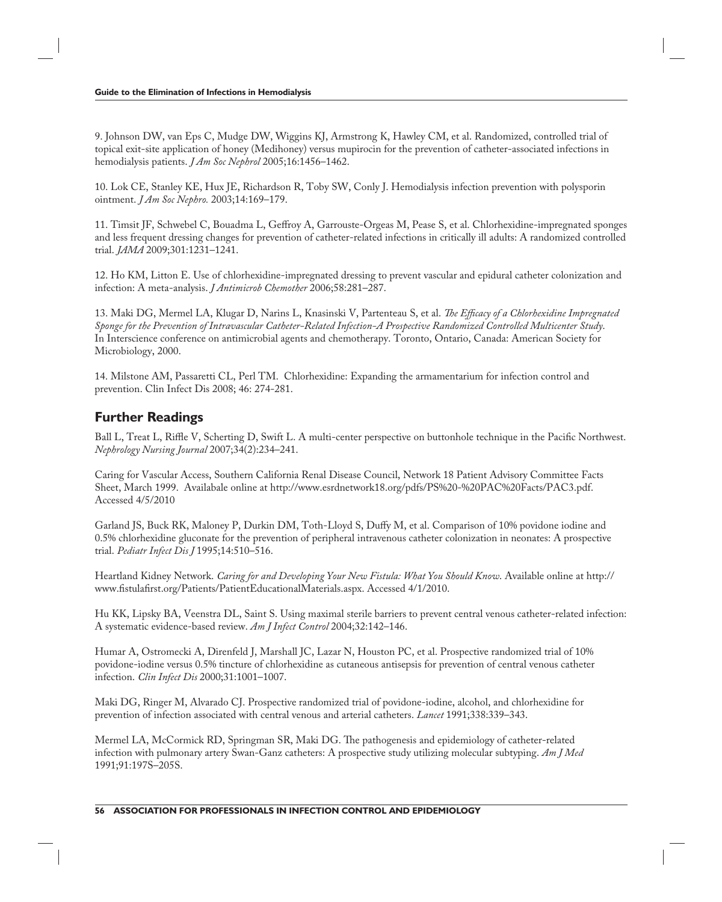9. Johnson DW, van Eps C, Mudge DW, Wiggins KJ, Armstrong K, Hawley CM, et al. Randomized, controlled trial of topical exit-site application of honey (Medihoney) versus mupirocin for the prevention of catheter-associated infections in hemodialysis patients. *J Am Soc Nephrol* 2005;16:1456–1462.

10. Lok CE, Stanley KE, Hux JE, Richardson R, Toby SW, Conly J. Hemodialysis infection prevention with polysporin ointment. *J Am Soc Nephro.* 2003;14:169–179.

11. Timsit JF, Schwebel C, Bouadma L, Geffroy A, Garrouste-Orgeas M, Pease S, et al. Chlorhexidine-impregnated sponges and less frequent dressing changes for prevention of catheter-related infections in critically ill adults: A randomized controlled trial. *JAMA* 2009;301:1231–1241.

12. Ho KM, Litton E. Use of chlorhexidine-impregnated dressing to prevent vascular and epidural catheter colonization and infection: A meta-analysis. *J Antimicrob Chemother* 2006;58:281–287.

13. Maki DG, Mermel LA, Klugar D, Narins L, Knasinski V, Partenteau S, et al. *The Efficacy of a Chlorhexidine Impregnated Sponge for the Prevention of Intravascular Catheter-Related Infection-A Prospective Randomized Controlled Multicenter Study*. In Interscience conference on antimicrobial agents and chemotherapy. Toronto, Ontario, Canada: American Society for Microbiology, 2000.

14. Milstone AM, Passaretti CL, Perl TM. Chlorhexidine: Expanding the armamentarium for infection control and prevention. Clin Infect Dis 2008; 46: 274-281.

#### **Further Readings**

Ball L, Treat L, Riffle V, Scherting D, Swift L. A multi-center perspective on buttonhole technique in the Pacific Northwest. *Nephrology Nursing Journal* 2007;34(2):234–241.

Caring for Vascular Access, Southern California Renal Disease Council, Network 18 Patient Advisory Committee Facts Sheet, March 1999. Availabale online at http://www.esrdnetwork18.org/pdfs/PS%20-%20PAC%20Facts/PAC3.pdf. Accessed 4/5/2010

Garland JS, Buck RK, Maloney P, Durkin DM, Toth-Lloyd S, Duffy M, et al. Comparison of 10% povidone iodine and 0.5% chlorhexidine gluconate for the prevention of peripheral intravenous catheter colonization in neonates: A prospective trial. *Pediatr Infect Dis J* 1995;14:510–516.

Heartland Kidney Network. *Caring for and Developing Your New Fistula: What You Should Know*. Available online at http:// www.fistulafirst.org/Patients/PatientEducationalMaterials.aspx. Accessed 4/1/2010.

Hu KK, Lipsky BA, Veenstra DL, Saint S. Using maximal sterile barriers to prevent central venous catheter-related infection: A systematic evidence-based review. *Am J Infect Control* 2004;32:142–146.

Humar A, Ostromecki A, Direnfeld J, Marshall JC, Lazar N, Houston PC, et al. Prospective randomized trial of 10% povidone-iodine versus 0.5% tincture of chlorhexidine as cutaneous antisepsis for prevention of central venous catheter infection. *Clin Infect Dis* 2000;31:1001–1007.

Maki DG, Ringer M, Alvarado CJ. Prospective randomized trial of povidone-iodine, alcohol, and chlorhexidine for prevention of infection associated with central venous and arterial catheters. *Lancet* 1991;338:339–343.

Mermel LA, McCormick RD, Springman SR, Maki DG. The pathogenesis and epidemiology of catheter-related infection with pulmonary artery Swan-Ganz catheters: A prospective study utilizing molecular subtyping. *Am J Med*  1991;91:197S–205S.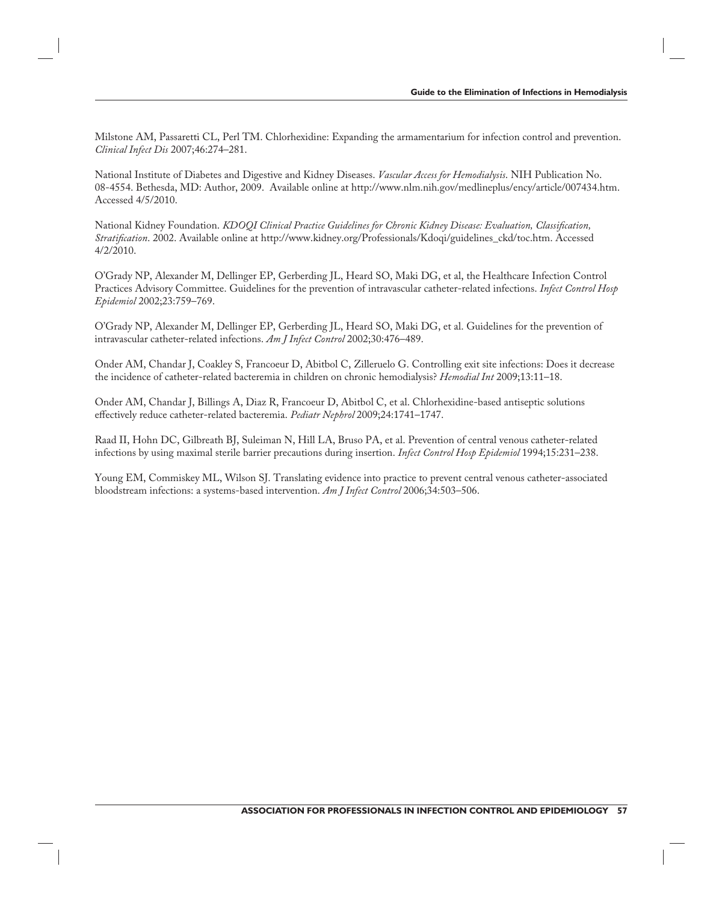Milstone AM, Passaretti CL, Perl TM. Chlorhexidine: Expanding the armamentarium for infection control and prevention. *Clinical Infect Dis* 2007;46:274–281.

National Institute of Diabetes and Digestive and Kidney Diseases. *Vascular Access for Hemodialysis*. NIH Publication No. 08-4554. Bethesda, MD: Author, 2009. Available online at http://www.nlm.nih.gov/medlineplus/ency/article/007434.htm. Accessed 4/5/2010.

National Kidney Foundation. *KDOQI Clinical Practice Guidelines for Chronic Kidney Disease: Evaluation, Classification*, *Stratifi cation*. 2002. Available online at http://www.kidney.org/Professionals/Kdoqi/guidelines\_ckd/toc.htm. Accessed 4/2/2010.

O'Grady NP, Alexander M, Dellinger EP, Gerberding JL, Heard SO, Maki DG, et al, the Healthcare Infection Control Practices Advisory Committee. Guidelines for the prevention of intravascular catheter-related infections. *Infect Control Hosp Epidemiol* 2002;23:759–769.

O'Grady NP, Alexander M, Dellinger EP, Gerberding JL, Heard SO, Maki DG, et al. Guidelines for the prevention of intravascular catheter-related infections. *Am J Infect Control* 2002;30:476–489.

Onder AM, Chandar J, Coakley S, Francoeur D, Abitbol C, Zilleruelo G. Controlling exit site infections: Does it decrease the incidence of catheter-related bacteremia in children on chronic hemodialysis? *Hemodial Int* 2009;13:11–18.

Onder AM, Chandar J, Billings A, Diaz R, Francoeur D, Abitbol C, et al. Chlorhexidine-based antiseptic solutions eff ectively reduce catheter-related bacteremia. *Pediatr Nephrol* 2009;24:1741–1747.

Raad II, Hohn DC, Gilbreath BJ, Suleiman N, Hill LA, Bruso PA, et al. Prevention of central venous catheter-related infections by using maximal sterile barrier precautions during insertion. *Infect Control Hosp Epidemiol* 1994;15:231–238.

Young EM, Commiskey ML, Wilson SJ. Translating evidence into practice to prevent central venous catheter-associated bloodstream infections: a systems-based intervention. *Am J Infect Control* 2006;34:503–506.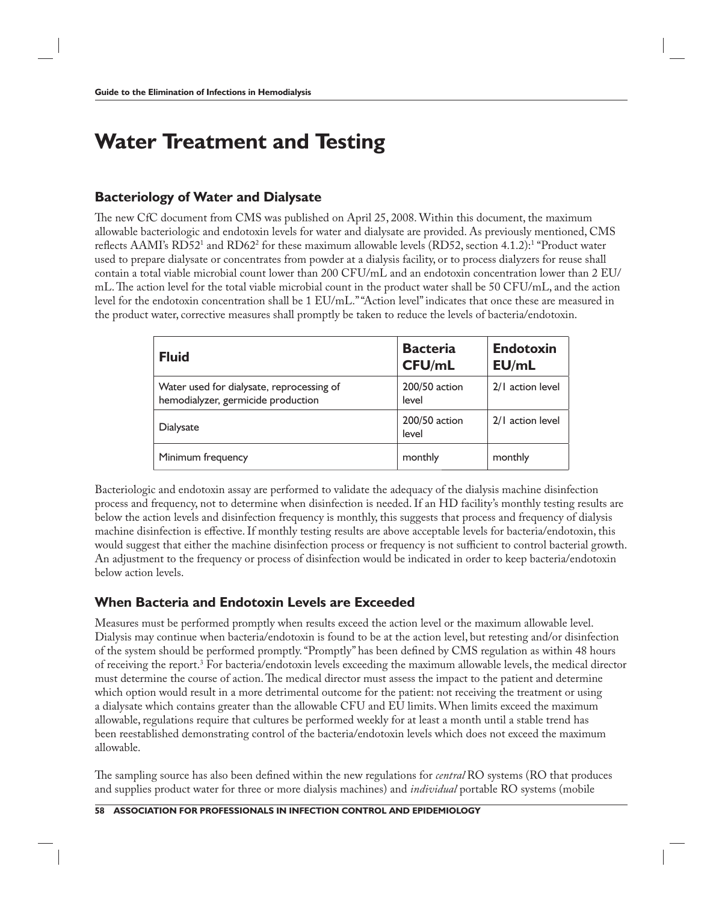# **Water Treatment and Testing**

#### **Bacteriology of Water and Dialysate**

The new CfC document from CMS was published on April 25, 2008. Within this document, the maximum allowable bacteriologic and endotoxin levels for water and dialysate are provided. As previously mentioned, CMS reflects AAMI's RD521 and RD62<sup>2</sup> for these maximum allowable levels (RD52, section 4.1.2):<sup>1</sup> "Product water used to prepare dialysate or concentrates from powder at a dialysis facility, or to process dialyzers for reuse shall contain a total viable microbial count lower than 200 CFU/mL and an endotoxin concentration lower than 2 EU/ mL. The action level for the total viable microbial count in the product water shall be 50 CFU/mL, and the action level for the endotoxin concentration shall be 1 EU/mL." "Action level" indicates that once these are measured in the product water, corrective measures shall promptly be taken to reduce the levels of bacteria/endotoxin.

| <b>Fluid</b>                                                                    | <b>Bacteria</b><br><b>CFU/mL</b> | <b>Endotoxin</b><br>EU/mL |
|---------------------------------------------------------------------------------|----------------------------------|---------------------------|
| Water used for dialysate, reprocessing of<br>hemodialyzer, germicide production | 200/50 action<br>level           | 2/1 action level          |
| Dialysate                                                                       | 200/50 action<br>level           | 2/1 action level          |
| Minimum frequency                                                               | monthly                          | monthly                   |

Bacteriologic and endotoxin assay are performed to validate the adequacy of the dialysis machine disinfection process and frequency, not to determine when disinfection is needed. If an HD facility's monthly testing results are below the action levels and disinfection frequency is monthly, this suggests that process and frequency of dialysis machine disinfection is effective. If monthly testing results are above acceptable levels for bacteria/endotoxin, this would suggest that either the machine disinfection process or frequency is not sufficient to control bacterial growth. An adjustment to the frequency or process of disinfection would be indicated in order to keep bacteria/endotoxin below action levels.

## **When Bacteria and Endotoxin Levels are Exceeded**

Measures must be performed promptly when results exceed the action level or the maximum allowable level. Dialysis may continue when bacteria/endotoxin is found to be at the action level, but retesting and/or disinfection of the system should be performed promptly. "Promptly" has been defined by CMS regulation as within 48 hours of receiving the report.<sup>3</sup> For bacteria/endotoxin levels exceeding the maximum allowable levels, the medical director must determine the course of action. The medical director must assess the impact to the patient and determine which option would result in a more detrimental outcome for the patient: not receiving the treatment or using a dialysate which contains greater than the allowable CFU and EU limits. When limits exceed the maximum allowable, regulations require that cultures be performed weekly for at least a month until a stable trend has been reestablished demonstrating control of the bacteria/endotoxin levels which does not exceed the maximum allowable.

The sampling source has also been defined within the new regulations for *central* RO systems (RO that produces and supplies product water for three or more dialysis machines) and *individual* portable RO systems (mobile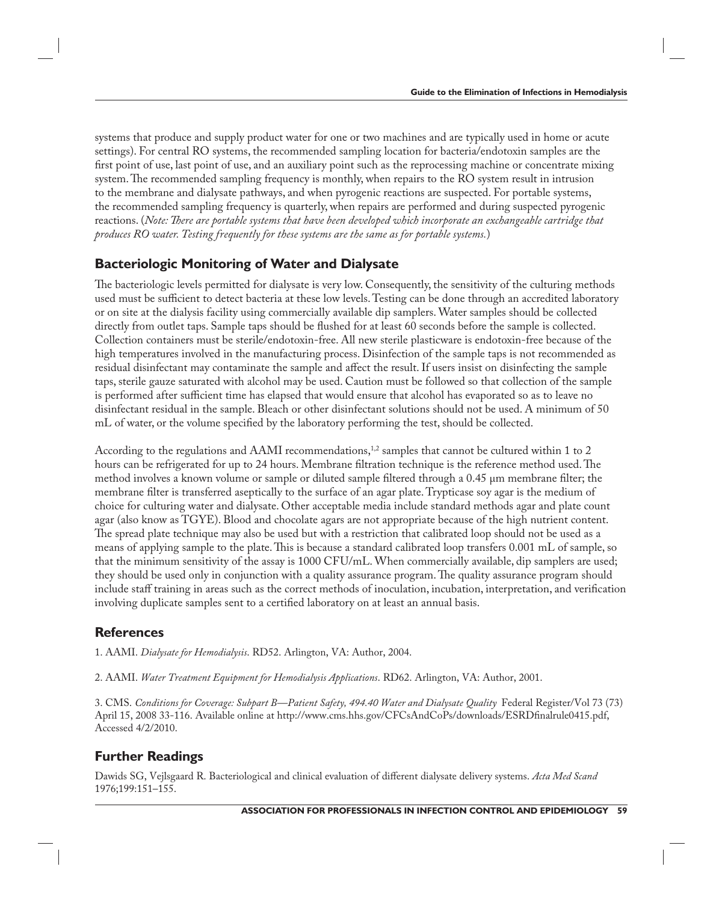systems that produce and supply product water for one or two machines and are typically used in home or acute settings). For central RO systems, the recommended sampling location for bacteria/endotoxin samples are the first point of use, last point of use, and an auxiliary point such as the reprocessing machine or concentrate mixing system. The recommended sampling frequency is monthly, when repairs to the RO system result in intrusion to the membrane and dialysate pathways, and when pyrogenic reactions are suspected. For portable systems, the recommended sampling frequency is quarterly, when repairs are performed and during suspected pyrogenic reactions. (*Note: There are portable systems that have been developed which incorporate an exchangeable cartridge that produces RO water. Testing frequently for these systems are the same as for portable systems.*)

## **Bacteriologic Monitoring of Water and Dialysate**

The bacteriologic levels permitted for dialysate is very low. Consequently, the sensitivity of the culturing methods used must be sufficient to detect bacteria at these low levels. Testing can be done through an accredited laboratory or on site at the dialysis facility using commercially available dip samplers. Water samples should be collected directly from outlet taps. Sample taps should be flushed for at least 60 seconds before the sample is collected. Collection containers must be sterile/endotoxin-free. All new sterile plasticware is endotoxin-free because of the high temperatures involved in the manufacturing process. Disinfection of the sample taps is not recommended as residual disinfectant may contaminate the sample and affect the result. If users insist on disinfecting the sample taps, sterile gauze saturated with alcohol may be used. Caution must be followed so that collection of the sample is performed after sufficient time has elapsed that would ensure that alcohol has evaporated so as to leave no disinfectant residual in the sample. Bleach or other disinfectant solutions should not be used. A minimum of 50 mL of water, or the volume specified by the laboratory performing the test, should be collected.

According to the regulations and AAMI recommendations,<sup>1,2</sup> samples that cannot be cultured within 1 to 2 hours can be refrigerated for up to 24 hours. Membrane filtration technique is the reference method used. The method involves a known volume or sample or diluted sample filtered through a 0.45 μm membrane filter; the membrane filter is transferred aseptically to the surface of an agar plate. Trypticase soy agar is the medium of choice for culturing water and dialysate. Other acceptable media include standard methods agar and plate count agar (also know as TGYE). Blood and chocolate agars are not appropriate because of the high nutrient content. The spread plate technique may also be used but with a restriction that calibrated loop should not be used as a means of applying sample to the plate. This is because a standard calibrated loop transfers 0.001 mL of sample, so that the minimum sensitivity of the assay is 1000 CFU/mL. When commercially available, dip samplers are used; they should be used only in conjunction with a quality assurance program. The quality assurance program should include staff training in areas such as the correct methods of inoculation, incubation, interpretation, and verification involving duplicate samples sent to a certified laboratory on at least an annual basis.

### **References**

1. AAMI. *Dialysate for Hemodialysis*. RD52. Arlington, VA: Author, 2004.

2. AAMI. *Water Treatment Equipment for Hemodialysis Applications*. RD62. Arlington, VA: Author, 2001.

3. CMS. *Conditions for Coverage: Subpart B—Patient Safety, 494.40 Water and Dialysate Quality* Federal Register/Vol 73 (73) April 15, 2008 33-116. Available online at http://www.cms.hhs.gov/CFCsAndCoPs/downloads/ESRDfinalrule0415.pdf, Accessed 4/2/2010.

## **Further Readings**

Dawids SG, Vejlsgaard R. Bacteriological and clinical evaluation of different dialysate delivery systems. Acta Med Scand 1976;199:151–155.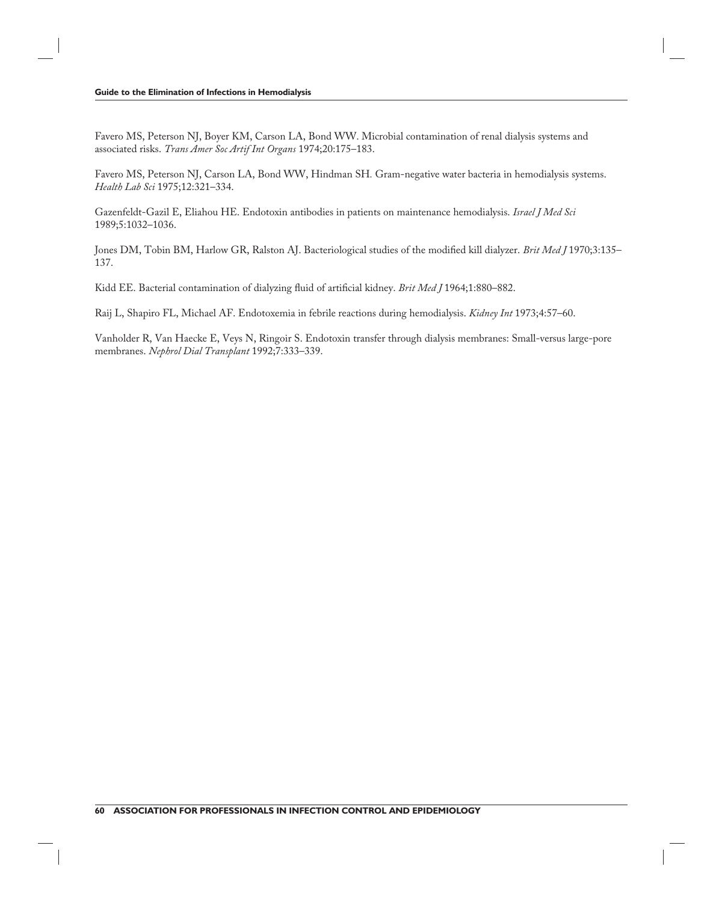Favero MS, Peterson NJ, Boyer KM, Carson LA, Bond WW. Microbial contamination of renal dialysis systems and associated risks. *Trans Amer Soc Artif Int Organs* 1974;20:175–183.

Favero MS, Peterson NJ, Carson LA, Bond WW, Hindman SH*.* Gram-negative water bacteria in hemodialysis systems. *Health Lab Sci* 1975;12:321–334.

Gazenfeldt-Gazil E, Eliahou HE. Endotoxin antibodies in patients on maintenance hemodialysis. *Israel J Med Sci*  1989;5:1032–1036.

Jones DM, Tobin BM, Harlow GR, Ralston AJ. Bacteriological studies of the modified kill dialyzer. *Brit Med J* 1970;3:135– 137.

Kidd EE. Bacterial contamination of dialyzing fluid of artificial kidney. *Brit Med J* 1964;1:880–882.

Raij L, Shapiro FL, Michael AF. Endotoxemia in febrile reactions during hemodialysis. *Kidney Int* 1973;4:57–60.

Vanholder R, Van Haecke E, Veys N, Ringoir S. Endotoxin transfer through dialysis membranes: Small-versus large-pore membranes. *Nephrol Dial Transplant* 1992;7:333–339.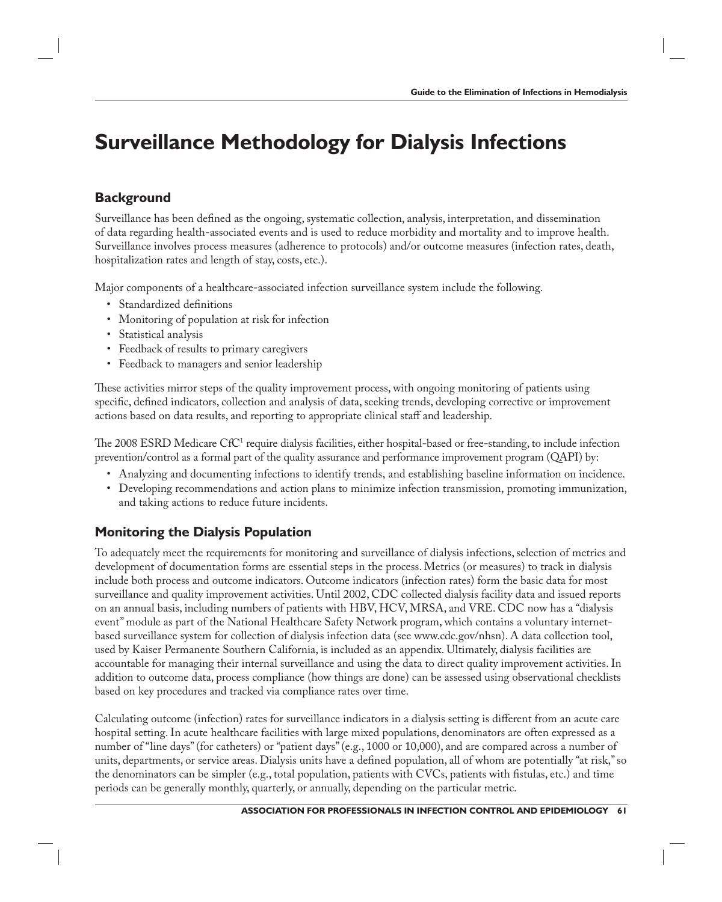# **Surveillance Methodology for Dialysis Infections**

### **Background**

Surveillance has been defined as the ongoing, systematic collection, analysis, interpretation, and dissemination of data regarding health-associated events and is used to reduce morbidity and mortality and to improve health. Surveillance involves process measures (adherence to protocols) and/or outcome measures (infection rates, death, hospitalization rates and length of stay, costs, etc.).

Major components of a healthcare-associated infection surveillance system include the following.

- Standardized definitions
- Monitoring of population at risk for infection
- Statistical analysis
- Feedback of results to primary caregivers
- Feedback to managers and senior leadership

These activities mirror steps of the quality improvement process, with ongoing monitoring of patients using specific, defined indicators, collection and analysis of data, seeking trends, developing corrective or improvement actions based on data results, and reporting to appropriate clinical staff and leadership.

The 2008 ESRD Medicare CfC<sup>1</sup> require dialysis facilities, either hospital-based or free-standing, to include infection prevention/control as a formal part of the quality assurance and performance improvement program (QAPI) by:

- Analyzing and documenting infections to identify trends, and establishing baseline information on incidence.
- Developing recommendations and action plans to minimize infection transmission, promoting immunization, and taking actions to reduce future incidents.

## **Monitoring the Dialysis Population**

To adequately meet the requirements for monitoring and surveillance of dialysis infections, selection of metrics and development of documentation forms are essential steps in the process. Metrics (or measures) to track in dialysis include both process and outcome indicators. Outcome indicators (infection rates) form the basic data for most surveillance and quality improvement activities. Until 2002, CDC collected dialysis facility data and issued reports on an annual basis, including numbers of patients with HBV, HCV, MRSA, and VRE. CDC now has a "dialysis event" module as part of the National Healthcare Safety Network program, which contains a voluntary internetbased surveillance system for collection of dialysis infection data (see www.cdc.gov/nhsn). A data collection tool, used by Kaiser Permanente Southern California, is included as an appendix. Ultimately, dialysis facilities are accountable for managing their internal surveillance and using the data to direct quality improvement activities. In addition to outcome data, process compliance (how things are done) can be assessed using observational checklists based on key procedures and tracked via compliance rates over time.

Calculating outcome (infection) rates for surveillance indicators in a dialysis setting is different from an acute care hospital setting. In acute healthcare facilities with large mixed populations, denominators are often expressed as a number of "line days" (for catheters) or "patient days" (e.g., 1000 or 10,000), and are compared across a number of units, departments, or service areas. Dialysis units have a defined population, all of whom are potentially "at risk," so the denominators can be simpler (e.g., total population, patients with CVCs, patients with fistulas, etc.) and time periods can be generally monthly, quarterly, or annually, depending on the particular metric.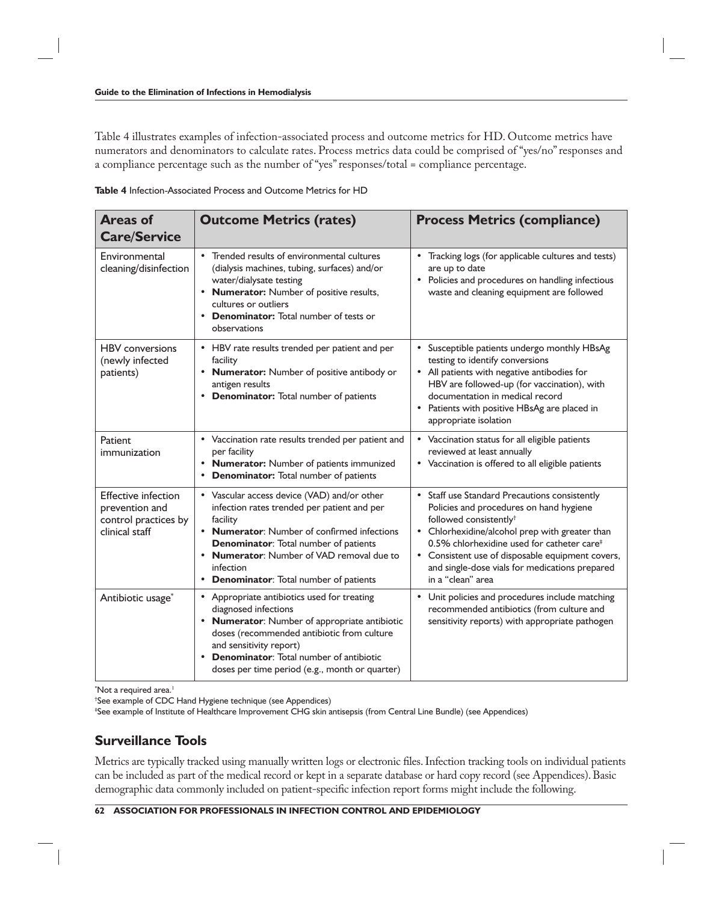Table 4 illustrates examples of infection-associated process and outcome metrics for HD. Outcome metrics have numerators and denominators to calculate rates. Process metrics data could be comprised of "yes/no" responses and a compliance percentage such as the number of "yes" responses/total = compliance percentage.

**Table 4** Infection-Associated Process and Outcome Metrics for HD

| <b>Areas of</b><br><b>Care/Service</b>                                                 | <b>Outcome Metrics (rates)</b>                                                                                                                                                                                                                                                                                               | <b>Process Metrics (compliance)</b>                                                                                                                                                                                                                                                                                                                                          |
|----------------------------------------------------------------------------------------|------------------------------------------------------------------------------------------------------------------------------------------------------------------------------------------------------------------------------------------------------------------------------------------------------------------------------|------------------------------------------------------------------------------------------------------------------------------------------------------------------------------------------------------------------------------------------------------------------------------------------------------------------------------------------------------------------------------|
| Environmental<br>cleaning/disinfection                                                 | Trended results of environmental cultures<br>(dialysis machines, tubing, surfaces) and/or<br>water/dialysate testing<br>• Numerator: Number of positive results,<br>cultures or outliers<br><b>Denominator:</b> Total number of tests or<br>observations                                                                     | Tracking logs (for applicable cultures and tests)<br>are up to date<br>Policies and procedures on handling infectious<br>waste and cleaning equipment are followed                                                                                                                                                                                                           |
| <b>HBV</b> conversions<br>(newly infected<br>patients)                                 | • HBV rate results trended per patient and per<br>facility<br>• Numerator: Number of positive antibody or<br>antigen results<br><b>Denominator:</b> Total number of patients                                                                                                                                                 | Susceptible patients undergo monthly HBsAg<br>testing to identify conversions<br>• All patients with negative antibodies for<br>HBV are followed-up (for vaccination), with<br>documentation in medical record<br>Patients with positive HBsAg are placed in<br>appropriate isolation                                                                                        |
| Patient<br>immunization                                                                | • Vaccination rate results trended per patient and<br>per facility<br><b>Numerator:</b> Number of patients immunized<br><b>Denominator:</b> Total number of patients                                                                                                                                                         | • Vaccination status for all eligible patients<br>reviewed at least annually<br>• Vaccination is offered to all eligible patients                                                                                                                                                                                                                                            |
| <b>Effective infection</b><br>prevention and<br>control practices by<br>clinical staff | • Vascular access device (VAD) and/or other<br>infection rates trended per patient and per<br>facility<br>• Numerator: Number of confirmed infections<br><b>Denominator:</b> Total number of patients<br>• Numerator: Number of VAD removal due to<br>infection<br><b>Denominator:</b> Total number of patients<br>$\bullet$ | $\bullet$<br>Staff use Standard Precautions consistently<br>Policies and procedures on hand hygiene<br>followed consistently <sup>+</sup><br>Chlorhexidine/alcohol prep with greater than<br>0.5% chlorhexidine used for catheter care <sup>#</sup><br>Consistent use of disposable equipment covers,<br>and single-dose vials for medications prepared<br>in a "clean" area |
| Antibiotic usage*                                                                      | • Appropriate antibiotics used for treating<br>diagnosed infections<br>• Numerator: Number of appropriate antibiotic<br>doses (recommended antibiotic from culture<br>and sensitivity report)<br><b>Denominator:</b> Total number of antibiotic<br>doses per time period (e.g., month or quarter)                            | $\bullet$<br>Unit policies and procedures include matching<br>recommended antibiotics (from culture and<br>sensitivity reports) with appropriate pathogen                                                                                                                                                                                                                    |

\*Not a required area.<sup>1</sup>

† See example of CDC Hand Hygiene technique (see Appendices)

‡ See example of Institute of Healthcare Improvement CHG skin antisepsis (from Central Line Bundle) (see Appendices)

#### **Surveillance Tools**

Metrics are typically tracked using manually written logs or electronic files. Infection tracking tools on individual patients can be included as part of the medical record or kept in a separate database or hard copy record (see Appendices). Basic demographic data commonly included on patient-specific infection report forms might include the following.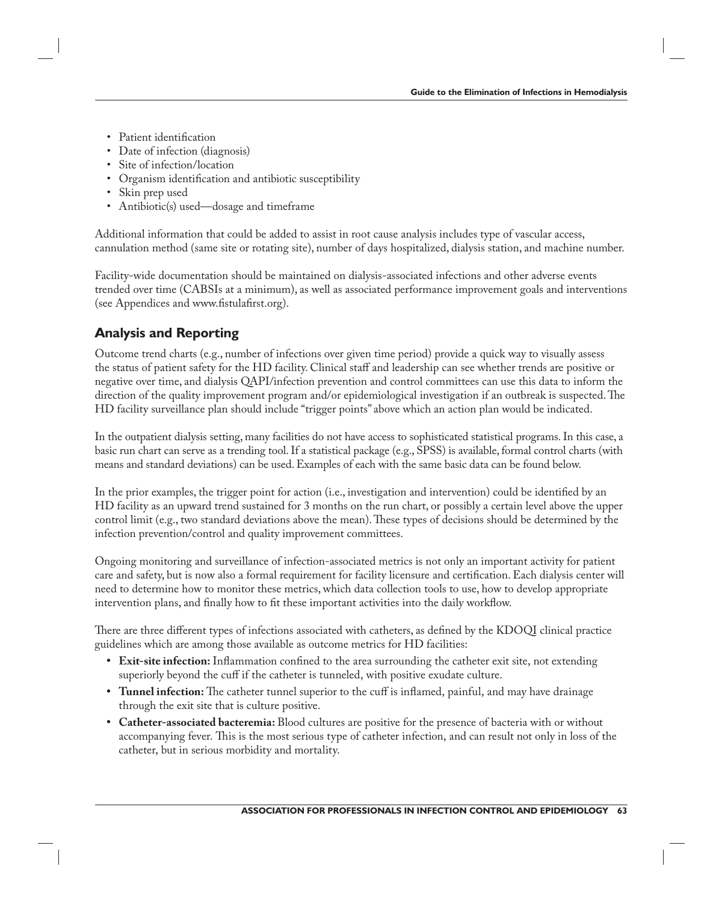- Patient identification
- Date of infection (diagnosis)
- Site of infection/location
- Organism identification and antibiotic susceptibility
- Skin prep used
- Antibiotic(s) used—dosage and timeframe

Additional information that could be added to assist in root cause analysis includes type of vascular access, cannulation method (same site or rotating site), number of days hospitalized, dialysis station, and machine number.

Facility-wide documentation should be maintained on dialysis-associated infections and other adverse events trended over time (CABSIs at a minimum), as well as associated performance improvement goals and interventions (see Appendices and www.fistulafirst.org).

## **Analysis and Reporting**

Outcome trend charts (e.g., number of infections over given time period) provide a quick way to visually assess the status of patient safety for the HD facility. Clinical staff and leadership can see whether trends are positive or negative over time, and dialysis QAPI/infection prevention and control committees can use this data to inform the direction of the quality improvement program and/or epidemiological investigation if an outbreak is suspected. The HD facility surveillance plan should include "trigger points" above which an action plan would be indicated.

In the outpatient dialysis setting, many facilities do not have access to sophisticated statistical programs. In this case, a basic run chart can serve as a trending tool. If a statistical package (e.g., SPSS) is available, formal control charts (with means and standard deviations) can be used. Examples of each with the same basic data can be found below.

In the prior examples, the trigger point for action (i.e., investigation and intervention) could be identified by an HD facility as an upward trend sustained for 3 months on the run chart, or possibly a certain level above the upper control limit (e.g., two standard deviations above the mean). These types of decisions should be determined by the infection prevention/control and quality improvement committees.

Ongoing monitoring and surveillance of infection-associated metrics is not only an important activity for patient care and safety, but is now also a formal requirement for facility licensure and certification. Each dialysis center will need to determine how to monitor these metrics, which data collection tools to use, how to develop appropriate intervention plans, and finally how to fit these important activities into the daily workflow.

There are three different types of infections associated with catheters, as defined by the KDOQI clinical practice guidelines which are among those available as outcome metrics for HD facilities:

- Exit-site infection: Inflammation confined to the area surrounding the catheter exit site, not extending superiorly beyond the cuff if the catheter is tunneled, with positive exudate culture.
- Tunnel infection: The catheter tunnel superior to the cuff is inflamed, painful, and may have drainage through the exit site that is culture positive.
- **Catheter-associated bacteremia:** Blood cultures are positive for the presence of bacteria with or without accompanying fever. This is the most serious type of catheter infection, and can result not only in loss of the catheter, but in serious morbidity and mortality.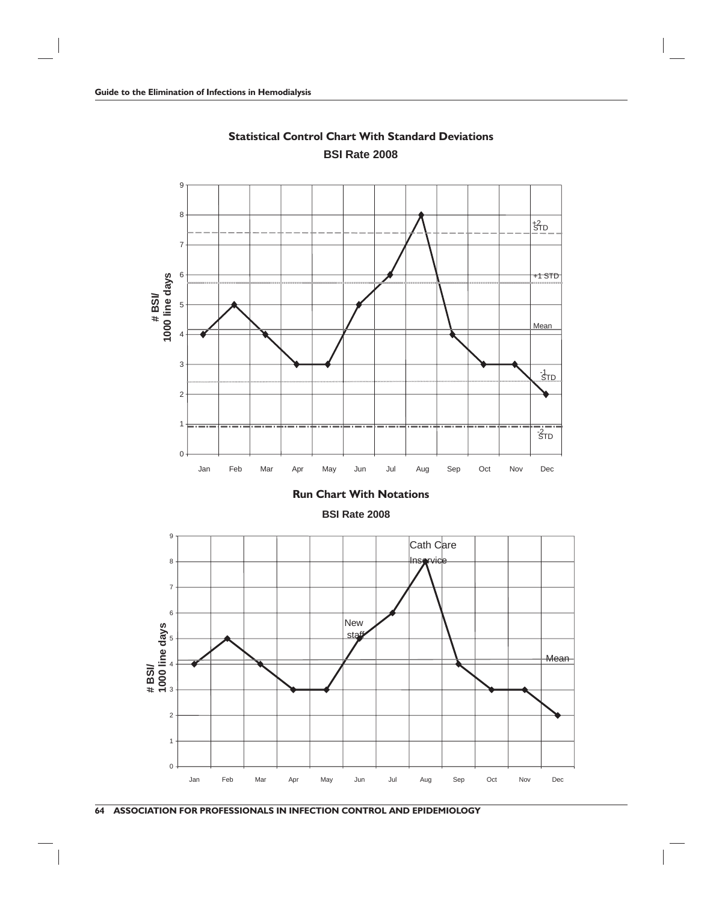

**Statistical Control Chart With Standard Deviations BSI Rate 2008**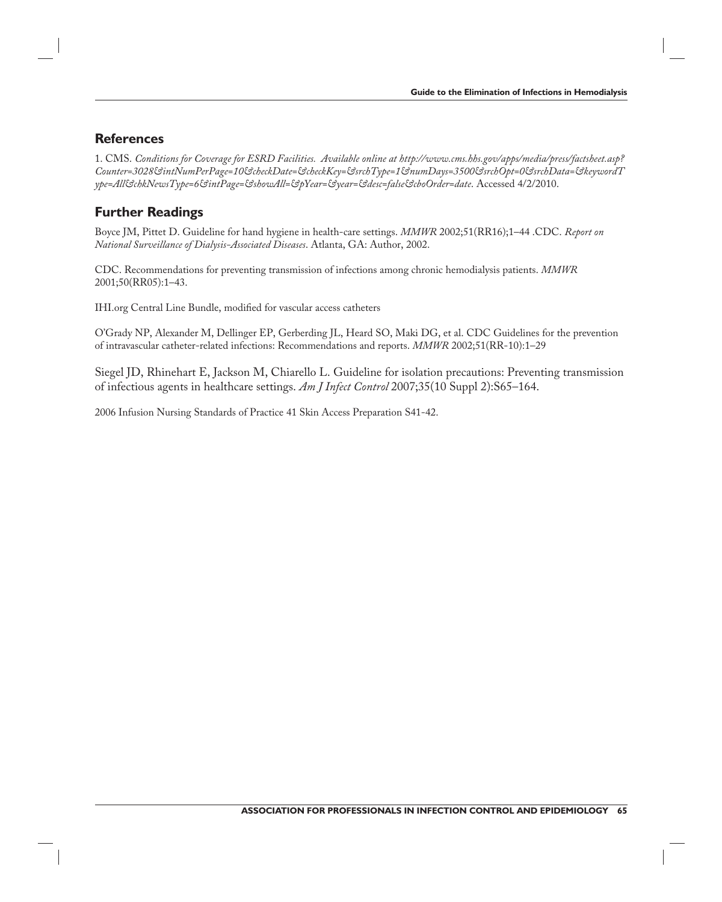#### **References**

1. CMS. *Conditions for Coverage for ESRD Facilities. Available online at http://www.cms.hhs.gov/apps/media/press/factsheet.asp? Counter=3028&intNumPerPage=10&checkDate=&checkKey=&srchType=1&numDays=3500&srchOpt=0&srchData=&keywordT ype=All&chkNewsType=6&intPage=&showAll=&pYear=&year=&desc=false&cboOrder=date*. Accessed 4/2/2010.

### **Further Readings**

Boyce JM, Pittet D. Guideline for hand hygiene in health-care settings. *MMWR* 2002;51(RR16);1–44 .CDC. *Report on National Surveillance of Dialysis-Associated Diseases*. Atlanta, GA: Author, 2002.

CDC. Recommendations for preventing transmission of infections among chronic hemodialysis patients. *MMWR* 2001;50(RR05):1–43.

IHI.org Central Line Bundle, modified for vascular access catheters

O'Grady NP, Alexander M, Dellinger EP, Gerberding JL, Heard SO, Maki DG, et al. CDC Guidelines for the prevention of intravascular catheter-related infections: Recommendations and reports. *MMWR* 2002;51(RR-10):1–29

Siegel JD, Rhinehart E, Jackson M, Chiarello L. Guideline for isolation precautions: Preventing transmission of infectious agents in healthcare settings. *Am J Infect Control* 2007;35(10 Suppl 2):S65–164.

2006 Infusion Nursing Standards of Practice 41 Skin Access Preparation S41-42.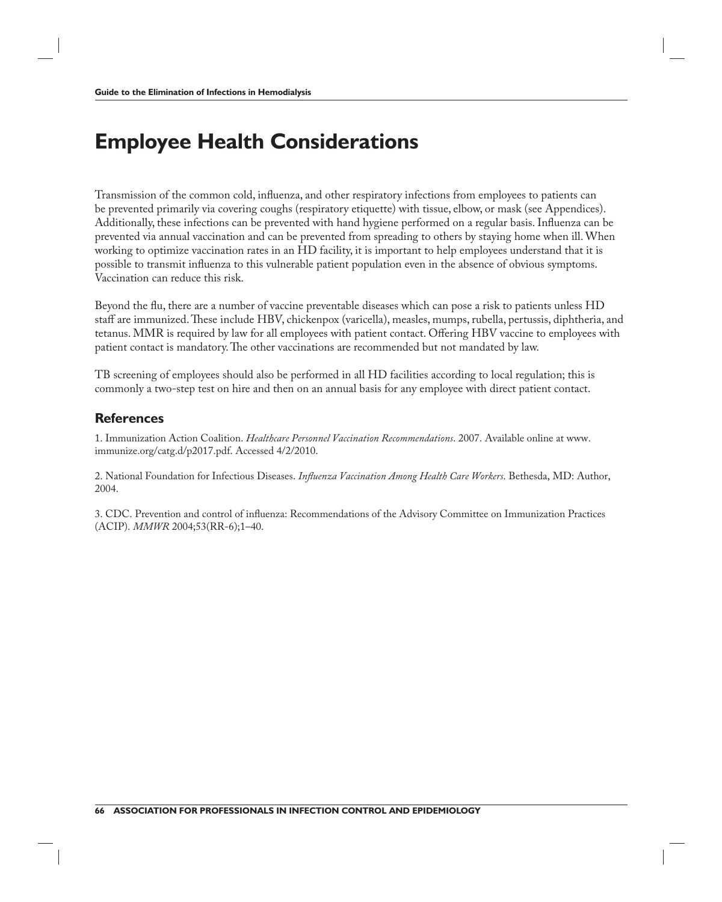# **Employee Health Considerations**

Transmission of the common cold, influenza, and other respiratory infections from employees to patients can be prevented primarily via covering coughs (respiratory etiquette) with tissue, elbow, or mask (see Appendices). Additionally, these infections can be prevented with hand hygiene performed on a regular basis. Influenza can be prevented via annual vaccination and can be prevented from spreading to others by staying home when ill. When working to optimize vaccination rates in an HD facility, it is important to help employees understand that it is possible to transmit influenza to this vulnerable patient population even in the absence of obvious symptoms. Vaccination can reduce this risk.

Beyond the flu, there are a number of vaccine preventable diseases which can pose a risk to patients unless HD staff are immunized. These include HBV, chickenpox (varicella), measles, mumps, rubella, pertussis, diphtheria, and tetanus. MMR is required by law for all employees with patient contact. Offering HBV vaccine to employees with patient contact is mandatory. The other vaccinations are recommended but not mandated by law.

TB screening of employees should also be performed in all HD facilities according to local regulation; this is commonly a two-step test on hire and then on an annual basis for any employee with direct patient contact.

#### **References**

1. Immunization Action Coalition. *Healthcare Personnel Vaccination Recommendations*. 2007. Available online at www. immunize.org/catg.d/p2017.pdf. Accessed 4/2/2010.

2. National Foundation for Infectious Diseases. *Influenza Vaccination Among Health Care Workers*. Bethesda, MD: Author, 2004.

3. CDC. Prevention and control of influenza: Recommendations of the Advisory Committee on Immunization Practices (ACIP). *MMWR* 2004;53(RR-6);1–40.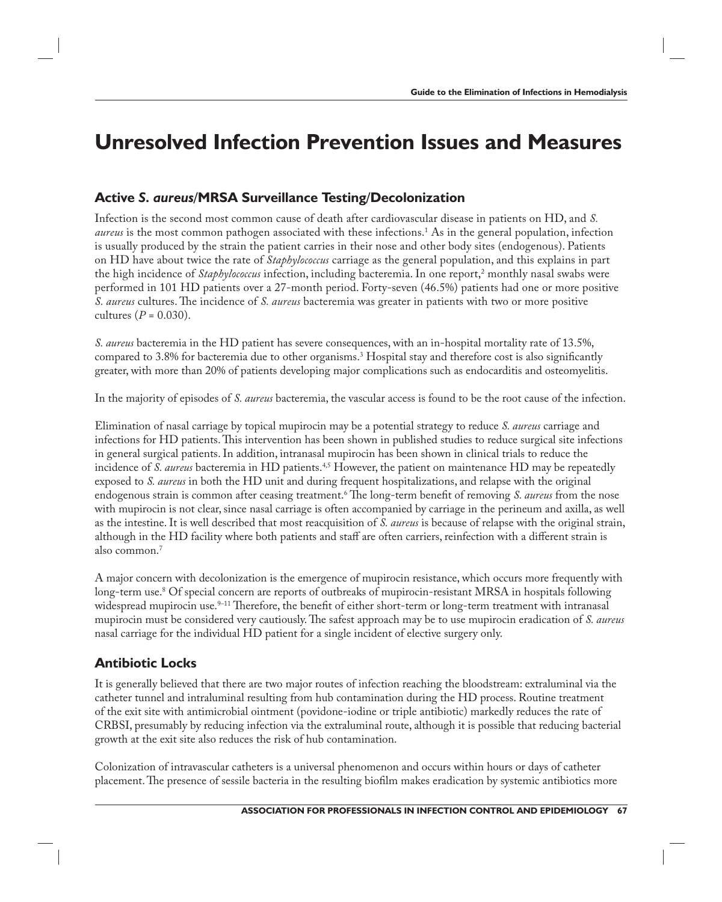## **Unresolved Infection Prevention Issues and Measures**

### **Active** *S. aureus***/MRSA Surveillance Testing/Decolonization**

Infection is the second most common cause of death after cardiovascular disease in patients on HD, and *S.*  aureus is the most common pathogen associated with these infections.<sup>1</sup> As in the general population, infection is usually produced by the strain the patient carries in their nose and other body sites (endogenous). Patients on HD have about twice the rate of *Staphylococcus* carriage as the general population, and this explains in part the high incidence of *Staphylococcus* infection, including bacteremia. In one report,<sup>2</sup> monthly nasal swabs were performed in 101 HD patients over a 27-month period. Forty-seven (46.5%) patients had one or more positive *S. aureus* cultures. The incidence of *S. aureus* bacteremia was greater in patients with two or more positive cultures (*P* = 0.030).

*S. aureus* bacteremia in the HD patient has severe consequences, with an in-hospital mortality rate of 13.5%, compared to 3.8% for bacteremia due to other organisms.<sup>3</sup> Hospital stay and therefore cost is also significantly greater, with more than 20% of patients developing major complications such as endocarditis and osteomyelitis.

In the majority of episodes of *S. aureus* bacteremia, the vascular access is found to be the root cause of the infection.

Elimination of nasal carriage by topical mupirocin may be a potential strategy to reduce *S. aureus* carriage and infections for HD patients. This intervention has been shown in published studies to reduce surgical site infections in general surgical patients. In addition, intranasal mupirocin has been shown in clinical trials to reduce the incidence of *S. aureus* bacteremia in HD patients.<sup>4,5</sup> However, the patient on maintenance HD may be repeatedly exposed to *S. aureus* in both the HD unit and during frequent hospitalizations, and relapse with the original endogenous strain is common after ceasing treatment.<sup>6</sup> The long-term benefit of removing *S. aureus* from the nose with mupirocin is not clear, since nasal carriage is often accompanied by carriage in the perineum and axilla, as well as the intestine. It is well described that most reacquisition of *S. aureus* is because of relapse with the original strain, although in the HD facility where both patients and staff are often carriers, reinfection with a different strain is also common.7

A major concern with decolonization is the emergence of mupirocin resistance, which occurs more frequently with long-term use.8 Of special concern are reports of outbreaks of mupirocin-resistant MRSA in hospitals following widespread mupirocin use.<sup>9–11</sup> Therefore, the benefit of either short-term or long-term treatment with intranasal mupirocin must be considered very cautiously. The safest approach may be to use mupirocin eradication of *S. aureus* nasal carriage for the individual HD patient for a single incident of elective surgery only.

### **Antibiotic Locks**

It is generally believed that there are two major routes of infection reaching the bloodstream: extraluminal via the catheter tunnel and intraluminal resulting from hub contamination during the HD process. Routine treatment of the exit site with antimicrobial ointment (povidone-iodine or triple antibiotic) markedly reduces the rate of CRBSI, presumably by reducing infection via the extraluminal route, although it is possible that reducing bacterial growth at the exit site also reduces the risk of hub contamination.

Colonization of intravascular catheters is a universal phenomenon and occurs within hours or days of catheter placement. The presence of sessile bacteria in the resulting biofilm makes eradication by systemic antibiotics more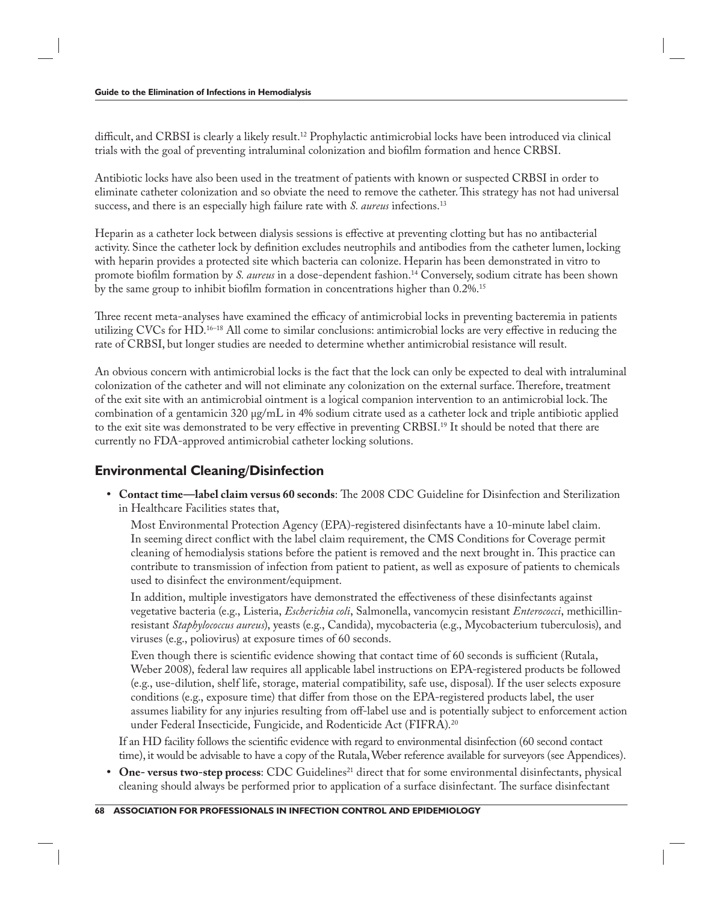difficult, and CRBSI is clearly a likely result.<sup>12</sup> Prophylactic antimicrobial locks have been introduced via clinical trials with the goal of preventing intraluminal colonization and biofilm formation and hence CRBSI.

Antibiotic locks have also been used in the treatment of patients with known or suspected CRBSI in order to eliminate catheter colonization and so obviate the need to remove the catheter. This strategy has not had universal success, and there is an especially high failure rate with *S. aureus* infections.<sup>13</sup>

Heparin as a catheter lock between dialysis sessions is effective at preventing clotting but has no antibacterial activity. Since the catheter lock by definition excludes neutrophils and antibodies from the catheter lumen, locking with heparin provides a protected site which bacteria can colonize. Heparin has been demonstrated in vitro to promote biofilm formation by *S. aureus* in a dose-dependent fashion.<sup>14</sup> Conversely, sodium citrate has been shown by the same group to inhibit biofilm formation in concentrations higher than  $0.2\%$ .<sup>15</sup>

Three recent meta-analyses have examined the efficacy of antimicrobial locks in preventing bacteremia in patients utilizing CVCs for HD.<sup>16–18</sup> All come to similar conclusions: antimicrobial locks are very effective in reducing the rate of CRBSI, but longer studies are needed to determine whether antimicrobial resistance will result.

An obvious concern with antimicrobial locks is the fact that the lock can only be expected to deal with intraluminal colonization of the catheter and will not eliminate any colonization on the external surface. Therefore, treatment of the exit site with an antimicrobial ointment is a logical companion intervention to an antimicrobial lock. The combination of a gentamicin 320 μg/mL in 4% sodium citrate used as a catheter lock and triple antibiotic applied to the exit site was demonstrated to be very effective in preventing CRBSI.<sup>19</sup> It should be noted that there are currently no FDA-approved antimicrobial catheter locking solutions.

### **Environmental Cleaning/Disinfection**

• Contact time—label claim versus 60 seconds: The 2008 CDC Guideline for Disinfection and Sterilization in Healthcare Facilities states that,

Most Environmental Protection Agency (EPA)-registered disinfectants have a 10-minute label claim. In seeming direct conflict with the label claim requirement, the CMS Conditions for Coverage permit cleaning of hemodialysis stations before the patient is removed and the next brought in. This practice can contribute to transmission of infection from patient to patient, as well as exposure of patients to chemicals used to disinfect the environment/equipment.

In addition, multiple investigators have demonstrated the effectiveness of these disinfectants against vegetative bacteria (e.g., Listeria, *Escherichia coli*, Salmonella, vancomycin resistant *Enterococci*, methicillinresistant *Staphylococcus aureus*), yeasts (e.g., Candida), mycobacteria (e.g., Mycobacterium tuberculosis), and viruses (e.g., poliovirus) at exposure times of 60 seconds.

Even though there is scientific evidence showing that contact time of 60 seconds is sufficient (Rutala, Weber 2008), federal law requires all applicable label instructions on EPA-registered products be followed (e.g., use-dilution, shelf life, storage, material compatibility, safe use, disposal). If the user selects exposure conditions (e.g., exposure time) that differ from those on the EPA-registered products label, the user assumes liability for any injuries resulting from off -label use and is potentially subject to enforcement action under Federal Insecticide, Fungicide, and Rodenticide Act (FIFRA).20

If an HD facility follows the scientific evidence with regard to environmental disinfection (60 second contact time), it would be advisable to have a copy of the Rutala, Weber reference available for surveyors (see Appendices).

**One- versus two-step process:** CDC Guidelines<sup>21</sup> direct that for some environmental disinfectants, physical cleaning should always be performed prior to application of a surface disinfectant. The surface disinfectant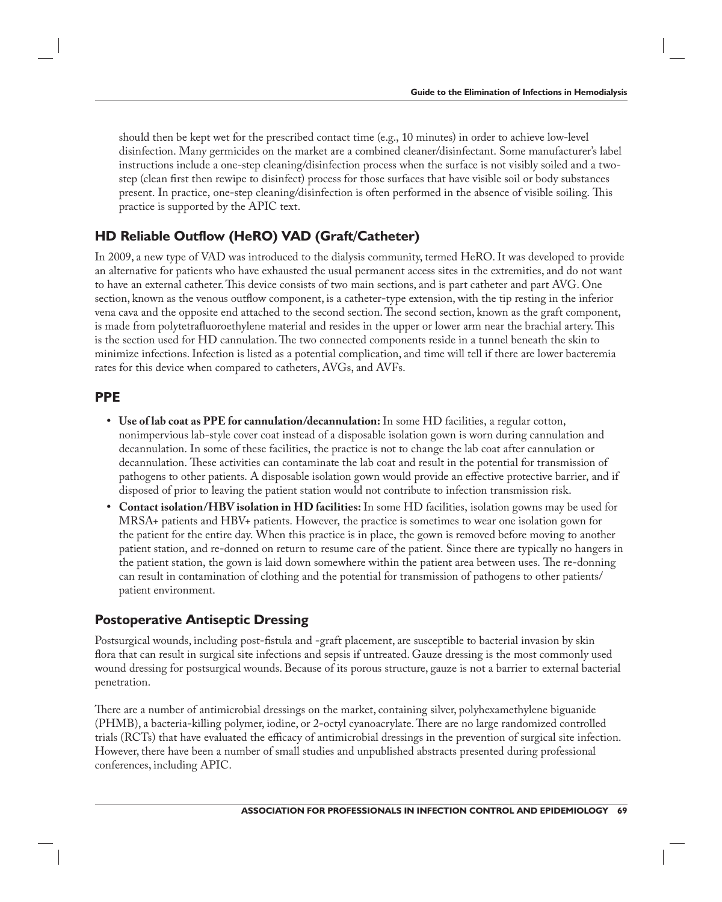should then be kept wet for the prescribed contact time (e.g., 10 minutes) in order to achieve low-level disinfection. Many germicides on the market are a combined cleaner/disinfectant. Some manufacturer's label instructions include a one-step cleaning/disinfection process when the surface is not visibly soiled and a twostep (clean first then rewipe to disinfect) process for those surfaces that have visible soil or body substances present. In practice, one-step cleaning/disinfection is often performed in the absence of visible soiling. This practice is supported by the APIC text.

### **HD Reliable Outflow (HeRO) VAD (Graft/Catheter)**

In 2009, a new type of VAD was introduced to the dialysis community, termed HeRO. It was developed to provide an alternative for patients who have exhausted the usual permanent access sites in the extremities, and do not want to have an external catheter. This device consists of two main sections, and is part catheter and part AVG. One section, known as the venous outflow component, is a catheter-type extension, with the tip resting in the inferior vena cava and the opposite end attached to the second section. The second section, known as the graft component, is made from polytetrafluoroethylene material and resides in the upper or lower arm near the brachial artery. This is the section used for HD cannulation. The two connected components reside in a tunnel beneath the skin to minimize infections. Infection is listed as a potential complication, and time will tell if there are lower bacteremia rates for this device when compared to catheters, AVGs, and AVFs.

#### **PPE**

- **Use of lab coat as PPE for cannulation/decannulation:** In some HD facilities, a regular cotton, nonimpervious lab-style cover coat instead of a disposable isolation gown is worn during cannulation and decannulation. In some of these facilities, the practice is not to change the lab coat after cannulation or decannulation. These activities can contaminate the lab coat and result in the potential for transmission of pathogens to other patients. A disposable isolation gown would provide an effective protective barrier, and if disposed of prior to leaving the patient station would not contribute to infection transmission risk.
- **Contact isolation/HBV isolation in HD facilities:** In some HD facilities, isolation gowns may be used for MRSA+ patients and HBV+ patients. However, the practice is sometimes to wear one isolation gown for the patient for the entire day. When this practice is in place, the gown is removed before moving to another patient station, and re-donned on return to resume care of the patient. Since there are typically no hangers in the patient station, the gown is laid down somewhere within the patient area between uses. The re-donning can result in contamination of clothing and the potential for transmission of pathogens to other patients/ patient environment.

#### **Postoperative Antiseptic Dressing**

Postsurgical wounds, including post-fistula and -graft placement, are susceptible to bacterial invasion by skin flora that can result in surgical site infections and sepsis if untreated. Gauze dressing is the most commonly used wound dressing for postsurgical wounds. Because of its porous structure, gauze is not a barrier to external bacterial penetration.

There are a number of antimicrobial dressings on the market, containing silver, polyhexamethylene biguanide (PHMB), a bacteria-killing polymer, iodine, or 2-octyl cyanoacrylate. There are no large randomized controlled trials (RCTs) that have evaluated the efficacy of antimicrobial dressings in the prevention of surgical site infection. However, there have been a number of small studies and unpublished abstracts presented during professional conferences, including APIC.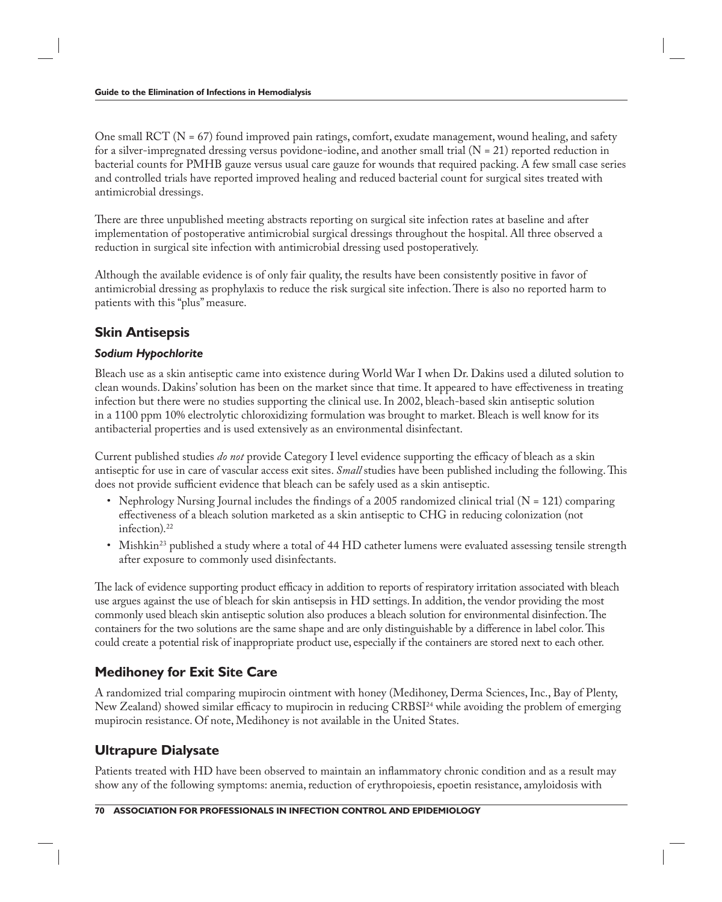One small  $\text{RCT}$  (N = 67) found improved pain ratings, comfort, exudate management, wound healing, and safety for a silver-impregnated dressing versus povidone-iodine, and another small trial (N = 21) reported reduction in bacterial counts for PMHB gauze versus usual care gauze for wounds that required packing. A few small case series and controlled trials have reported improved healing and reduced bacterial count for surgical sites treated with antimicrobial dressings.

There are three unpublished meeting abstracts reporting on surgical site infection rates at baseline and after implementation of postoperative antimicrobial surgical dressings throughout the hospital. All three observed a reduction in surgical site infection with antimicrobial dressing used postoperatively.

Although the available evidence is of only fair quality, the results have been consistently positive in favor of antimicrobial dressing as prophylaxis to reduce the risk surgical site infection. There is also no reported harm to patients with this "plus" measure.

## **Skin Antisepsis**

#### *Sodium Hypochlorite*

Bleach use as a skin antiseptic came into existence during World War I when Dr. Dakins used a diluted solution to clean wounds. Dakins' solution has been on the market since that time. It appeared to have effectiveness in treating infection but there were no studies supporting the clinical use. In 2002, bleach-based skin antiseptic solution in a 1100 ppm 10% electrolytic chloroxidizing formulation was brought to market. Bleach is well know for its antibacterial properties and is used extensively as an environmental disinfectant.

Current published studies *do not* provide Category I level evidence supporting the efficacy of bleach as a skin antiseptic for use in care of vascular access exit sites. *Small* studies have been published including the following. This does not provide sufficient evidence that bleach can be safely used as a skin antiseptic.

- Nephrology Nursing Journal includes the findings of a 2005 randomized clinical trial (N = 121) comparing effectiveness of a bleach solution marketed as a skin antiseptic to CHG in reducing colonization (not infection).<sup>22</sup>
- Mishkin<sup>23</sup> published a study where a total of 44 HD catheter lumens were evaluated assessing tensile strength after exposure to commonly used disinfectants.

The lack of evidence supporting product efficacy in addition to reports of respiratory irritation associated with bleach use argues against the use of bleach for skin antisepsis in HD settings. In addition, the vendor providing the most commonly used bleach skin antiseptic solution also produces a bleach solution for environmental disinfection. The containers for the two solutions are the same shape and are only distinguishable by a difference in label color. This could create a potential risk of inappropriate product use, especially if the containers are stored next to each other.

## **Medihoney for Exit Site Care**

A randomized trial comparing mupirocin ointment with honey (Medihoney, Derma Sciences, Inc., Bay of Plenty, New Zealand) showed similar efficacy to mupirocin in reducing CRBSI<sup>24</sup> while avoiding the problem of emerging mupirocin resistance. Of note, Medihoney is not available in the United States.

## **Ultrapure Dialysate**

Patients treated with HD have been observed to maintain an inflammatory chronic condition and as a result may show any of the following symptoms: anemia, reduction of erythropoiesis, epoetin resistance, amyloidosis with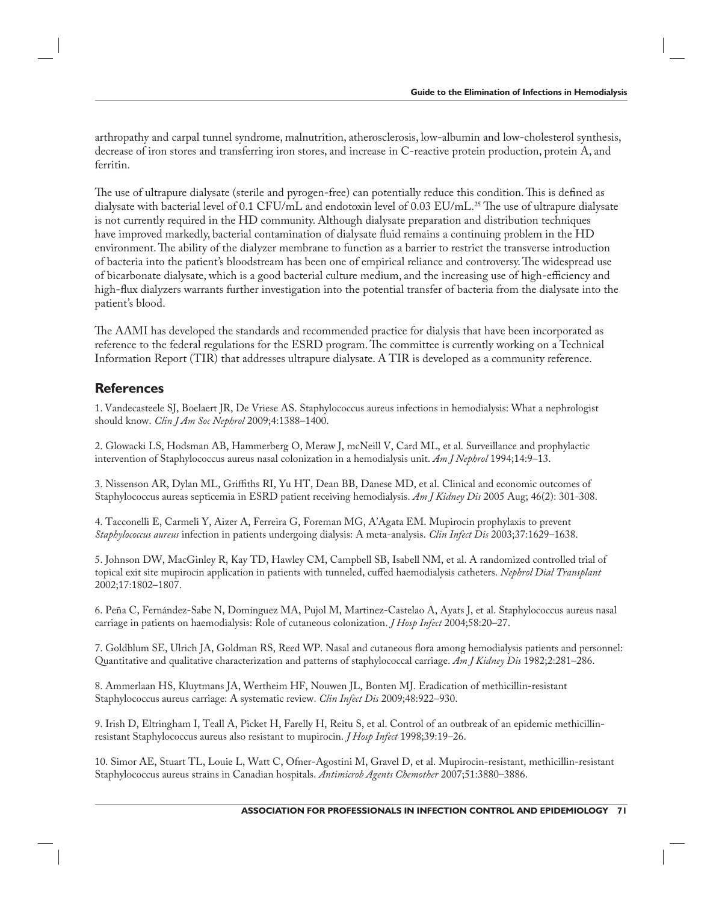arthropathy and carpal tunnel syndrome, malnutrition, atherosclerosis, low-albumin and low-cholesterol synthesis, decrease of iron stores and transferring iron stores, and increase in C-reactive protein production, protein A, and ferritin.

The use of ultrapure dialysate (sterile and pyrogen-free) can potentially reduce this condition. This is defined as dialysate with bacterial level of 0.1 CFU/mL and endotoxin level of 0.03 EU/mL.<sup>25</sup> The use of ultrapure dialysate is not currently required in the HD community. Although dialysate preparation and distribution techniques have improved markedly, bacterial contamination of dialysate fluid remains a continuing problem in the HD environment. The ability of the dialyzer membrane to function as a barrier to restrict the transverse introduction of bacteria into the patient's bloodstream has been one of empirical reliance and controversy. The widespread use of bicarbonate dialysate, which is a good bacterial culture medium, and the increasing use of high-efficiency and high-flux dialyzers warrants further investigation into the potential transfer of bacteria from the dialysate into the patient's blood.

The AAMI has developed the standards and recommended practice for dialysis that have been incorporated as reference to the federal regulations for the ESRD program. The committee is currently working on a Technical Information Report (TIR) that addresses ultrapure dialysate. A TIR is developed as a community reference.

#### **References**

1. Vandecasteele SJ, Boelaert JR, De Vriese AS. Staphylococcus aureus infections in hemodialysis: What a nephrologist should know. *Clin J Am Soc Nephrol* 2009;4:1388–1400.

2. Glowacki LS, Hodsman AB, Hammerberg O, Meraw J, mcNeill V, Card ML, et al. Surveillance and prophylactic intervention of Staphylococcus aureus nasal colonization in a hemodialysis unit. *Am J Nephrol* 1994;14:9–13.

3. Nissenson AR, Dylan ML, Griffiths RI, Yu HT, Dean BB, Danese MD, et al. Clinical and economic outcomes of Staphylococcus aureas septicemia in ESRD patient receiving hemodialysis. *Am J Kidney Dis* 2005 Aug; 46(2): 301-308.

4. Tacconelli E, Carmeli Y, Aizer A, Ferreira G, Foreman MG, A'Agata EM. Mupirocin prophylaxis to prevent *Staphylococcus aureus* infection in patients undergoing dialysis: A meta-analysis. *Clin Infect Dis* 2003;37:1629–1638.

5. Johnson DW, MacGinley R, Kay TD, Hawley CM, Campbell SB, Isabell NM, et al. A randomized controlled trial of topical exit site mupirocin application in patients with tunneled, cuffed haemodialysis catheters. *Nephrol Dial Transplant* 2002;17:1802–1807.

6. Peña C, Fernández-Sabe N, Domínguez MA, Pujol M, Martinez-Castelao A, Ayats J, et al. Staphylococcus aureus nasal carriage in patients on haemodialysis: Role of cutaneous colonization. *J Hosp Infect* 2004;58:20–27.

7. Goldblum SE, Ulrich JA, Goldman RS, Reed WP. Nasal and cutaneous flora among hemodialysis patients and personnel: Quantitative and qualitative characterization and patterns of staphylococcal carriage. *Am J Kidney Dis* 1982;2:281–286.

8. Ammerlaan HS, Kluytmans JA, Wertheim HF, Nouwen JL, Bonten MJ. Eradication of methicillin-resistant Staphylococcus aureus carriage: A systematic review. *Clin Infect Dis* 2009;48:922–930.

9. Irish D, Eltringham I, Teall A, Picket H, Farelly H, Reitu S, et al. Control of an outbreak of an epidemic methicillinresistant Staphylococcus aureus also resistant to mupirocin. *J Hosp Infect* 1998;39:19–26.

10. Simor AE, Stuart TL, Louie L, Watt C, Ofner-Agostini M, Gravel D, et al. Mupirocin-resistant, methicillin-resistant Staphylococcus aureus strains in Canadian hospitals. *Antimicrob Agents Chemother* 2007;51:3880–3886.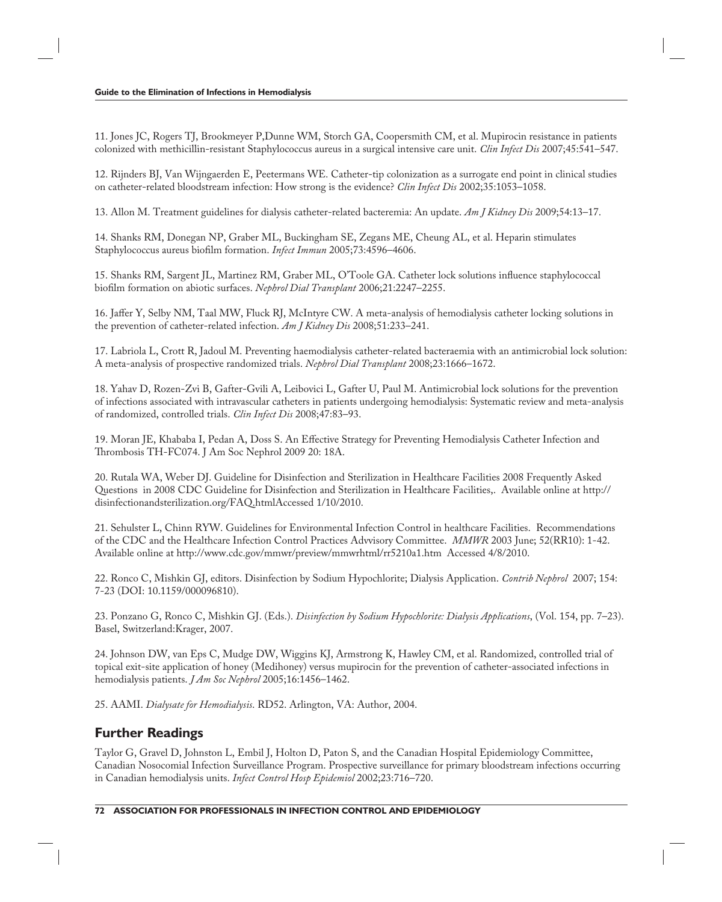11. Jones JC, Rogers TJ, Brookmeyer P,Dunne WM, Storch GA, Coopersmith CM, et al. Mupirocin resistance in patients colonized with methicillin-resistant Staphylococcus aureus in a surgical intensive care unit. *Clin Infect Dis* 2007;45:541–547.

12. Rijnders BJ, Van Wijngaerden E, Peetermans WE. Catheter-tip colonization as a surrogate end point in clinical studies on catheter-related bloodstream infection: How strong is the evidence? *Clin Infect Dis* 2002;35:1053–1058.

13. Allon M. Treatment guidelines for dialysis catheter-related bacteremia: An update. *Am J Kidney Dis* 2009;54:13–17.

14. Shanks RM, Donegan NP, Graber ML, Buckingham SE, Zegans ME, Cheung AL, et al. Heparin stimulates Staphylococcus aureus biofilm formation. *Infect Immun* 2005;73:4596-4606.

15. Shanks RM, Sargent JL, Martinez RM, Graber ML, O'Toole GA. Catheter lock solutions influence staphylococcal biofilm formation on abiotic surfaces. *Nephrol Dial Transplant* 2006;21:2247–2255.

16. Jaffer Y, Selby NM, Taal MW, Fluck RJ, McIntyre CW. A meta-analysis of hemodialysis catheter locking solutions in the prevention of catheter-related infection. *Am J Kidney Dis* 2008;51:233–241.

17. Labriola L, Crott R, Jadoul M. Preventing haemodialysis catheter-related bacteraemia with an antimicrobial lock solution: A meta-analysis of prospective randomized trials. *Nephrol Dial Transplant* 2008;23:1666–1672.

18. Yahav D, Rozen-Zvi B, Gafter-Gvili A, Leibovici L, Gafter U, Paul M. Antimicrobial lock solutions for the prevention of infections associated with intravascular catheters in patients undergoing hemodialysis: Systematic review and meta-analysis of randomized, controlled trials. *Clin Infect Dis* 2008;47:83–93.

19. Moran JE, Khababa I, Pedan A, Doss S. An Effective Strategy for Preventing Hemodialysis Catheter Infection and Thrombosis TH-FC074. J Am Soc Nephrol 2009 20: 18A.

20. Rutala WA, Weber DJ. Guideline for Disinfection and Sterilization in Healthcare Facilities 2008 Frequently Asked Questions in 2008 CDC Guideline for Disinfection and Sterilization in Healthcare Facilities,. Available online at http:// disinfectionandsterilization.org/FAQ.htmlAccessed 1/10/2010.

21. Sehulster L, Chinn RYW. Guidelines for Environmental Infection Control in healthcare Facilities. Recommendations of the CDC and the Healthcare Infection Control Practices Advvisory Committee. *MMWR* 2003 June; 52(RR10): 1-42. Available online at http://www.cdc.gov/mmwr/preview/mmwrhtml/rr5210a1.htm Accessed 4/8/2010.

22. Ronco C, Mishkin GJ, editors. Disinfection by Sodium Hypochlorite; Dialysis Application. *Contrib Nephrol* 2007; 154: 7-23 (DOI: 10.1159/000096810).

23. Ponzano G, Ronco C, Mishkin GJ. (Eds.). *Disinfection by Sodium Hypochlorite: Dialysis Applications*, (Vol. 154, pp. 7–23). Basel, Switzerland:Krager, 2007.

24. Johnson DW, van Eps C, Mudge DW, Wiggins KJ, Armstrong K, Hawley CM, et al. Randomized, controlled trial of topical exit-site application of honey (Medihoney) versus mupirocin for the prevention of catheter-associated infections in hemodialysis patients. *J Am Soc Nephrol* 2005;16:1456–1462.

25. AAMI. *Dialysate for Hemodialysis*. RD52. Arlington, VA: Author, 2004.

#### **Further Readings**

Taylor G, Gravel D, Johnston L, Embil J, Holton D, Paton S, and the Canadian Hospital Epidemiology Committee, Canadian Nosocomial Infection Surveillance Program. Prospective surveillance for primary bloodstream infections occurring in Canadian hemodialysis units. *Infect Control Hosp Epidemiol* 2002;23:716–720.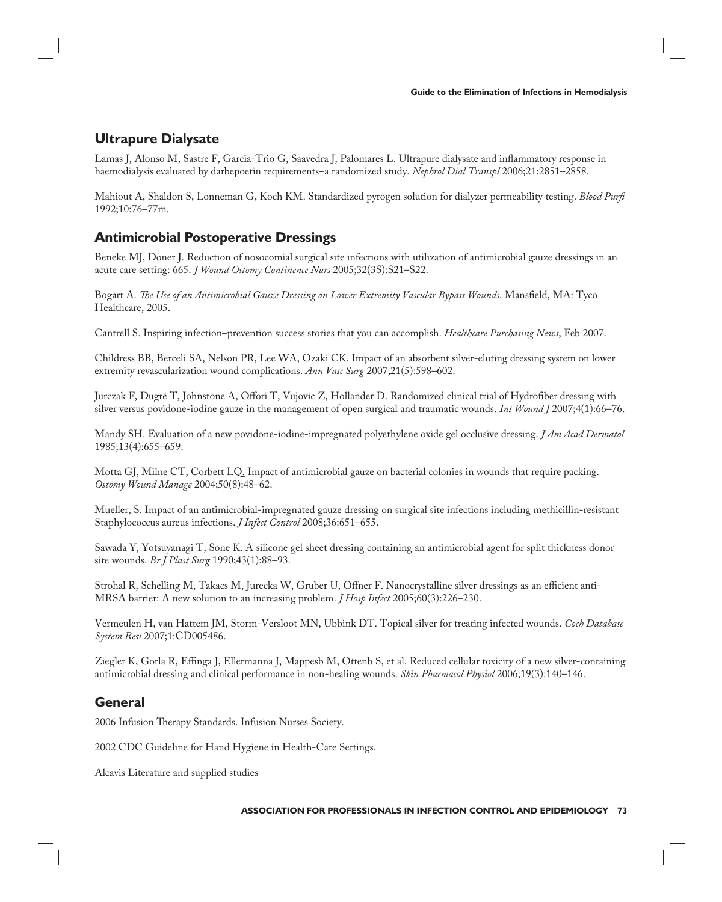# **Ultrapure Dialysate**

Lamas J, Alonso M, Sastre F, Garcia-Trio G, Saavedra J, Palomares L. Ultrapure dialysate and inflammatory response in haemodialysis evaluated by darbepoetin requirements–a randomized study. *Nephrol Dial Transpl* 2006;21:2851–2858.

Mahiout A, Shaldon S, Lonneman G, Koch KM. Standardized pyrogen solution for dialyzer permeability testing. *Blood Purfi*  1992;10:76–77m.

### **Antimicrobial Postoperative Dressings**

Beneke MJ, Doner J. Reduction of nosocomial surgical site infections with utilization of antimicrobial gauze dressings in an acute care setting: 665. *J Wound Ostomy Continence Nurs* 2005;32(3S):S21–S22.

Bogart A. *The Use of an Antimicrobial Gauze Dressing on Lower Extremity Vascular Bypass Wounds*. Mansfield, MA: Tyco Healthcare, 2005.

Cantrell S. Inspiring infection–prevention success stories that you can accomplish. *Healthcare Purchasing News*, Feb 2007.

Childress BB, Berceli SA, Nelson PR, Lee WA, Ozaki CK. Impact of an absorbent silver-eluting dressing system on lower extremity revascularization wound complications. *Ann Vasc Surg* 2007;21(5):598–602.

Jurczak F, Dugré T, Johnstone A, Offori T, Vujovic Z, Hollander D. Randomized clinical trial of Hydrofiber dressing with silver versus povidone-iodine gauze in the management of open surgical and traumatic wounds. *Int Wound J* 2007;4(1):66–76.

Mandy SH. Evaluation of a new povidone-iodine-impregnated polyethylene oxide gel occlusive dressing. *J Am Acad Dermatol* 1985;13(4):655–659.

Motta GJ, Milne CT, Corbett LQ. Impact of antimicrobial gauze on bacterial colonies in wounds that require packing. *Ostomy Wound Manage* 2004;50(8):48–62.

Mueller, S. Impact of an antimicrobial-impregnated gauze dressing on surgical site infections including methicillin-resistant Staphylococcus aureus infections. *J Infect Control* 2008;36:651–655.

Sawada Y, Yotsuyanagi T, Sone K. A silicone gel sheet dressing containing an antimicrobial agent for split thickness donor site wounds. *Br J Plast Surg* 1990;43(1):88–93.

Strohal R, Schelling M, Takacs M, Jurecka W, Gruber U, Offner F. Nanocrystalline silver dressings as an efficient anti-MRSA barrier: A new solution to an increasing problem. *J Hosp Infect* 2005;60(3):226–230.

Vermeulen H, van Hattem JM, Storm-Versloot MN, Ubbink DT. Topical silver for treating infected wounds. *Coch Database System Rev* 2007;1:CD005486.

Ziegler K, Gorla R, Effinga J, Ellermanna J, Mappesb M, Ottenb S, et al. Reduced cellular toxicity of a new silver-containing antimicrobial dressing and clinical performance in non-healing wounds. *Skin Pharmacol Physiol* 2006;19(3):140–146.

### **General**

2006 Infusion Therapy Standards. Infusion Nurses Society.

2002 CDC Guideline for Hand Hygiene in Health-Care Settings.

Alcavis Literature and supplied studies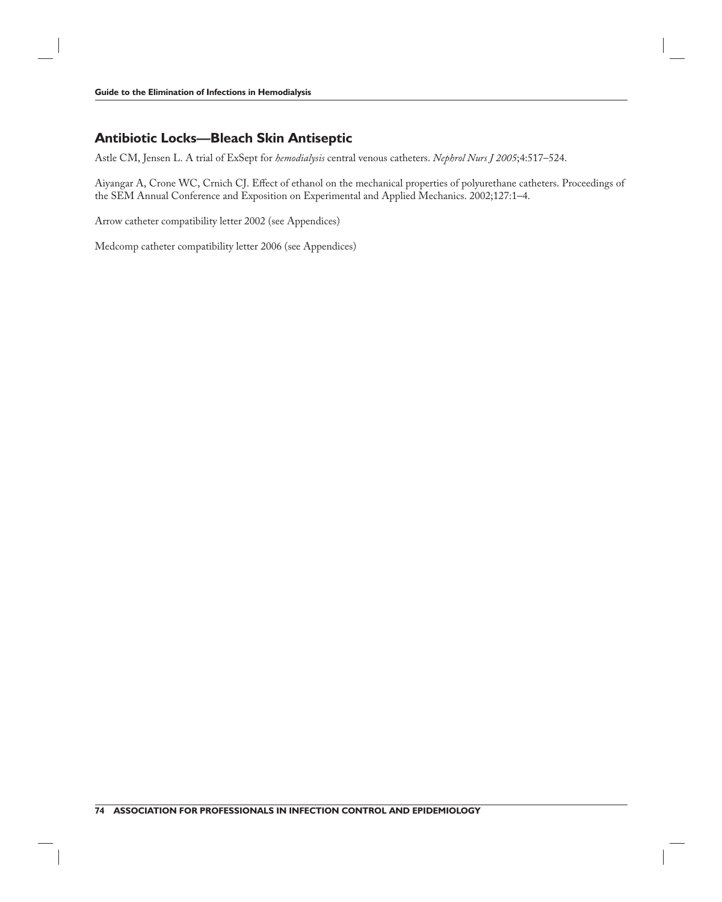# **Antibiotic Locks—Bleach Skin Antiseptic**

Astle CM, Jensen L. A trial of ExSept for *hemodialysis* central venous catheters. *Nephrol Nurs J 2005*;4:517–524.

Aiyangar A, Crone WC, Crnich CJ. Effect of ethanol on the mechanical properties of polyurethane catheters. Proceedings of the SEM Annual Conference and Exposition on Experimental and Applied Mechanics. 2002;127:1–4.

Arrow catheter compatibility letter 2002 (see Appendices)

Medcomp catheter compatibility letter 2006 (see Appendices)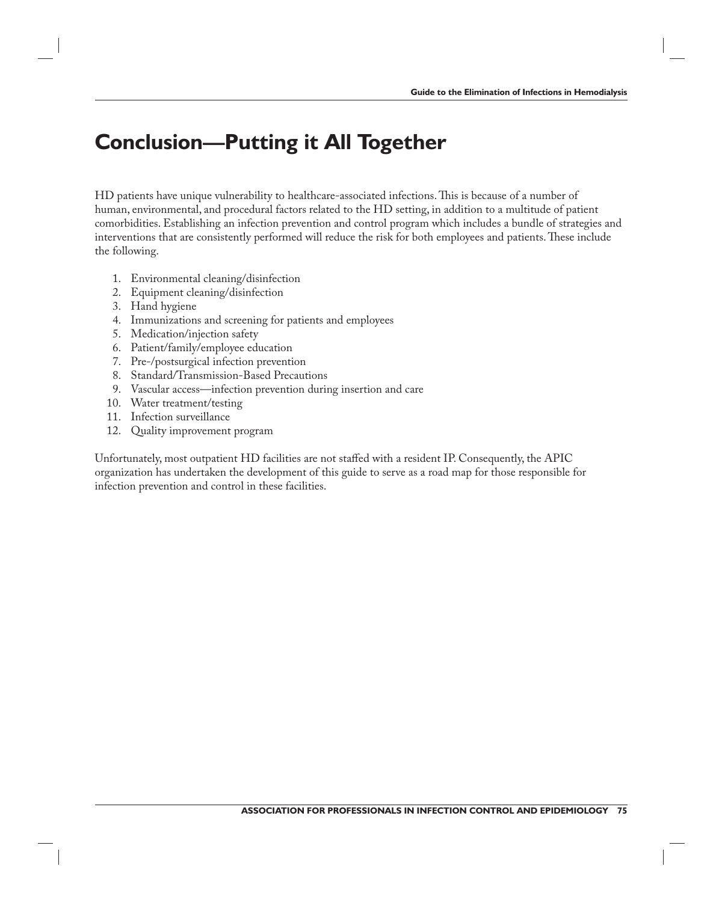# **Conclusion—Putting it All Together**

HD patients have unique vulnerability to healthcare-associated infections. This is because of a number of human, environmental, and procedural factors related to the HD setting, in addition to a multitude of patient comorbidities. Establishing an infection prevention and control program which includes a bundle of strategies and interventions that are consistently performed will reduce the risk for both employees and patients. These include the following.

- 1. Environmental cleaning/disinfection
- 2. Equipment cleaning/disinfection
- 3. Hand hygiene
- 4. Immunizations and screening for patients and employees
- 5. Medication/injection safety
- 6. Patient/family/employee education
- 7. Pre-/postsurgical infection prevention
- 8. Standard/Transmission-Based Precautions
- 9. Vascular access—infection prevention during insertion and care
- 10. Water treatment/testing
- 11. Infection surveillance
- 12. Quality improvement program

Unfortunately, most outpatient HD facilities are not staffed with a resident IP. Consequently, the APIC organization has undertaken the development of this guide to serve as a road map for those responsible for infection prevention and control in these facilities.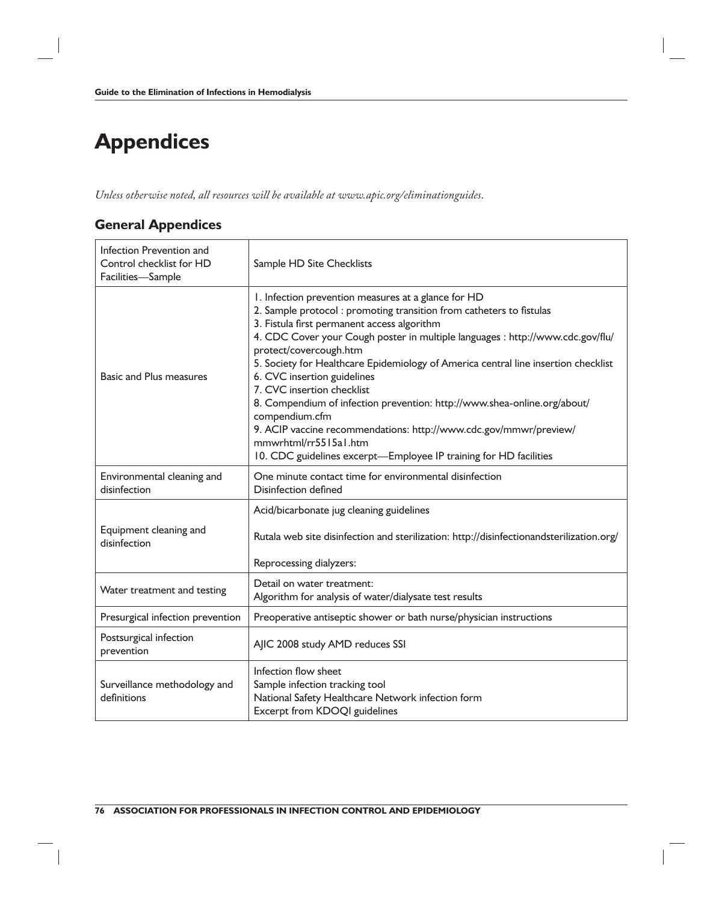# **Appendices**

*Unless otherwise noted, all resources will be available at www.apic.org/eliminationguides*.

### **General Appendices**

| Infection Prevention and<br>Control checklist for HD<br>Facilities-Sample | Sample HD Site Checklists                                                                                                                                                                                                                                                                                                                                                                                                                                                                                                                                                                                                                                                                                 |
|---------------------------------------------------------------------------|-----------------------------------------------------------------------------------------------------------------------------------------------------------------------------------------------------------------------------------------------------------------------------------------------------------------------------------------------------------------------------------------------------------------------------------------------------------------------------------------------------------------------------------------------------------------------------------------------------------------------------------------------------------------------------------------------------------|
| <b>Basic and Plus measures</b>                                            | I. Infection prevention measures at a glance for HD<br>2. Sample protocol: promoting transition from catheters to fistulas<br>3. Fistula first permanent access algorithm<br>4. CDC Cover your Cough poster in multiple languages : http://www.cdc.gov/flu/<br>protect/covercough.htm<br>5. Society for Healthcare Epidemiology of America central line insertion checklist<br>6. CVC insertion guidelines<br>7. CVC insertion checklist<br>8. Compendium of infection prevention: http://www.shea-online.org/about/<br>compendium.cfm<br>9. ACIP vaccine recommendations: http://www.cdc.gov/mmwr/preview/<br>mmwrhtml/rr5515a1.htm<br>10. CDC guidelines excerpt-Employee IP training for HD facilities |
| Environmental cleaning and<br>disinfection                                | One minute contact time for environmental disinfection<br><b>Disinfection defined</b>                                                                                                                                                                                                                                                                                                                                                                                                                                                                                                                                                                                                                     |
| Equipment cleaning and<br>disinfection                                    | Acid/bicarbonate jug cleaning guidelines<br>Rutala web site disinfection and sterilization: http://disinfectionandsterilization.org/<br>Reprocessing dialyzers:                                                                                                                                                                                                                                                                                                                                                                                                                                                                                                                                           |
| Water treatment and testing                                               | Detail on water treatment:<br>Algorithm for analysis of water/dialysate test results                                                                                                                                                                                                                                                                                                                                                                                                                                                                                                                                                                                                                      |
| Presurgical infection prevention                                          | Preoperative antiseptic shower or bath nurse/physician instructions                                                                                                                                                                                                                                                                                                                                                                                                                                                                                                                                                                                                                                       |
| Postsurgical infection<br>prevention                                      | AJIC 2008 study AMD reduces SSI                                                                                                                                                                                                                                                                                                                                                                                                                                                                                                                                                                                                                                                                           |
| Surveillance methodology and<br>definitions                               | Infection flow sheet<br>Sample infection tracking tool<br>National Safety Healthcare Network infection form<br>Excerpt from KDOQI guidelines                                                                                                                                                                                                                                                                                                                                                                                                                                                                                                                                                              |